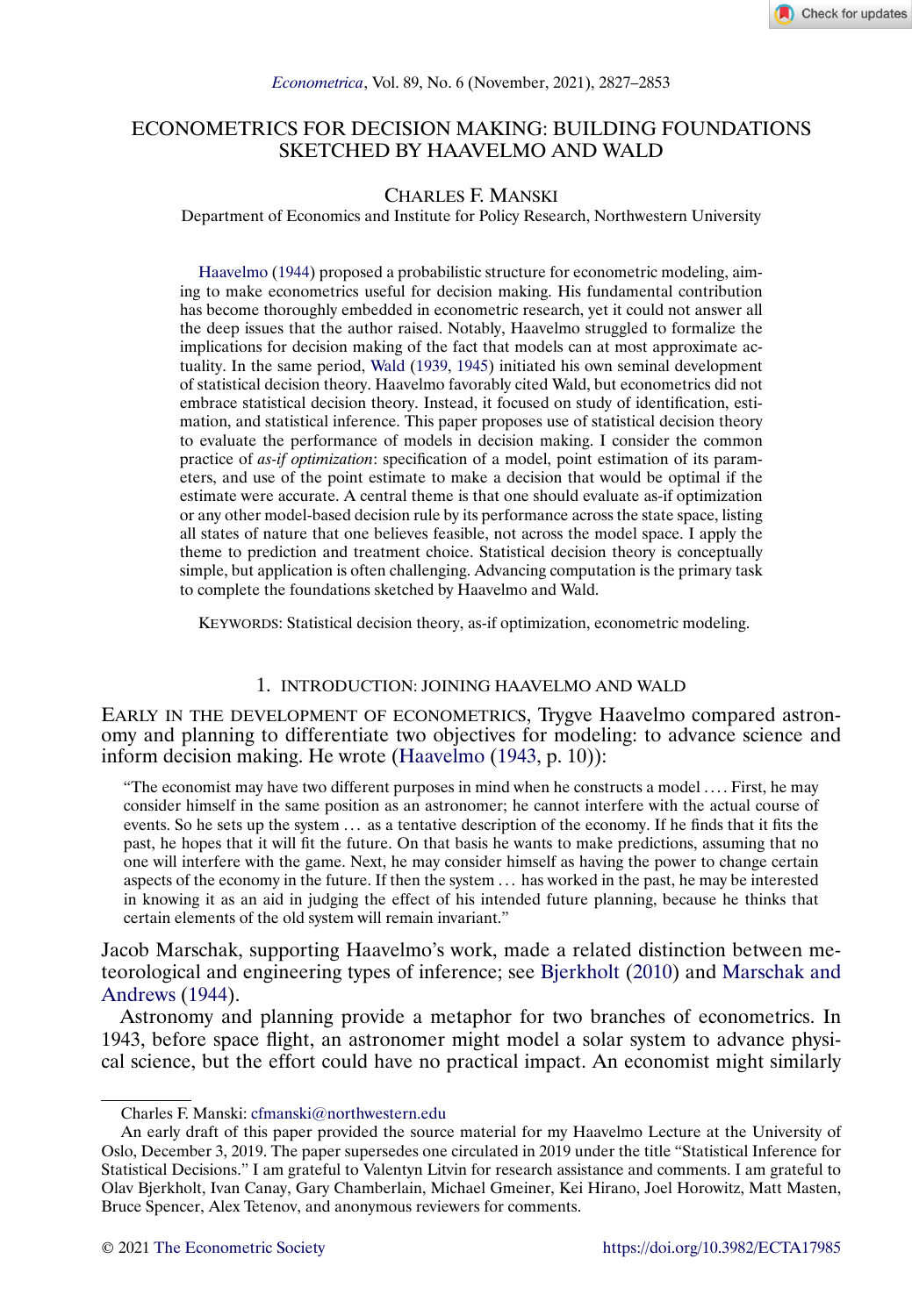# <span id="page-0-0"></span>ECONOMETRICS FOR DECISION MAKING: BUILDING FOUNDATIONS SKETCHED BY HAAVELMO AND WALD

# CHARLES F. MANSKI

Department of Economics and Institute for Policy Research, Northwestern University

[Haavelmo](#page-25-0) [\(1944\)](#page-25-0) proposed a probabilistic structure for econometric modeling, aiming to make econometrics useful for decision making. His fundamental contribution has become thoroughly embedded in econometric research, yet it could not answer all the deep issues that the author raised. Notably, Haavelmo struggled to formalize the implications for decision making of the fact that models can at most approximate actuality. In the same period, [Wald](#page-26-0) [\(1939,](#page-26-0) [1945\)](#page-26-0) initiated his own seminal development of statistical decision theory. Haavelmo favorably cited Wald, but econometrics did not embrace statistical decision theory. Instead, it focused on study of identification, estimation, and statistical inference. This paper proposes use of statistical decision theory to evaluate the performance of models in decision making. I consider the common practice of *as-if optimization*: specification of a model, point estimation of its parameters, and use of the point estimate to make a decision that would be optimal if the estimate were accurate. A central theme is that one should evaluate as-if optimization or any other model-based decision rule by its performance across the state space, listing all states of nature that one believes feasible, not across the model space. I apply the theme to prediction and treatment choice. Statistical decision theory is conceptually simple, but application is often challenging. Advancing computation is the primary task to complete the foundations sketched by Haavelmo and Wald.

KEYWORDS: Statistical decision theory, as-if optimization, econometric modeling.

## 1. INTRODUCTION: JOINING HAAVELMO AND WALD

EARLY IN THE DEVELOPMENT OF ECONOMETRICS, Trygve Haavelmo compared astronomy and planning to differentiate two objectives for modeling: to advance science and inform decision making. He wrote [\(Haavelmo](#page-25-0) [\(1943,](#page-25-0) p. 10)):

"The economist may have two different purposes in mind when he constructs a model . . . . First, he may consider himself in the same position as an astronomer; he cannot interfere with the actual course of events. So he sets up the system ... as a tentative description of the economy. If he finds that it fits the past, he hopes that it will fit the future. On that basis he wants to make predictions, assuming that no one will interfere with the game. Next, he may consider himself as having the power to change certain aspects of the economy in the future. If then the system . . . has worked in the past, he may be interested in knowing it as an aid in judging the effect of his intended future planning, because he thinks that certain elements of the old system will remain invariant."

Jacob Marschak, supporting Haavelmo's work, made a related distinction between meteorological and engineering types of inference; see [Bjerkholt](#page-24-0) [\(2010\)](#page-24-0) and [Marschak and](#page-26-0) [Andrews](#page-26-0) [\(1944\)](#page-26-0).

Astronomy and planning provide a metaphor for two branches of econometrics. In 1943, before space flight, an astronomer might model a solar system to advance physical science, but the effort could have no practical impact. An economist might similarly

Charles F. Manski: [cfmanski@northwestern.edu](mailto:cfmanski@northwestern.edu)

An early draft of this paper provided the source material for my Haavelmo Lecture at the University of Oslo, December 3, 2019. The paper supersedes one circulated in 2019 under the title "Statistical Inference for Statistical Decisions." I am grateful to Valentyn Litvin for research assistance and comments. I am grateful to Olav Bjerkholt, Ivan Canay, Gary Chamberlain, Michael Gmeiner, Kei Hirano, Joel Horowitz, Matt Masten, Bruce Spencer, Alex Tetenov, and anonymous reviewers for comments.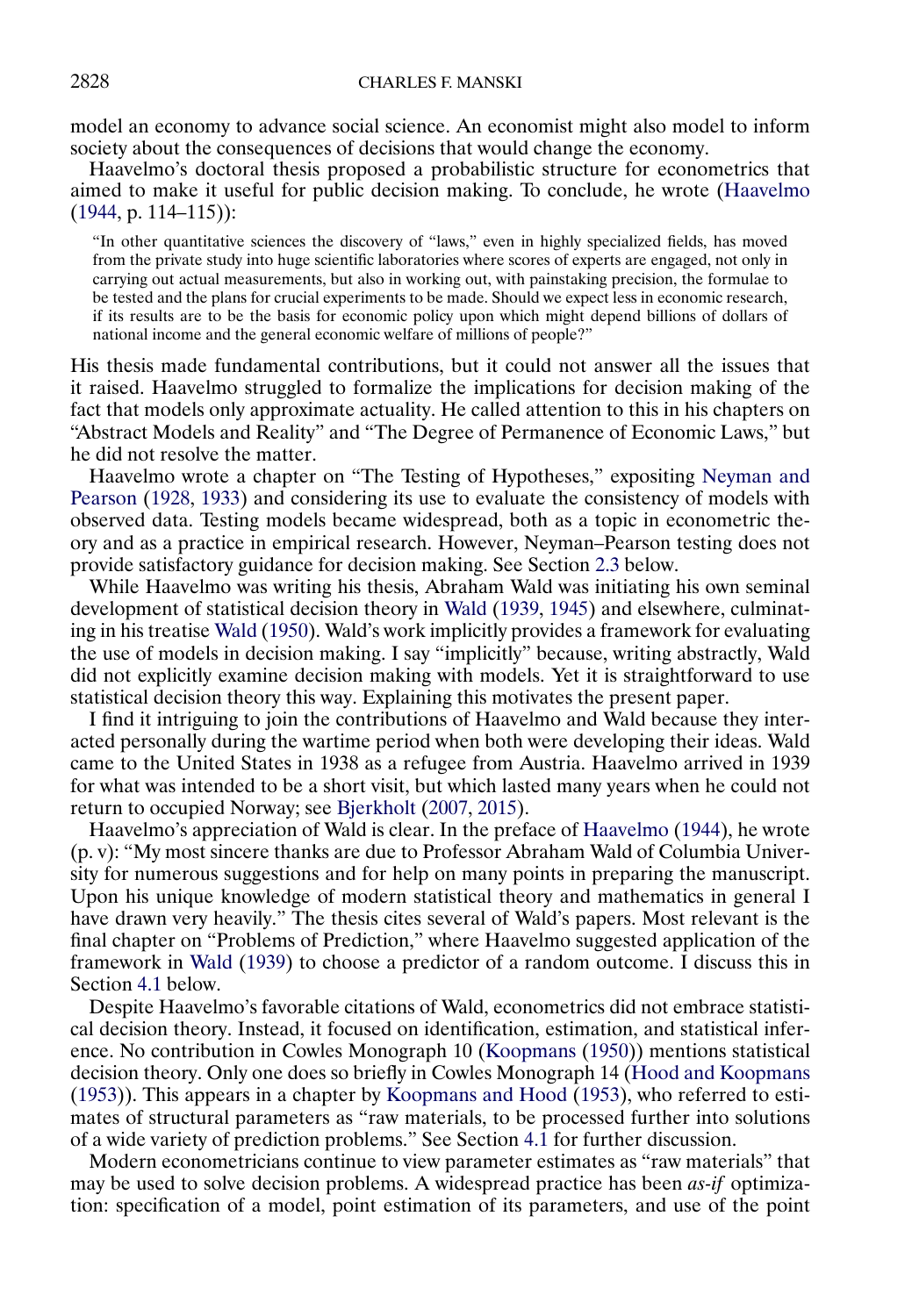<span id="page-1-0"></span>model an economy to advance social science. An economist might also model to inform society about the consequences of decisions that would change the economy.

Haavelmo's doctoral thesis proposed a probabilistic structure for econometrics that aimed to make it useful for public decision making. To conclude, he wrote [\(Haavelmo](#page-25-0)  $(1944, p. 114 - 115)$  $(1944, p. 114 - 115)$ :

"In other quantitative sciences the discovery of "laws," even in highly specialized fields, has moved from the private study into huge scientific laboratories where scores of experts are engaged, not only in carrying out actual measurements, but also in working out, with painstaking precision, the formulae to be tested and the plans for crucial experiments to be made. Should we expect less in economic research, if its results are to be the basis for economic policy upon which might depend billions of dollars of national income and the general economic welfare of millions of people?"

His thesis made fundamental contributions, but it could not answer all the issues that it raised. Haavelmo struggled to formalize the implications for decision making of the fact that models only approximate actuality. He called attention to this in his chapters on "Abstract Models and Reality" and "The Degree of Permanence of Economic Laws," but he did not resolve the matter.

Haavelmo wrote a chapter on "The Testing of Hypotheses," expositing [Neyman and](#page-26-0) [Pearson](#page-26-0) [\(1928,](#page-26-0) [1933\)](#page-26-0) and considering its use to evaluate the consistency of models with observed data. Testing models became widespread, both as a topic in econometric theory and as a practice in empirical research. However, Neyman–Pearson testing does not provide satisfactory guidance for decision making. See Section [2.3](#page-5-0) below.

While Haavelmo was writing his thesis, Abraham Wald was initiating his own seminal development of statistical decision theory in [Wald](#page-26-0) [\(1939,](#page-26-0) [1945\)](#page-26-0) and elsewhere, culminating in his treatise [Wald](#page-26-0) [\(1950\)](#page-26-0). Wald's work implicitly provides a framework for evaluating the use of models in decision making. I say "implicitly" because, writing abstractly, Wald did not explicitly examine decision making with models. Yet it is straightforward to use statistical decision theory this way. Explaining this motivates the present paper.

I find it intriguing to join the contributions of Haavelmo and Wald because they interacted personally during the wartime period when both were developing their ideas. Wald came to the United States in 1938 as a refugee from Austria. Haavelmo arrived in 1939 for what was intended to be a short visit, but which lasted many years when he could not return to occupied Norway; see [Bjerkholt](#page-24-0) [\(2007,](#page-24-0) [2015\)](#page-24-0).

Haavelmo's appreciation of Wald is clear. In the preface of [Haavelmo](#page-25-0) [\(1944\)](#page-25-0), he wrote (p. v): "My most sincere thanks are due to Professor Abraham Wald of Columbia University for numerous suggestions and for help on many points in preparing the manuscript. Upon his unique knowledge of modern statistical theory and mathematics in general I have drawn very heavily." The thesis cites several of Wald's papers. Most relevant is the final chapter on "Problems of Prediction," where Haavelmo suggested application of the framework in [Wald](#page-26-0) [\(1939\)](#page-26-0) to choose a predictor of a random outcome. I discuss this in Section [4.1](#page-10-0) below.

Despite Haavelmo's favorable citations of Wald, econometrics did not embrace statistical decision theory. Instead, it focused on identification, estimation, and statistical inference. No contribution in Cowles Monograph 10 [\(Koopmans](#page-25-0) [\(1950\)](#page-25-0)) mentions statistical decision theory. Only one does so briefly in Cowles Monograph 14 [\(Hood and Koopmans](#page-25-0) [\(1953\)](#page-25-0)). This appears in a chapter by [Koopmans and Hood](#page-25-0) [\(1953\)](#page-25-0), who referred to estimates of structural parameters as "raw materials, to be processed further into solutions of a wide variety of prediction problems." See Section [4.1](#page-10-0) for further discussion.

Modern econometricians continue to view parameter estimates as "raw materials" that may be used to solve decision problems. A widespread practice has been *as-if* optimization: specification of a model, point estimation of its parameters, and use of the point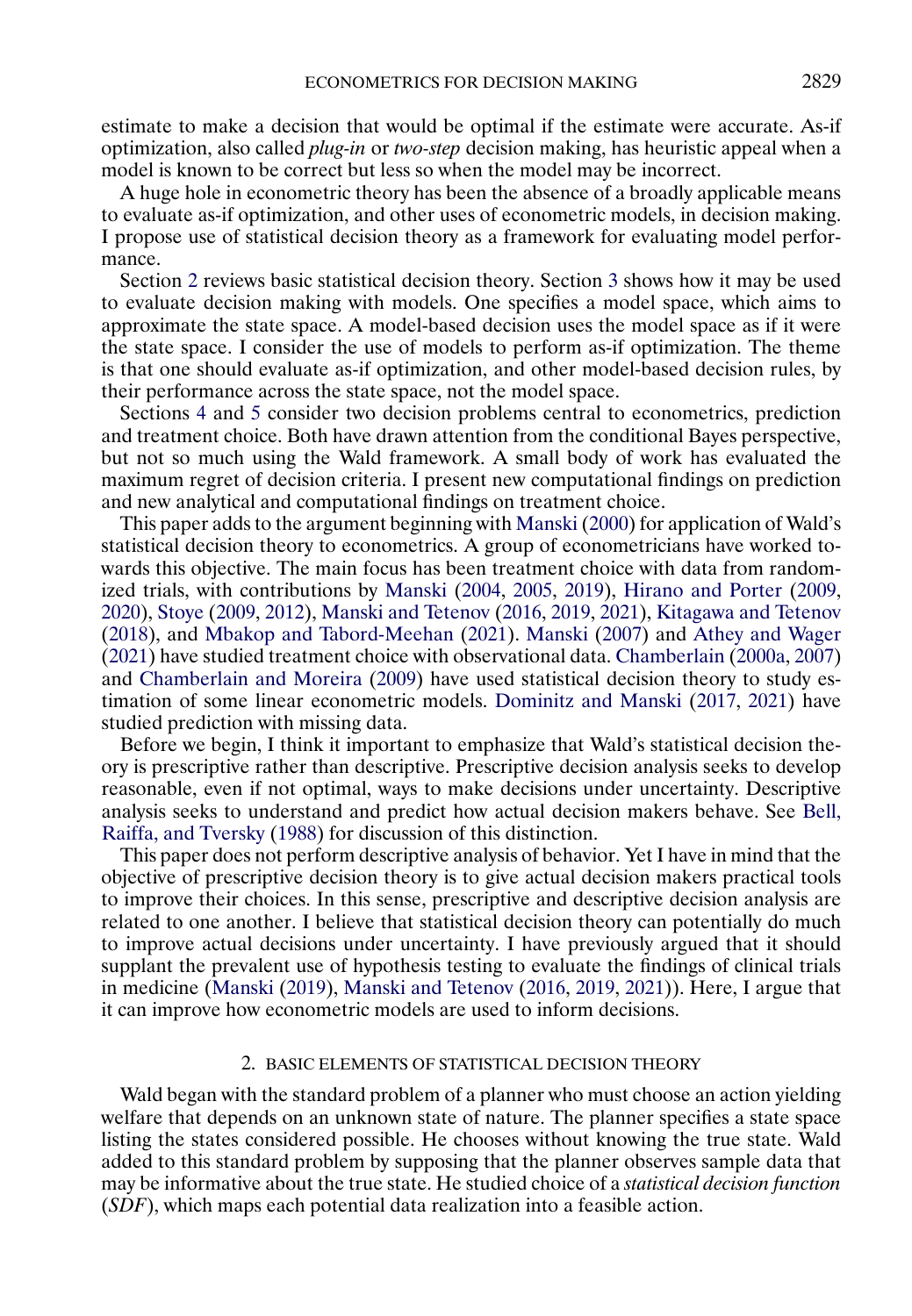<span id="page-2-0"></span>estimate to make a decision that would be optimal if the estimate were accurate. As-if optimization, also called *plug-in* or *two-step* decision making, has heuristic appeal when a model is known to be correct but less so when the model may be incorrect.

A huge hole in econometric theory has been the absence of a broadly applicable means to evaluate as-if optimization, and other uses of econometric models, in decision making. I propose use of statistical decision theory as a framework for evaluating model performance.

Section 2 reviews basic statistical decision theory. Section [3](#page-7-0) shows how it may be used to evaluate decision making with models. One specifies a model space, which aims to approximate the state space. A model-based decision uses the model space as if it were the state space. I consider the use of models to perform as-if optimization. The theme is that one should evaluate as-if optimization, and other model-based decision rules, by their performance across the state space, not the model space.

Sections [4](#page-10-0) and [5](#page-15-0) consider two decision problems central to econometrics, prediction and treatment choice. Both have drawn attention from the conditional Bayes perspective, but not so much using the Wald framework. A small body of work has evaluated the maximum regret of decision criteria. I present new computational findings on prediction and new analytical and computational findings on treatment choice.

This paper adds to the argument beginning with [Manski](#page-25-0) [\(2000\)](#page-25-0) for application of Wald's statistical decision theory to econometrics. A group of econometricians have worked towards this objective. The main focus has been treatment choice with data from randomized trials, with contributions by [Manski](#page-25-0) [\(2004,](#page-25-0) [2005,](#page-25-0) [2019\)](#page-26-0), [Hirano and Porter](#page-25-0) [\(2009,](#page-25-0) [2020\)](#page-25-0), [Stoye](#page-26-0) [\(2009,](#page-26-0) [2012\)](#page-26-0), [Manski and Tetenov](#page-26-0) [\(2016,](#page-26-0) [2019,](#page-26-0) [2021\)](#page-26-0), [Kitagawa and Tetenov](#page-25-0) [\(2018\)](#page-25-0), and [Mbakop and Tabord-Meehan](#page-26-0) [\(2021\)](#page-26-0). [Manski](#page-25-0) [\(2007\)](#page-25-0) and [Athey and Wager](#page-24-0) [\(2021\)](#page-24-0) have studied treatment choice with observational data. [Chamberlain](#page-24-0) [\(2000a,](#page-24-0) [2007\)](#page-24-0) and [Chamberlain and Moreira](#page-24-0) [\(2009\)](#page-24-0) have used statistical decision theory to study estimation of some linear econometric models. [Dominitz and Manski](#page-25-0) [\(2017,](#page-25-0) [2021\)](#page-25-0) have studied prediction with missing data.

Before we begin, I think it important to emphasize that Wald's statistical decision theory is prescriptive rather than descriptive. Prescriptive decision analysis seeks to develop reasonable, even if not optimal, ways to make decisions under uncertainty. Descriptive analysis seeks to understand and predict how actual decision makers behave. See [Bell,](#page-24-0) [Raiffa, and Tversky](#page-24-0) [\(1988\)](#page-24-0) for discussion of this distinction.

This paper does not perform descriptive analysis of behavior. Yet I have in mind that the objective of prescriptive decision theory is to give actual decision makers practical tools to improve their choices. In this sense, prescriptive and descriptive decision analysis are related to one another. I believe that statistical decision theory can potentially do much to improve actual decisions under uncertainty. I have previously argued that it should supplant the prevalent use of hypothesis testing to evaluate the findings of clinical trials in medicine [\(Manski](#page-26-0) [\(2019\)](#page-26-0), [Manski and Tetenov](#page-26-0) [\(2016,](#page-26-0) [2019,](#page-26-0) [2021\)](#page-26-0)). Here, I argue that it can improve how econometric models are used to inform decisions.

### 2. BASIC ELEMENTS OF STATISTICAL DECISION THEORY

Wald began with the standard problem of a planner who must choose an action yielding welfare that depends on an unknown state of nature. The planner specifies a state space listing the states considered possible. He chooses without knowing the true state. Wald added to this standard problem by supposing that the planner observes sample data that may be informative about the true state. He studied choice of a *statistical decision function* (*SDF*), which maps each potential data realization into a feasible action.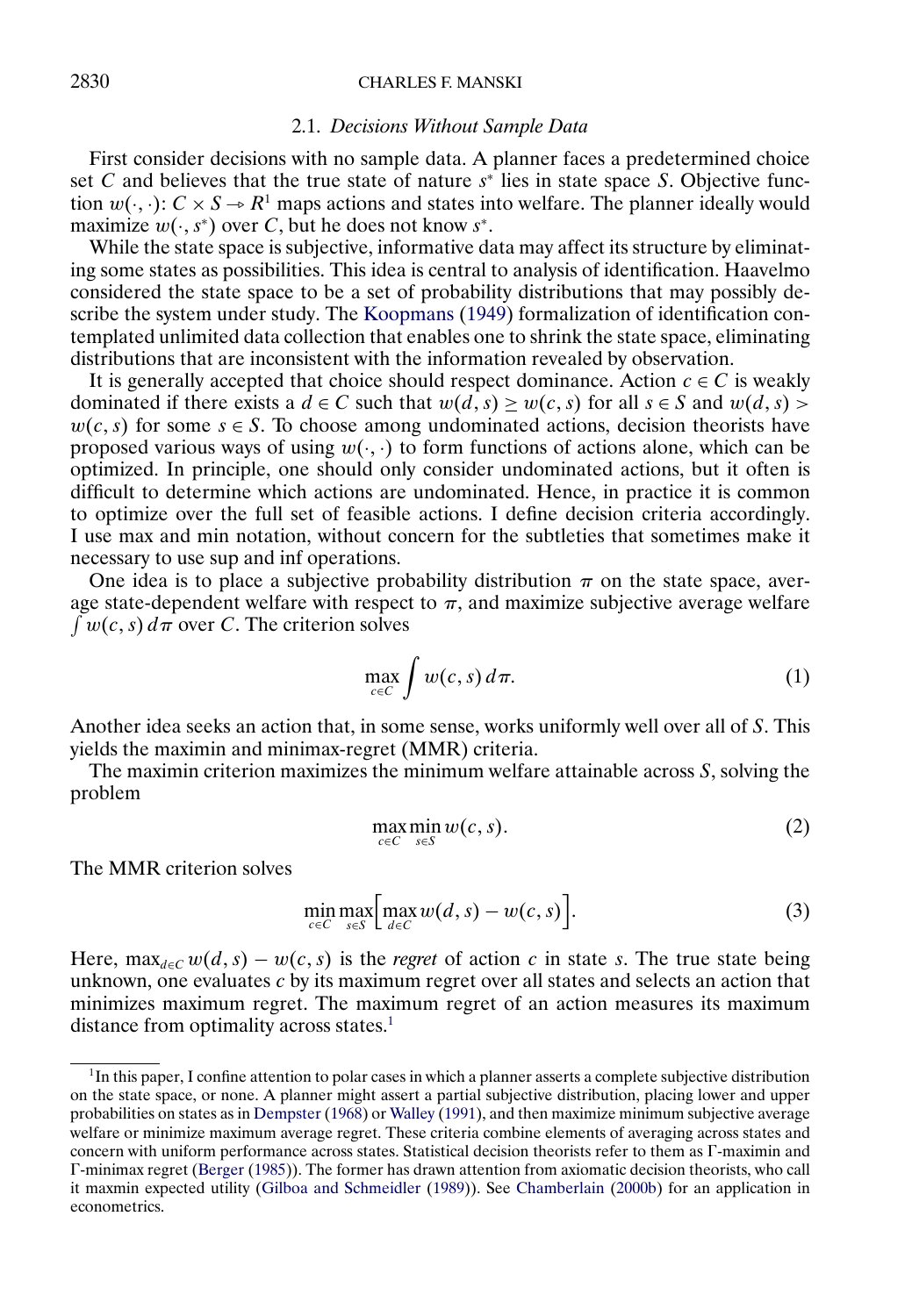# <span id="page-3-0"></span>2830 CHARLES F. MANSKI

#### 2.1. *Decisions Without Sample Data*

First consider decisions with no sample data. A planner faces a predetermined choice set C and believes that the true state of nature  $s<sup>*</sup>$  lies in state space S. Objective function  $w(\cdot, \cdot): C \times S \to R^1$  maps actions and states into welfare. The planner ideally would maximize  $w(\cdot, s^*)$  over C, but he does not know  $s^*$ .

While the state space is subjective, informative data may affect its structure by eliminating some states as possibilities. This idea is central to analysis of identification. Haavelmo considered the state space to be a set of probability distributions that may possibly describe the system under study. The [Koopmans](#page-25-0) [\(1949\)](#page-25-0) formalization of identification contemplated unlimited data collection that enables one to shrink the state space, eliminating distributions that are inconsistent with the information revealed by observation.

It is generally accepted that choice should respect dominance. Action  $c \in C$  is weakly dominated if there exists a  $d \in C$  such that  $w(d, s) \geq w(c, s)$  for all  $s \in S$  and  $w(d, s)$  $w(c, s)$  for some  $s \in S$ . To choose among undominated actions, decision theorists have proposed various ways of using  $w(\cdot, \cdot)$  to form functions of actions alone, which can be optimized. In principle, one should only consider undominated actions, but it often is difficult to determine which actions are undominated. Hence, in practice it is common to optimize over the full set of feasible actions. I define decision criteria accordingly. I use max and min notation, without concern for the subtleties that sometimes make it necessary to use sup and inf operations.

One idea is to place a subjective probability distribution  $\pi$  on the state space, average state-dependent welfare with respect to  $\pi$ , and maximize subjective average welfare  $\int w(c, s) d\pi$  over C. The criterion solves

$$
\max_{c \in C} \int w(c, s) d\pi. \tag{1}
$$

Another idea seeks an action that, in some sense, works uniformly well over all of S. This yields the maximin and minimax-regret (MMR) criteria.

The maximin criterion maximizes the minimum welfare attainable across  $S$ , solving the problem

$$
\max_{c \in C} \min_{s \in S} w(c, s). \tag{2}
$$

The MMR criterion solves

$$
\min_{c \in C} \max_{s \in S} \left[ \max_{d \in C} w(d, s) - w(c, s) \right]. \tag{3}
$$

Here,  $\max_{d \in C} w(d, s) - w(c, s)$  is the *regret* of action c in state s. The true state being unknown, one evaluates  $c$  by its maximum regret over all states and selects an action that minimizes maximum regret. The maximum regret of an action measures its maximum distance from optimality across states.<sup>1</sup>

<sup>&</sup>lt;sup>1</sup>In this paper, I confine attention to polar cases in which a planner asserts a complete subjective distribution on the state space, or none. A planner might assert a partial subjective distribution, placing lower and upper probabilities on states as in [Dempster](#page-25-0) [\(1968\)](#page-25-0) or [Walley](#page-26-0) [\(1991\)](#page-26-0), and then maximize minimum subjective average welfare or minimize maximum average regret. These criteria combine elements of averaging across states and concern with uniform performance across states. Statistical decision theorists refer to them as  $\Gamma$ -maximin and  $\Gamma$ -minimax regret [\(Berger](#page-24-0) [\(1985\)](#page-24-0)). The former has drawn attention from axiomatic decision theorists, who call it maxmin expected utility [\(Gilboa and Schmeidler](#page-25-0) [\(1989\)](#page-25-0)). See [Chamberlain](#page-24-0) [\(2000b\)](#page-24-0) for an application in econometrics.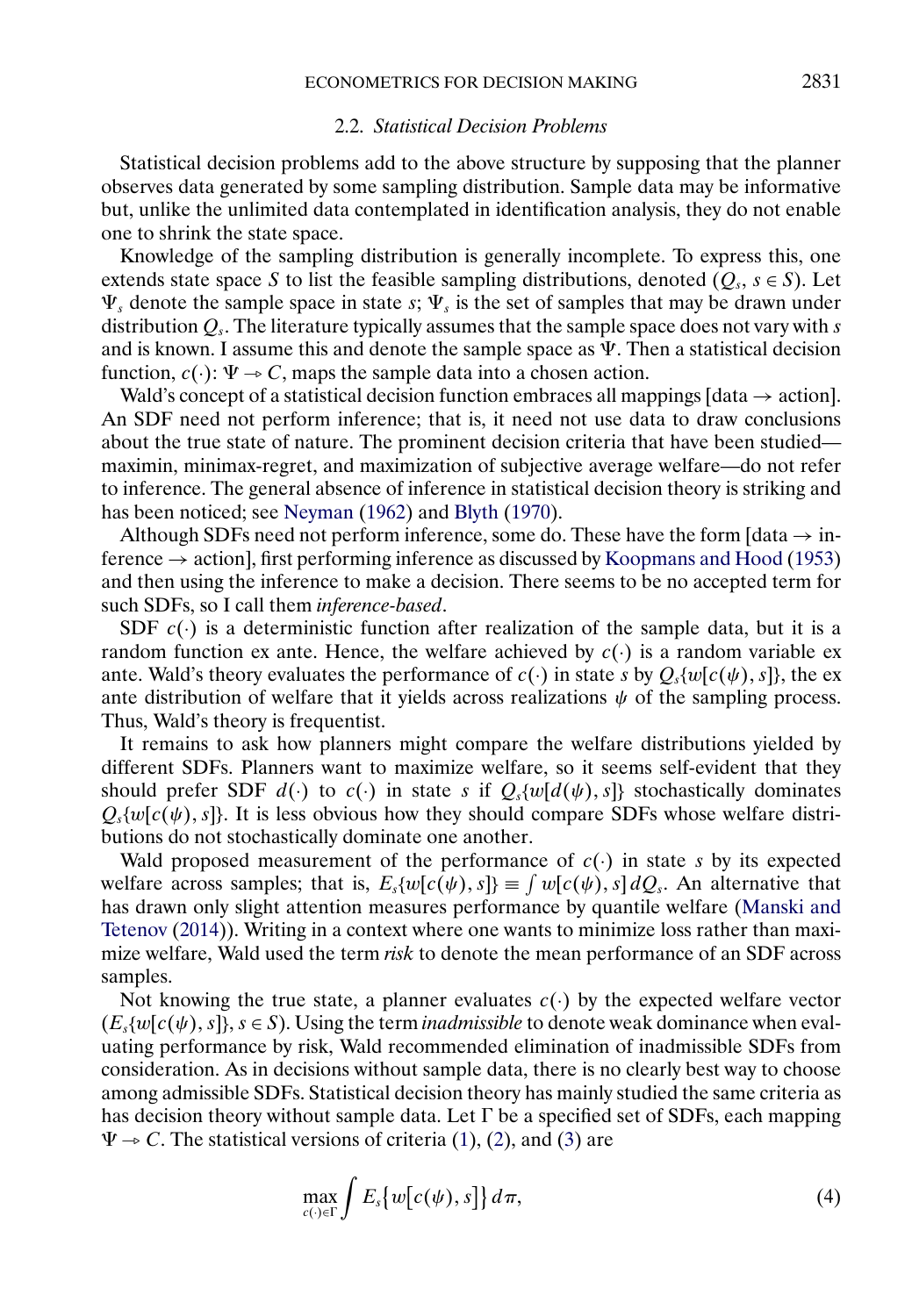#### 2.2. *Statistical Decision Problems*

<span id="page-4-0"></span>Statistical decision problems add to the above structure by supposing that the planner observes data generated by some sampling distribution. Sample data may be informative but, unlike the unlimited data contemplated in identification analysis, they do not enable one to shrink the state space.

Knowledge of the sampling distribution is generally incomplete. To express this, one extends state space S to list the feasible sampling distributions, denoted  $(Q_s, s \in S)$ . Let  $\Psi_s$  denote the sample space in state s;  $\Psi_s$  is the set of samples that may be drawn under distribution  $Q_s$ . The literature typically assumes that the sample space does not vary with s and is known. I assume this and denote the sample space as  $\Psi$ . Then a statistical decision function,  $c(\cdot): \Psi \to C$ , maps the sample data into a chosen action.

Wald's concept of a statistical decision function embraces all mappings [data  $\rightarrow$  action]. An SDF need not perform inference; that is, it need not use data to draw conclusions about the true state of nature. The prominent decision criteria that have been studied maximin, minimax-regret, and maximization of subjective average welfare—do not refer to inference. The general absence of inference in statistical decision theory is striking and has been noticed; see [Neyman](#page-26-0) [\(1962\)](#page-26-0) and [Blyth](#page-24-0) [\(1970\)](#page-24-0).

Although SDFs need not perform inference, some do. These have the form  $\lceil \text{data} \rightarrow \text{in} \rceil$ ference  $\rightarrow$  action], first performing inference as discussed by [Koopmans and Hood](#page-25-0) [\(1953\)](#page-25-0) and then using the inference to make a decision. There seems to be no accepted term for such SDFs, so I call them *inference-based*.

SDF  $c(\cdot)$  is a deterministic function after realization of the sample data, but it is a random function ex ante. Hence, the welfare achieved by  $c(.)$  is a random variable ex ante. Wald's theory evaluates the performance of  $c(\cdot)$  in state s by  $Q_s\{w[c(\psi), s]\}$ , the ex ante distribution of welfare that it yields across realizations  $\psi$  of the sampling process. Thus, Wald's theory is frequentist.

It remains to ask how planners might compare the welfare distributions yielded by different SDFs. Planners want to maximize welfare, so it seems self-evident that they should prefer SDF  $d()$  to  $c()$  in state s if  $Q_s\{w[d(\psi), s]\}$  stochastically dominates  $Q_s\{w[c(\psi), s]\}\$ . It is less obvious how they should compare SDFs whose welfare distributions do not stochastically dominate one another.

Wald proposed measurement of the performance of  $c(\cdot)$  in state s by its expected welfare across samples; that is,  $E_s\{w[c(\psi), s]\}\equiv \int w[c(\psi), s] dQ_s$ . An alternative that has drawn only slight attention measures performance by quantile welfare [\(Manski and](#page-26-0) [Tetenov](#page-26-0) [\(2014\)](#page-26-0)). Writing in a context where one wants to minimize loss rather than maximize welfare, Wald used the term *risk* to denote the mean performance of an SDF across samples.

Not knowing the true state, a planner evaluates  $c(\cdot)$  by the expected welfare vector  $(E_s\{w[c(\psi), s]\}, s \in S)$ . Using the term *inadmissible* to denote weak dominance when evaluating performance by risk, Wald recommended elimination of inadmissible SDFs from consideration. As in decisions without sample data, there is no clearly best way to choose among admissible SDFs. Statistical decision theory has mainly studied the same criteria as has decision theory without sample data. Let  $\Gamma$  be a specified set of SDFs, each mapping  $\Psi \rightarrow C$ . The statistical versions of criteria [\(1\)](#page-3-0), [\(2\)](#page-3-0), and [\(3\)](#page-3-0) are

$$
\max_{c(\cdot)\in\Gamma}\int E_s\big\{w\big[c(\psi),s\big]\big\}\,d\pi,\tag{4}
$$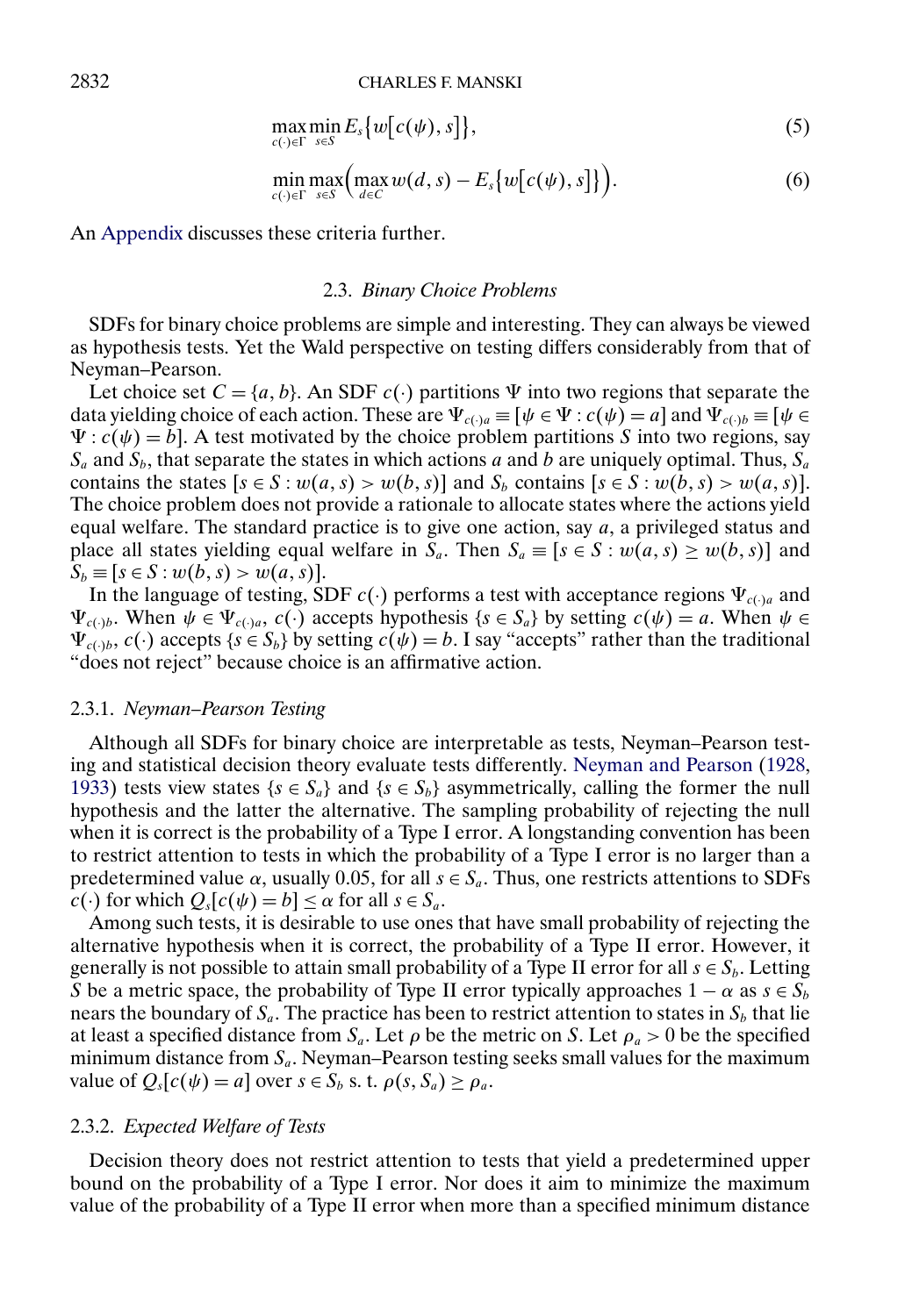$$
\max_{c(\cdot)\in\Gamma}\min_{s\in S}E_s\big\{w\big[c(\psi),s\big]\big\},\tag{5}
$$

$$
\min_{c(\cdot)\in\Gamma}\max_{s\in S}\Big(\max_{d\in C}w(d,s)-E_s\big\{w\big[c(\psi),s\big]\big\}\Big). \hspace{1.5cm} (6)
$$

<span id="page-5-0"></span>An [Appendix](#page-21-0) discusses these criteria further.

#### 2.3. *Binary Choice Problems*

SDFs for binary choice problems are simple and interesting. They can always be viewed as hypothesis tests. Yet the Wald perspective on testing differs considerably from that of Neyman–Pearson.

Let choice set  $C = \{a, b\}$ . An SDF  $c(\cdot)$  partitions  $\Psi$  into two regions that separate the data yielding choice of each action. These are  $\Psi_{c(\cdot)a} \equiv [\psi \in \Psi : c(\psi) = a]$  and  $\Psi_{c(\cdot)b} \equiv [\psi \in \Psi : c(\psi)]$  $\Psi$ :  $c(\psi) = b$ ]. A test motivated by the choice problem partitions S into two regions, say  $S_a$  and  $S_b$ , that separate the states in which actions a and b are uniquely optimal. Thus,  $S_a$ contains the states  $[s \in S : w(a, s) > w(b, s)]$  and  $S_b$  contains  $[s \in S : w(b, s) > w(a, s)]$ . The choice problem does not provide a rationale to allocate states where the actions yield equal welfare. The standard practice is to give one action, say  $a$ , a privileged status and place all states yielding equal welfare in  $S_a$ . Then  $S_a \equiv [s \in S : w(a, s) \geq w(b, s)]$  and  $S_b \equiv [s \in S : w(b, s) > w(a, s)].$ 

In the language of testing, SDF  $c(\cdot)$  performs a test with acceptance regions  $\Psi_{c(\cdot)a}$  and  $\Psi_{c(\cdot)b}$ . When  $\psi \in \Psi_{c(\cdot)a}$ ,  $c(\cdot)$  accepts hypothesis  $\{s \in S_a\}$  by setting  $c(\psi) = a$ . When  $\psi \in \Psi$  $\Psi_{c(1)b}$ ,  $c(\cdot)$  accepts  $\{s \in S_b\}$  by setting  $c(\psi) = b$ . I say "accepts" rather than the traditional "does not reject" because choice is an affirmative action.

## 2.3.1. *Neyman–Pearson Testing*

Although all SDFs for binary choice are interpretable as tests, Neyman–Pearson testing and statistical decision theory evaluate tests differently. [Neyman and Pearson](#page-26-0) [\(1928,](#page-26-0) [1933\)](#page-26-0) tests view states { $s \in S_a$ } and { $s \in S_b$ } asymmetrically, calling the former the null hypothesis and the latter the alternative. The sampling probability of rejecting the null when it is correct is the probability of a Type I error. A longstanding convention has been to restrict attention to tests in which the probability of a Type I error is no larger than a predetermined value  $\alpha$ , usually 0.05, for all  $s \in S_a$ . Thus, one restricts attentions to SDFs  $c(\cdot)$  for which  $Q_s[c(\psi) = b] \leq \alpha$  for all  $s \in S_a$ .

Among such tests, it is desirable to use ones that have small probability of rejecting the alternative hypothesis when it is correct, the probability of a Type II error. However, it generally is not possible to attain small probability of a Type II error for all  $s \in S_b$ . Letting S be a metric space, the probability of Type II error typically approaches  $1 - \alpha$  as  $s \in S_b$ nears the boundary of  $S_a$ . The practice has been to restrict attention to states in  $S_b$  that lie at least a specified distance from  $S_a$ . Let  $\rho$  be the metric on S. Let  $\rho_a > 0$  be the specified minimum distance from  $S_a$ . Neyman–Pearson testing seeks small values for the maximum value of  $Q_s[c(\psi) = a]$  over  $s \in S_b$  s. t.  $\rho(s, S_a) \ge \rho_a$ .

#### 2.3.2. *Expected Welfare of Tests*

Decision theory does not restrict attention to tests that yield a predetermined upper bound on the probability of a Type I error. Nor does it aim to minimize the maximum value of the probability of a Type II error when more than a specified minimum distance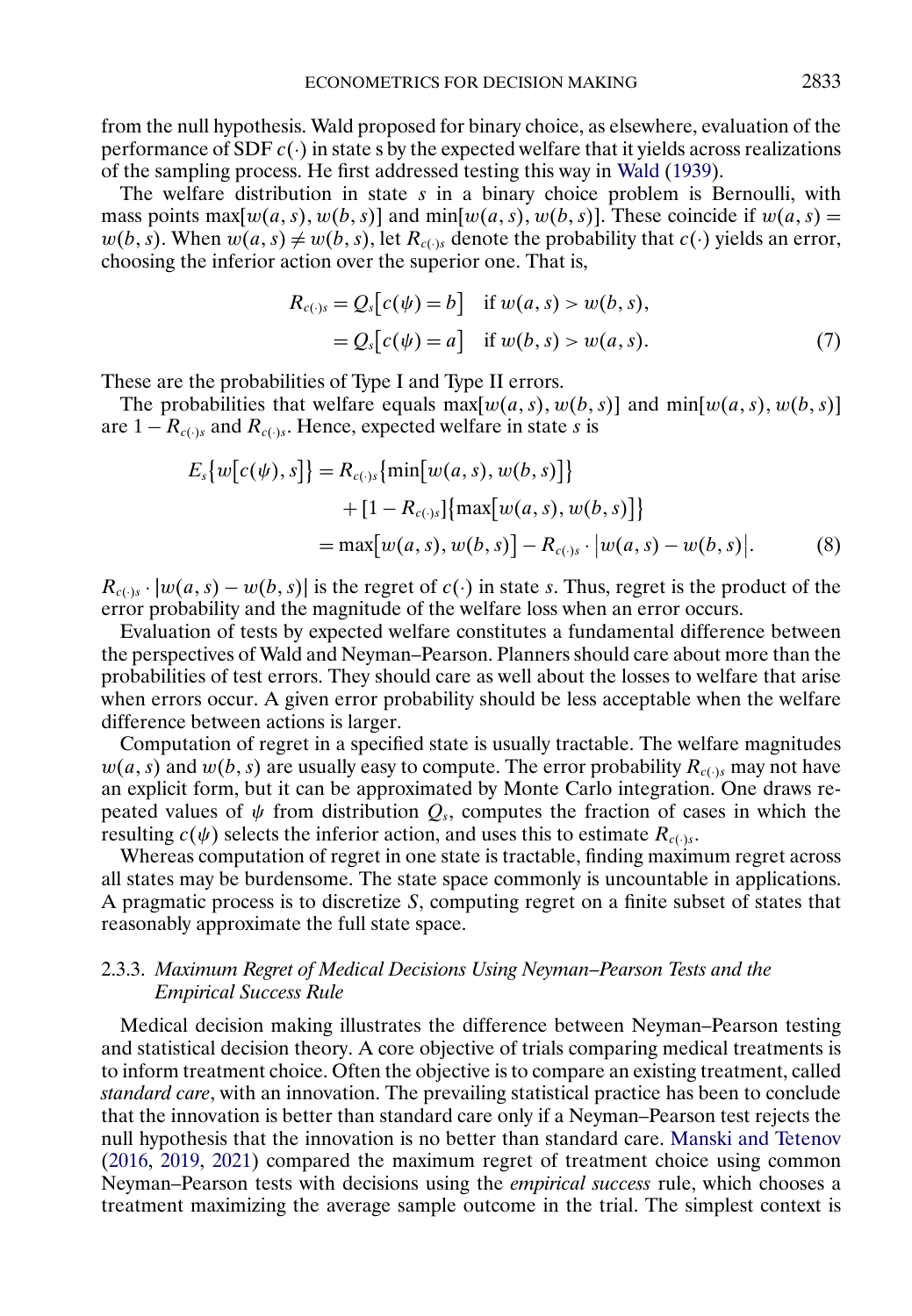<span id="page-6-0"></span>from the null hypothesis. Wald proposed for binary choice, as elsewhere, evaluation of the performance of SDF  $c(\cdot)$  in state s by the expected welfare that it yields across realizations of the sampling process. He first addressed testing this way in [Wald](#page-26-0) [\(1939\)](#page-26-0).

The welfare distribution in state  $s$  in a binary choice problem is Bernoulli, with mass points  $\max[w(a, s), w(b, s)]$  and  $\min[w(a, s), w(b, s)]$ . These coincide if  $w(a, s)$  =  $w(b, s)$ . When  $w(a, s) \neq w(b, s)$ , let  $R_{c(s)}$  denote the probability that  $c(\cdot)$  yields an error, choosing the inferior action over the superior one. That is,

$$
R_{c(\cdot)s} = Q_s[c(\psi) = b] \quad \text{if } w(a, s) > w(b, s),
$$
  
=  $Q_s[c(\psi) = a] \quad \text{if } w(b, s) > w(a, s).$  (7)

These are the probabilities of Type I and Type II errors.

The probabilities that welfare equals  $\max[w(a, s), w(b, s)]$  and  $\min[w(a, s), w(b, s)]$ are  $1 - R_{c(\cdot)s}$  and  $R_{c(\cdot)s}$ . Hence, expected welfare in state s is

$$
E_s\{w[c(\psi), s]\} = R_{c(\cdot)s}\{\min[w(a, s), w(b, s)]\}
$$
  
+ [1 - R\_{c(\cdot)s}]\{max[w(a, s), w(b, s)]\}  
= max[w(a, s), w(b, s)] - R\_{c(\cdot)s} \cdot |w(a, s) - w(b, s)|. (8)

 $R_{c(\cdot)s} \cdot |w(a, s) - w(b, s)|$  is the regret of  $c(\cdot)$  in state s. Thus, regret is the product of the error probability and the magnitude of the welfare loss when an error occurs.

Evaluation of tests by expected welfare constitutes a fundamental difference between the perspectives of Wald and Neyman–Pearson. Planners should care about more than the probabilities of test errors. They should care as well about the losses to welfare that arise when errors occur. A given error probability should be less acceptable when the welfare difference between actions is larger.

Computation of regret in a specified state is usually tractable. The welfare magnitudes  $w(a, s)$  and  $w(b, s)$  are usually easy to compute. The error probability  $R_{c(\cdot) s}$  may not have an explicit form, but it can be approximated by Monte Carlo integration. One draws repeated values of  $\psi$  from distribution  $Q_s$ , computes the fraction of cases in which the resulting  $c(\psi)$  selects the inferior action, and uses this to estimate  $R_{c(\cdot)}$ .

Whereas computation of regret in one state is tractable, finding maximum regret across all states may be burdensome. The state space commonly is uncountable in applications. A pragmatic process is to discretize S, computing regret on a finite subset of states that reasonably approximate the full state space.

# 2.3.3. *Maximum Regret of Medical Decisions Using Neyman–Pearson Tests and the Empirical Success Rule*

Medical decision making illustrates the difference between Neyman–Pearson testing and statistical decision theory. A core objective of trials comparing medical treatments is to inform treatment choice. Often the objective is to compare an existing treatment, called *standard care*, with an innovation. The prevailing statistical practice has been to conclude that the innovation is better than standard care only if a Neyman–Pearson test rejects the null hypothesis that the innovation is no better than standard care. [Manski and Tetenov](#page-26-0) [\(2016,](#page-26-0) [2019,](#page-26-0) [2021\)](#page-26-0) compared the maximum regret of treatment choice using common Neyman–Pearson tests with decisions using the *empirical success* rule, which chooses a treatment maximizing the average sample outcome in the trial. The simplest context is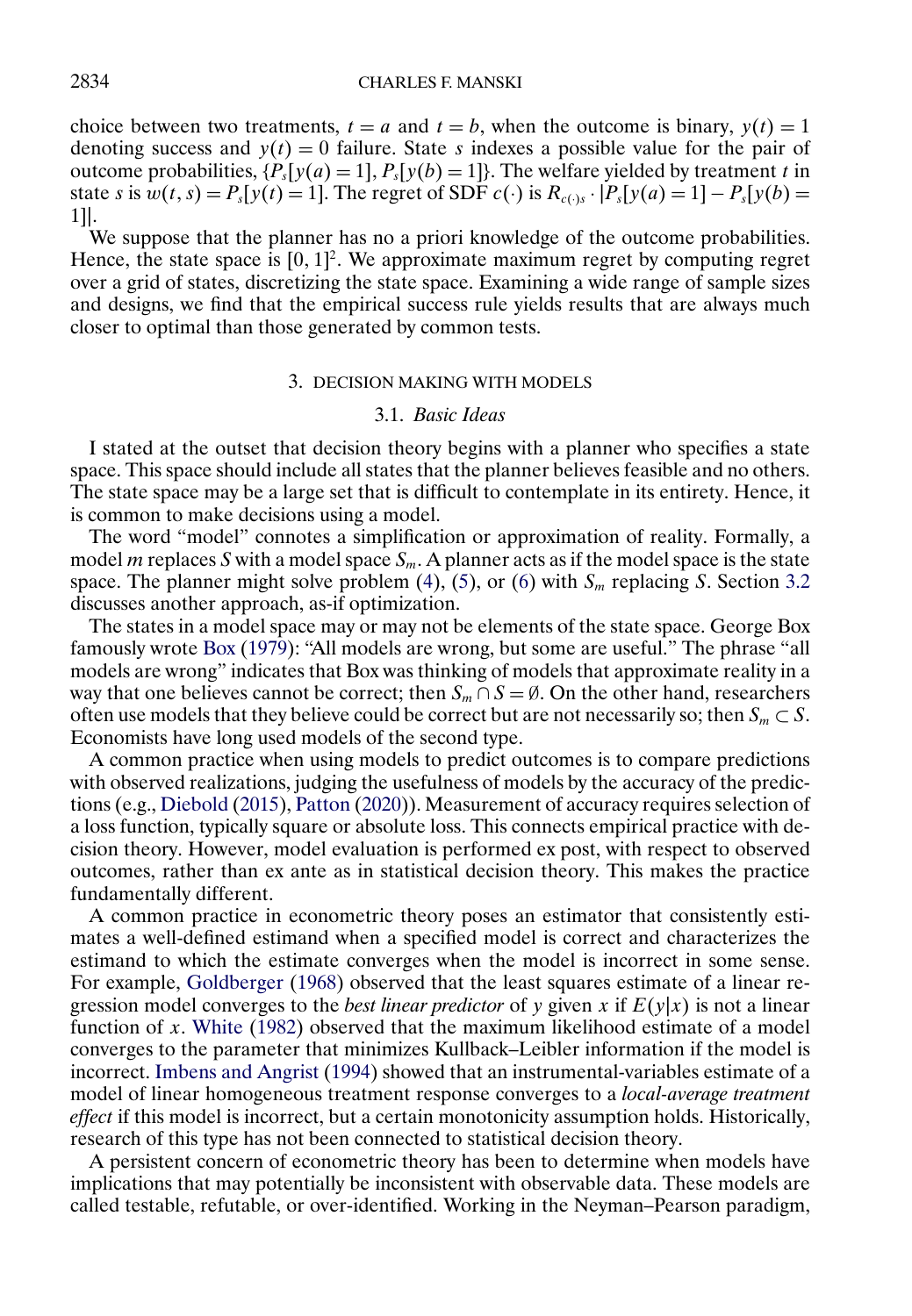<span id="page-7-0"></span>choice between two treatments,  $t = a$  and  $t = b$ , when the outcome is binary,  $y(t) = 1$ denoting success and  $y(t) = 0$  failure. State s indexes a possible value for the pair of outcome probabilities,  $\{P_s[y(a) = 1], P_s[y(b) = 1]\}$ . The welfare yielded by treatment t in state s is  $w(t, s) = P_s[y(t) = 1]$ . The regret of SDF  $c(\cdot)$  is  $R_{c(\cdot)s} \cdot |P_s[y(a) = 1] - P_s[y(b) =$ 1]|.

We suppose that the planner has no a priori knowledge of the outcome probabilities. Hence, the state space is  $[0, 1]^2$ . We approximate maximum regret by computing regret over a grid of states, discretizing the state space. Examining a wide range of sample sizes and designs, we find that the empirical success rule yields results that are always much closer to optimal than those generated by common tests.

## 3. DECISION MAKING WITH MODELS

## 3.1. *Basic Ideas*

I stated at the outset that decision theory begins with a planner who specifies a state space. This space should include all states that the planner believes feasible and no others. The state space may be a large set that is difficult to contemplate in its entirety. Hence, it is common to make decisions using a model.

The word "model" connotes a simplification or approximation of reality. Formally, a model m replaces S with a model space  $S_m$ . A planner acts as if the model space is the state space. The planner might solve problem [\(4\)](#page-4-0), [\(5\)](#page-5-0), or [\(6\)](#page-5-0) with  $S_m$  replacing S. Section [3.2](#page-9-0) discusses another approach, as-if optimization.

The states in a model space may or may not be elements of the state space. George Box famously wrote [Box](#page-24-0) [\(1979\)](#page-24-0): "All models are wrong, but some are useful." The phrase "all models are wrong" indicates that Box was thinking of models that approximate reality in a way that one believes cannot be correct; then  $S_m \cap S = \emptyset$ . On the other hand, researchers often use models that they believe could be correct but are not necessarily so; then  $S_m \subset S$ . Economists have long used models of the second type.

A common practice when using models to predict outcomes is to compare predictions with observed realizations, judging the usefulness of models by the accuracy of the predictions (e.g., [Diebold](#page-25-0) [\(2015\)](#page-25-0), [Patton](#page-26-0) [\(2020\)](#page-26-0)). Measurement of accuracy requires selection of a loss function, typically square or absolute loss. This connects empirical practice with decision theory. However, model evaluation is performed ex post, with respect to observed outcomes, rather than ex ante as in statistical decision theory. This makes the practice fundamentally different.

A common practice in econometric theory poses an estimator that consistently estimates a well-defined estimand when a specified model is correct and characterizes the estimand to which the estimate converges when the model is incorrect in some sense. For example, [Goldberger](#page-25-0) [\(1968\)](#page-25-0) observed that the least squares estimate of a linear regression model converges to the *best linear predictor* of y given x if  $E(y|x)$  is not a linear function of  $x$ . [White](#page-26-0) [\(1982\)](#page-26-0) observed that the maximum likelihood estimate of a model converges to the parameter that minimizes Kullback–Leibler information if the model is incorrect. [Imbens and Angrist](#page-25-0) [\(1994\)](#page-25-0) showed that an instrumental-variables estimate of a model of linear homogeneous treatment response converges to a *local-average treatment effect* if this model is incorrect, but a certain monotonicity assumption holds. Historically, research of this type has not been connected to statistical decision theory.

A persistent concern of econometric theory has been to determine when models have implications that may potentially be inconsistent with observable data. These models are called testable, refutable, or over-identified. Working in the Neyman–Pearson paradigm,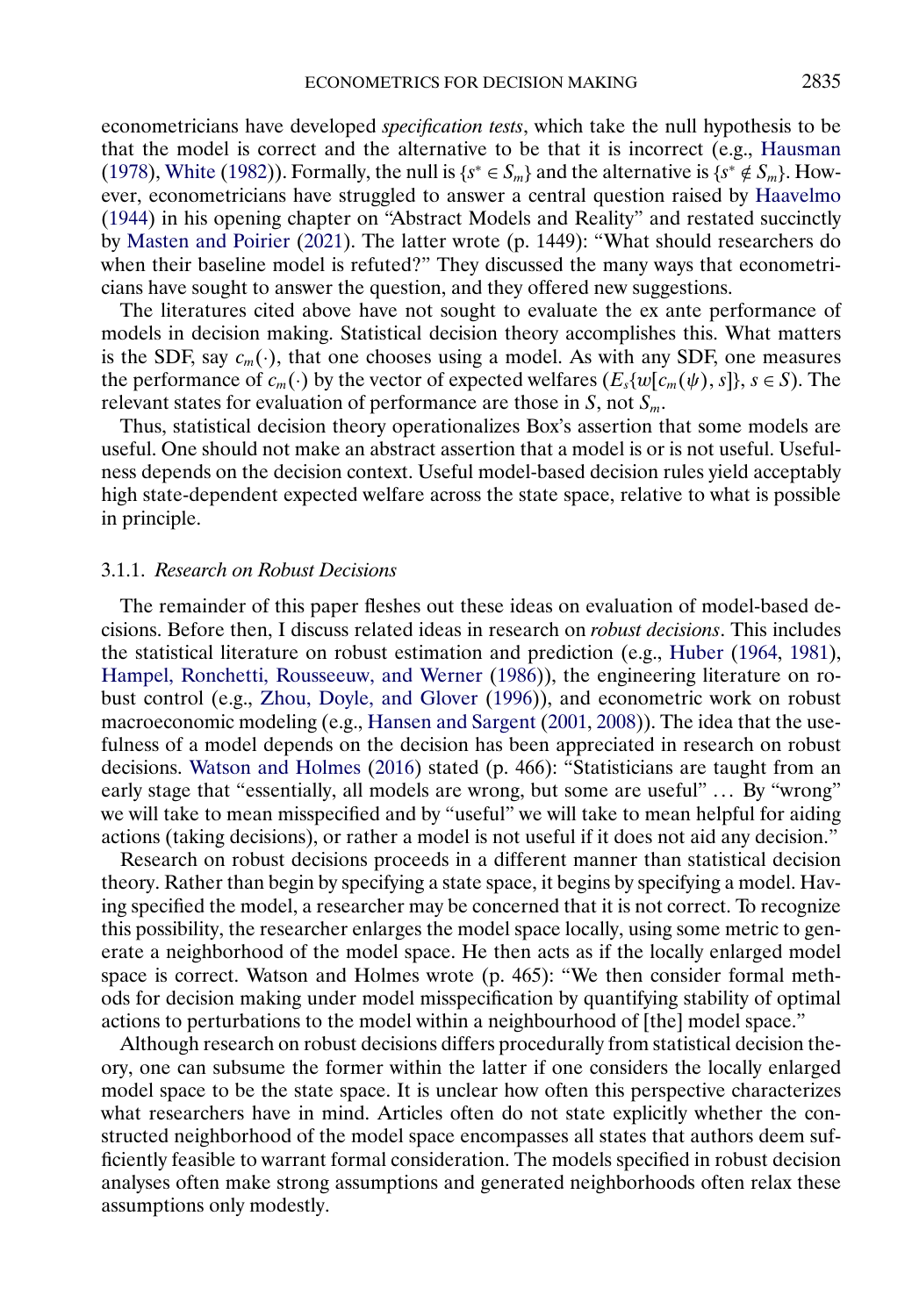<span id="page-8-0"></span>econometricians have developed *specification tests*, which take the null hypothesis to be that the model is correct and the alternative to be that it is incorrect (e.g., [Hausman](#page-25-0) [\(1978\)](#page-25-0), [White](#page-26-0) [\(1982\)](#page-26-0)). Formally, the null is  $\{s^* \in S_m\}$  and the alternative is  $\{s^* \notin S_m\}$ . However, econometricians have struggled to answer a central question raised by [Haavelmo](#page-25-0) [\(1944\)](#page-25-0) in his opening chapter on "Abstract Models and Reality" and restated succinctly by [Masten and Poirier](#page-26-0) [\(2021\)](#page-26-0). The latter wrote (p. 1449): "What should researchers do when their baseline model is refuted?" They discussed the many ways that econometricians have sought to answer the question, and they offered new suggestions.

The literatures cited above have not sought to evaluate the ex ante performance of models in decision making. Statistical decision theory accomplishes this. What matters is the SDF, say  $c_m(\cdot)$ , that one chooses using a model. As with any SDF, one measures the performance of  $c_m(\cdot)$  by the vector of expected welfares  $(E_s\{w[c_m(\psi), s]\}, s \in S)$ . The relevant states for evaluation of performance are those in  $S$ , not  $S_m$ .

Thus, statistical decision theory operationalizes Box's assertion that some models are useful. One should not make an abstract assertion that a model is or is not useful. Usefulness depends on the decision context. Useful model-based decision rules yield acceptably high state-dependent expected welfare across the state space, relative to what is possible in principle.

#### 3.1.1. *Research on Robust Decisions*

The remainder of this paper fleshes out these ideas on evaluation of model-based decisions. Before then, I discuss related ideas in research on *robust decisions*. This includes the statistical literature on robust estimation and prediction (e.g., [Huber](#page-25-0) [\(1964,](#page-25-0) [1981\)](#page-25-0), [Hampel, Ronchetti, Rousseeuw, and Werner](#page-25-0) [\(1986\)](#page-25-0)), the engineering literature on robust control (e.g., [Zhou, Doyle, and Glover](#page-26-0) [\(1996\)](#page-26-0)), and econometric work on robust macroeconomic modeling (e.g., [Hansen and Sargent](#page-25-0) [\(2001,](#page-25-0) [2008\)](#page-25-0)). The idea that the usefulness of a model depends on the decision has been appreciated in research on robust decisions. [Watson and Holmes](#page-26-0) [\(2016\)](#page-26-0) stated (p. 466): "Statisticians are taught from an early stage that "essentially, all models are wrong, but some are useful" ... By "wrong" we will take to mean misspecified and by "useful" we will take to mean helpful for aiding actions (taking decisions), or rather a model is not useful if it does not aid any decision."

Research on robust decisions proceeds in a different manner than statistical decision theory. Rather than begin by specifying a state space, it begins by specifying a model. Having specified the model, a researcher may be concerned that it is not correct. To recognize this possibility, the researcher enlarges the model space locally, using some metric to generate a neighborhood of the model space. He then acts as if the locally enlarged model space is correct. Watson and Holmes wrote (p. 465): "We then consider formal methods for decision making under model misspecification by quantifying stability of optimal actions to perturbations to the model within a neighbourhood of [the] model space."

Although research on robust decisions differs procedurally from statistical decision theory, one can subsume the former within the latter if one considers the locally enlarged model space to be the state space. It is unclear how often this perspective characterizes what researchers have in mind. Articles often do not state explicitly whether the constructed neighborhood of the model space encompasses all states that authors deem sufficiently feasible to warrant formal consideration. The models specified in robust decision analyses often make strong assumptions and generated neighborhoods often relax these assumptions only modestly.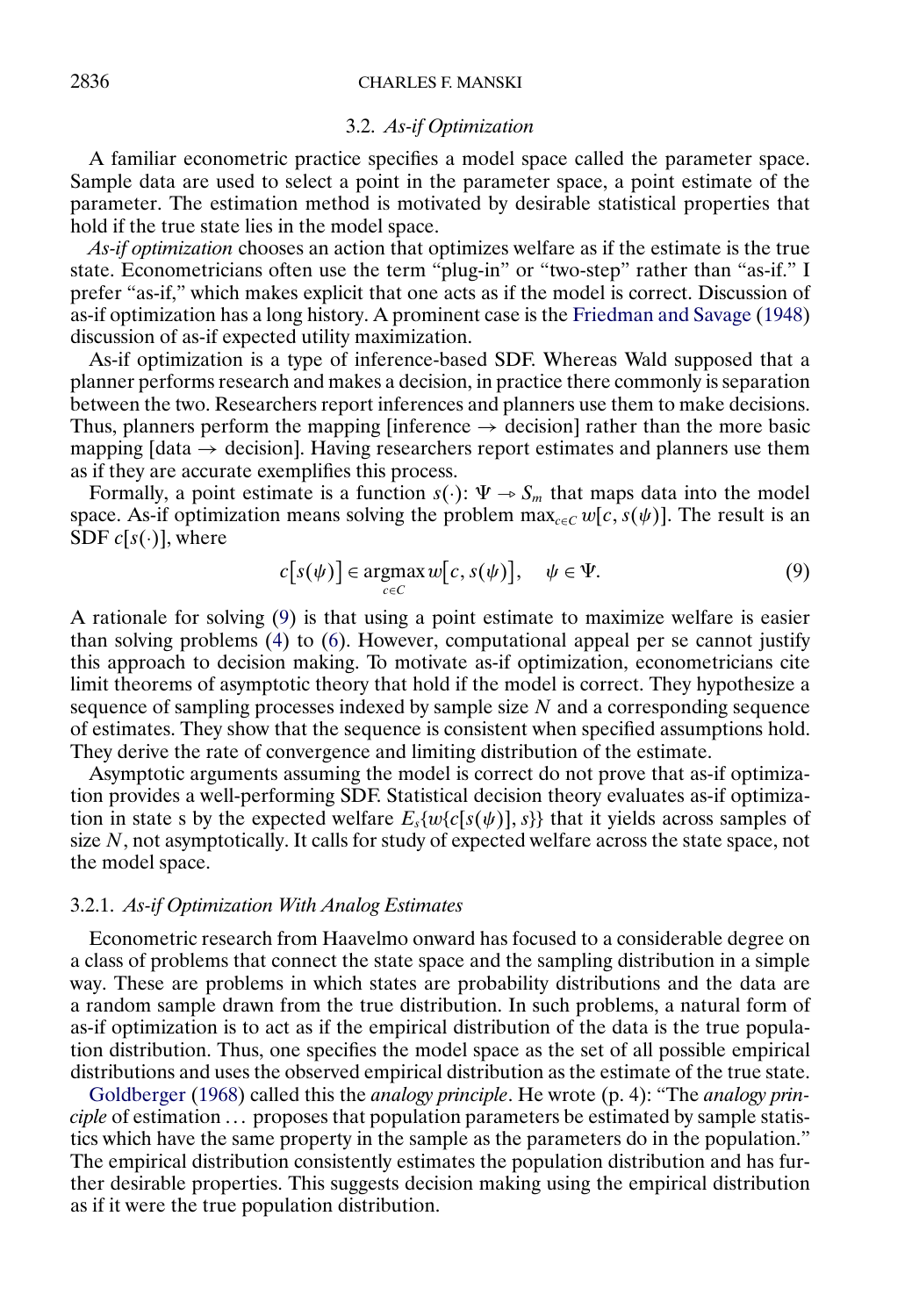# <span id="page-9-0"></span>2836 CHARLES F. MANSKI

#### 3.2. *As-if Optimization*

A familiar econometric practice specifies a model space called the parameter space. Sample data are used to select a point in the parameter space, a point estimate of the parameter. The estimation method is motivated by desirable statistical properties that hold if the true state lies in the model space.

*As-if optimization* chooses an action that optimizes welfare as if the estimate is the true state. Econometricians often use the term "plug-in" or "two-step" rather than "as-if." I prefer "as-if," which makes explicit that one acts as if the model is correct. Discussion of as-if optimization has a long history. A prominent case is the [Friedman and Savage](#page-25-0) [\(1948\)](#page-25-0) discussion of as-if expected utility maximization.

As-if optimization is a type of inference-based SDF. Whereas Wald supposed that a planner performs research and makes a decision, in practice there commonly is separation between the two. Researchers report inferences and planners use them to make decisions. Thus, planners perform the mapping [inference  $\rightarrow$  decision] rather than the more basic mapping  $[data \rightarrow decision]$ . Having researchers report estimates and planners use them as if they are accurate exemplifies this process.

Formally, a point estimate is a function  $s(\cdot): \Psi \to S_m$  that maps data into the model space. As-if optimization means solving the problem  $\max_{c \in C} w[c, s(\psi)]$ . The result is an SDF  $c[s(\cdot)]$ , where

$$
c[s(\psi)] \in \underset{c \in C}{\operatorname{argmax}} w[c, s(\psi)], \quad \psi \in \Psi. \tag{9}
$$

A rationale for solving (9) is that using a point estimate to maximize welfare is easier than solving problems [\(4\)](#page-4-0) to [\(6\)](#page-5-0). However, computational appeal per se cannot justify this approach to decision making. To motivate as-if optimization, econometricians cite limit theorems of asymptotic theory that hold if the model is correct. They hypothesize a sequence of sampling processes indexed by sample size  $N$  and a corresponding sequence of estimates. They show that the sequence is consistent when specified assumptions hold. They derive the rate of convergence and limiting distribution of the estimate.

Asymptotic arguments assuming the model is correct do not prove that as-if optimization provides a well-performing SDF. Statistical decision theory evaluates as-if optimization in state s by the expected welfare  $E_s\{w\{c[s(\psi)],s\}\}\)$  that it yields across samples of size  $N$ , not asymptotically. It calls for study of expected welfare across the state space, not the model space.

# 3.2.1. *As-if Optimization With Analog Estimates*

Econometric research from Haavelmo onward has focused to a considerable degree on a class of problems that connect the state space and the sampling distribution in a simple way. These are problems in which states are probability distributions and the data are a random sample drawn from the true distribution. In such problems, a natural form of as-if optimization is to act as if the empirical distribution of the data is the true population distribution. Thus, one specifies the model space as the set of all possible empirical distributions and uses the observed empirical distribution as the estimate of the true state.

[Goldberger](#page-25-0) [\(1968\)](#page-25-0) called this the *analogy principle*. He wrote (p. 4): "The *analogy principle* of estimation ... proposes that population parameters be estimated by sample statistics which have the same property in the sample as the parameters do in the population." The empirical distribution consistently estimates the population distribution and has further desirable properties. This suggests decision making using the empirical distribution as if it were the true population distribution.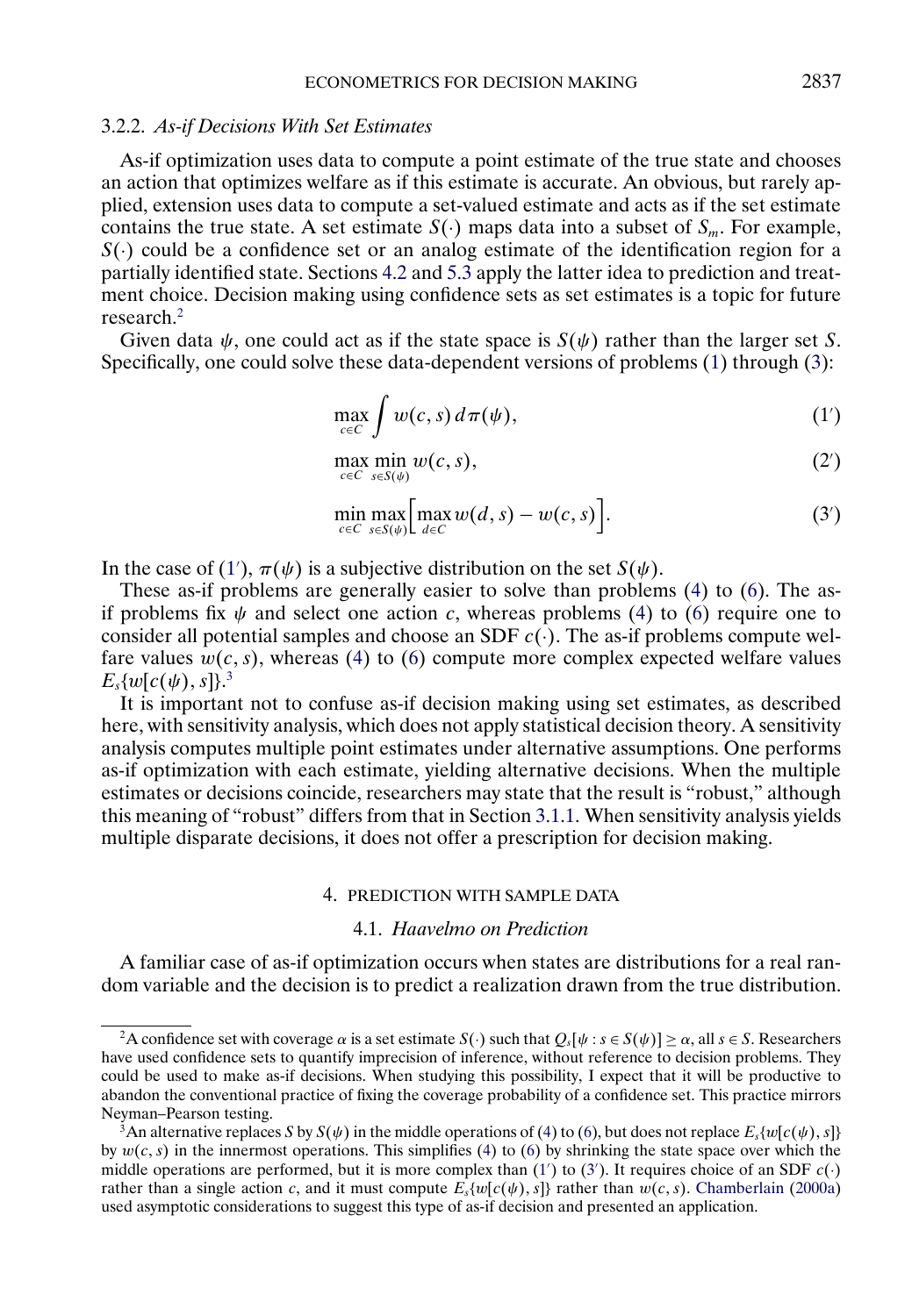#### <span id="page-10-0"></span>3.2.2. *As-if Decisions With Set Estimates*

As-if optimization uses data to compute a point estimate of the true state and chooses an action that optimizes welfare as if this estimate is accurate. An obvious, but rarely applied, extension uses data to compute a set-valued estimate and acts as if the set estimate contains the true state. A set estimate  $S(\cdot)$  maps data into a subset of  $S_m$ . For example,  $S(\cdot)$  could be a confidence set or an analog estimate of the identification region for a partially identified state. Sections [4.2](#page-12-0) and [5.3](#page-18-0) apply the latter idea to prediction and treatment choice. Decision making using confidence sets as set estimates is a topic for future research.2

Given data  $\psi$ , one could act as if the state space is  $S(\psi)$  rather than the larger set S. Specifically, one could solve these data-dependent versions of problems [\(1\)](#page-3-0) through [\(3\)](#page-3-0):

$$
\max_{c \in C} \int w(c, s) d\pi(\psi), \tag{1'}
$$

$$
\max_{c \in C} \min_{s \in S(\psi)} w(c, s),\tag{2'}
$$

$$
\min_{c \in C} \max_{s \in S(\psi)} \left[ \max_{d \in C} w(d, s) - w(c, s) \right]. \tag{3'}
$$

In the case of (1'),  $\pi(\psi)$  is a subjective distribution on the set  $S(\psi)$ .

These as-if problems are generally easier to solve than problems [\(4\)](#page-4-0) to [\(6\)](#page-5-0). The asif problems fix  $\psi$  and select one action c, whereas problems [\(4\)](#page-4-0) to [\(6\)](#page-5-0) require one to consider all potential samples and choose an SDF  $c(.)$ . The as-if problems compute welfare values  $w(c, s)$ , whereas [\(4\)](#page-4-0) to [\(6\)](#page-5-0) compute more complex expected welfare values  $E_s\{w[c(\psi),s]\}.^3$ 

It is important not to confuse as-if decision making using set estimates, as described here, with sensitivity analysis, which does not apply statistical decision theory. A sensitivity analysis computes multiple point estimates under alternative assumptions. One performs as-if optimization with each estimate, yielding alternative decisions. When the multiple estimates or decisions coincide, researchers may state that the result is "robust," although this meaning of "robust" differs from that in Section [3.1.1.](#page-8-0) When sensitivity analysis yields multiple disparate decisions, it does not offer a prescription for decision making.

#### 4. PREDICTION WITH SAMPLE DATA

# 4.1. *Haavelmo on Prediction*

A familiar case of as-if optimization occurs when states are distributions for a real random variable and the decision is to predict a realization drawn from the true distribution.

<sup>&</sup>lt;sup>2</sup>A confidence set with coverage  $\alpha$  is a set estimate  $S(\cdot)$  such that  $Q_s[\psi : s \in S(\psi)] \ge \alpha$ , all  $s \in S$ . Researchers have used confidence sets to quantify imprecision of inference, without reference to decision problems. They could be used to make as-if decisions. When studying this possibility, I expect that it will be productive to abandon the conventional practice of fixing the coverage probability of a confidence set. This practice mirrors Neyman–Pearson testing.

<sup>&</sup>lt;sup>3</sup>An alternative replaces S by  $S(\psi)$  in the middle operations of [\(4\)](#page-4-0) to [\(6\)](#page-5-0), but does not replace  $E_s\{w[c(\psi), s]\}$ by  $w(c, s)$  in the innermost operations. This simplifies [\(4\)](#page-4-0) to [\(6\)](#page-5-0) by shrinking the state space over which the middle operations are performed, but it is more complex than  $(1')$  to  $(3')$ . It requires choice of an SDF  $c(\cdot)$ rather than a single action c, and it must compute  $E_s\{w[c(\psi), s]\}$  rather than  $w(c, s)$ . [Chamberlain](#page-24-0) [\(2000a\)](#page-24-0) used asymptotic considerations to suggest this type of as-if decision and presented an application.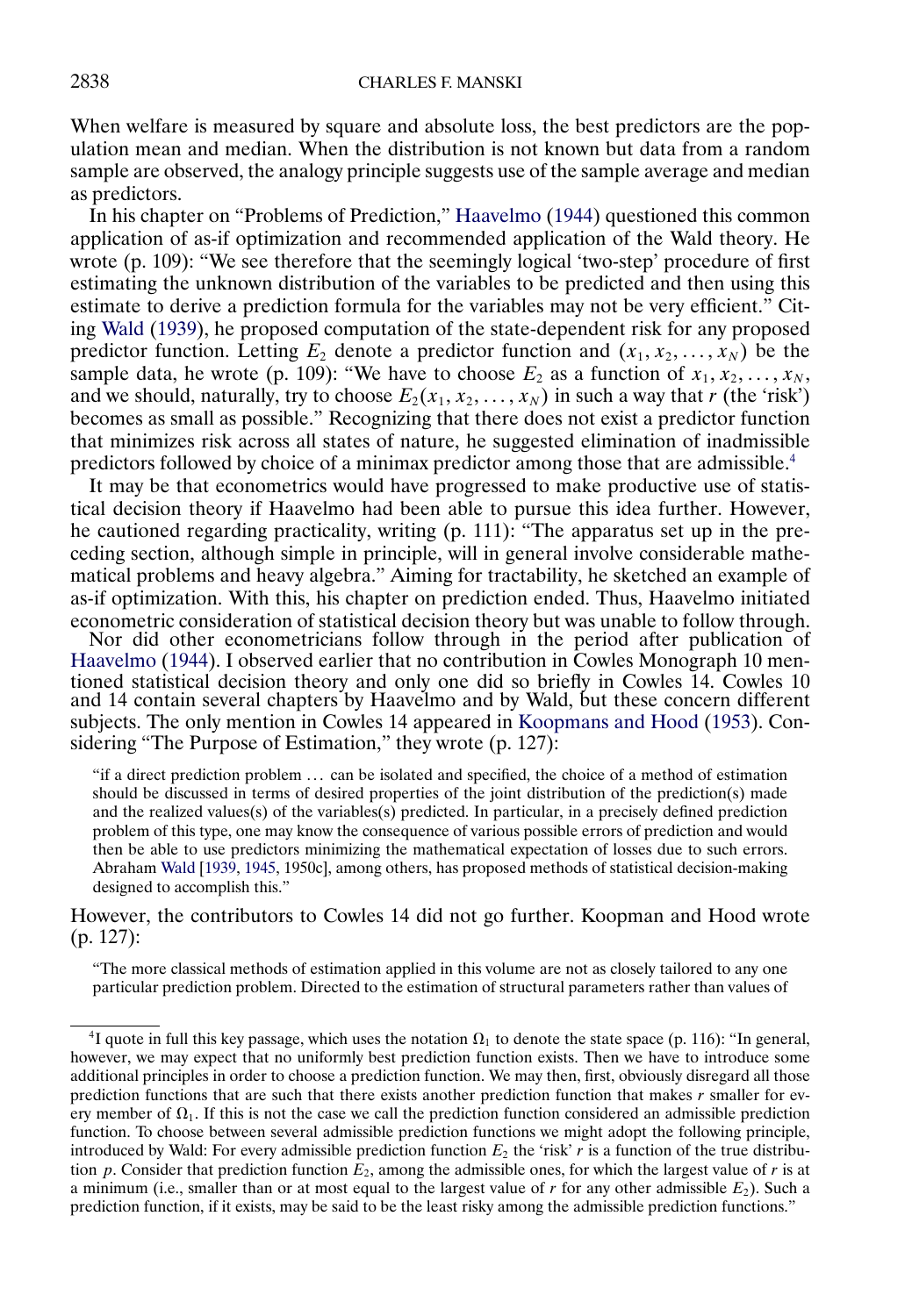<span id="page-11-0"></span>When welfare is measured by square and absolute loss, the best predictors are the population mean and median. When the distribution is not known but data from a random sample are observed, the analogy principle suggests use of the sample average and median as predictors.

In his chapter on "Problems of Prediction," [Haavelmo](#page-25-0) [\(1944\)](#page-25-0) questioned this common application of as-if optimization and recommended application of the Wald theory. He wrote (p. 109): "We see therefore that the seemingly logical 'two-step' procedure of first estimating the unknown distribution of the variables to be predicted and then using this estimate to derive a prediction formula for the variables may not be very efficient." Citing [Wald](#page-26-0) [\(1939\)](#page-26-0), he proposed computation of the state-dependent risk for any proposed predictor function. Letting  $E_2$  denote a predictor function and  $(x_1, x_2, \ldots, x_N)$  be the sample data, he wrote (p. 109): "We have to choose  $E_2$  as a function of  $x_1, x_2, \ldots, x_N$ , and we should, naturally, try to choose  $E_2(x_1, x_2, ..., x_N)$  in such a way that r (the 'risk') becomes as small as possible." Recognizing that there does not exist a predictor function that minimizes risk across all states of nature, he suggested elimination of inadmissible predictors followed by choice of a minimax predictor among those that are admissible.4

It may be that econometrics would have progressed to make productive use of statistical decision theory if Haavelmo had been able to pursue this idea further. However, he cautioned regarding practicality, writing (p. 111): "The apparatus set up in the preceding section, although simple in principle, will in general involve considerable mathematical problems and heavy algebra." Aiming for tractability, he sketched an example of as-if optimization. With this, his chapter on prediction ended. Thus, Haavelmo initiated

econometric consideration of statistical decision theory but was unable to follow through. Nor did other econometricians follow through in the period after publication of [Haavelmo](#page-25-0) [\(1944\)](#page-25-0). I observed earlier that no contribution in Cowles Monograph 10 mentioned statistical decision theory and only one did so briefly in Cowles 14. Cowles 10 and 14 contain several chapters by Haavelmo and by Wald, but these concern different subjects. The only mention in Cowles 14 appeared in [Koopmans and Hood](#page-25-0) [\(1953\)](#page-25-0). Considering "The Purpose of Estimation," they wrote (p. 127).

"if a direct prediction problem . . . can be isolated and specified, the choice of a method of estimation should be discussed in terms of desired properties of the joint distribution of the prediction(s) made and the realized values(s) of the variables(s) predicted. In particular, in a precisely defined prediction problem of this type, one may know the consequence of various possible errors of prediction and would then be able to use predictors minimizing the mathematical expectation of losses due to such errors. Abraham [Wald](#page-26-0) [\[1939,](#page-26-0) [1945,](#page-26-0) 1950c], among others, has proposed methods of statistical decision-making designed to accomplish this."

However, the contributors to Cowles 14 did not go further. Koopman and Hood wrote (p. 127):

"The more classical methods of estimation applied in this volume are not as closely tailored to any one particular prediction problem. Directed to the estimation of structural parameters rather than values of

<sup>&</sup>lt;sup>4</sup>I quote in full this key passage, which uses the notation  $\Omega_1$  to denote the state space (p. 116): "In general, however, we may expect that no uniformly best prediction function exists. Then we have to introduce some additional principles in order to choose a prediction function. We may then, first, obviously disregard all those prediction functions that are such that there exists another prediction function that makes  $r$  smaller for every member of  $\Omega_1$ . If this is not the case we call the prediction function considered an admissible prediction function. To choose between several admissible prediction functions we might adopt the following principle, introduced by Wald: For every admissible prediction function  $E_2$  the 'risk' r is a function of the true distribution p. Consider that prediction function  $E_2$ , among the admissible ones, for which the largest value of r is at a minimum (i.e., smaller than or at most equal to the largest value of r for any other admissible  $E_2$ ). Such a prediction function, if it exists, may be said to be the least risky among the admissible prediction functions."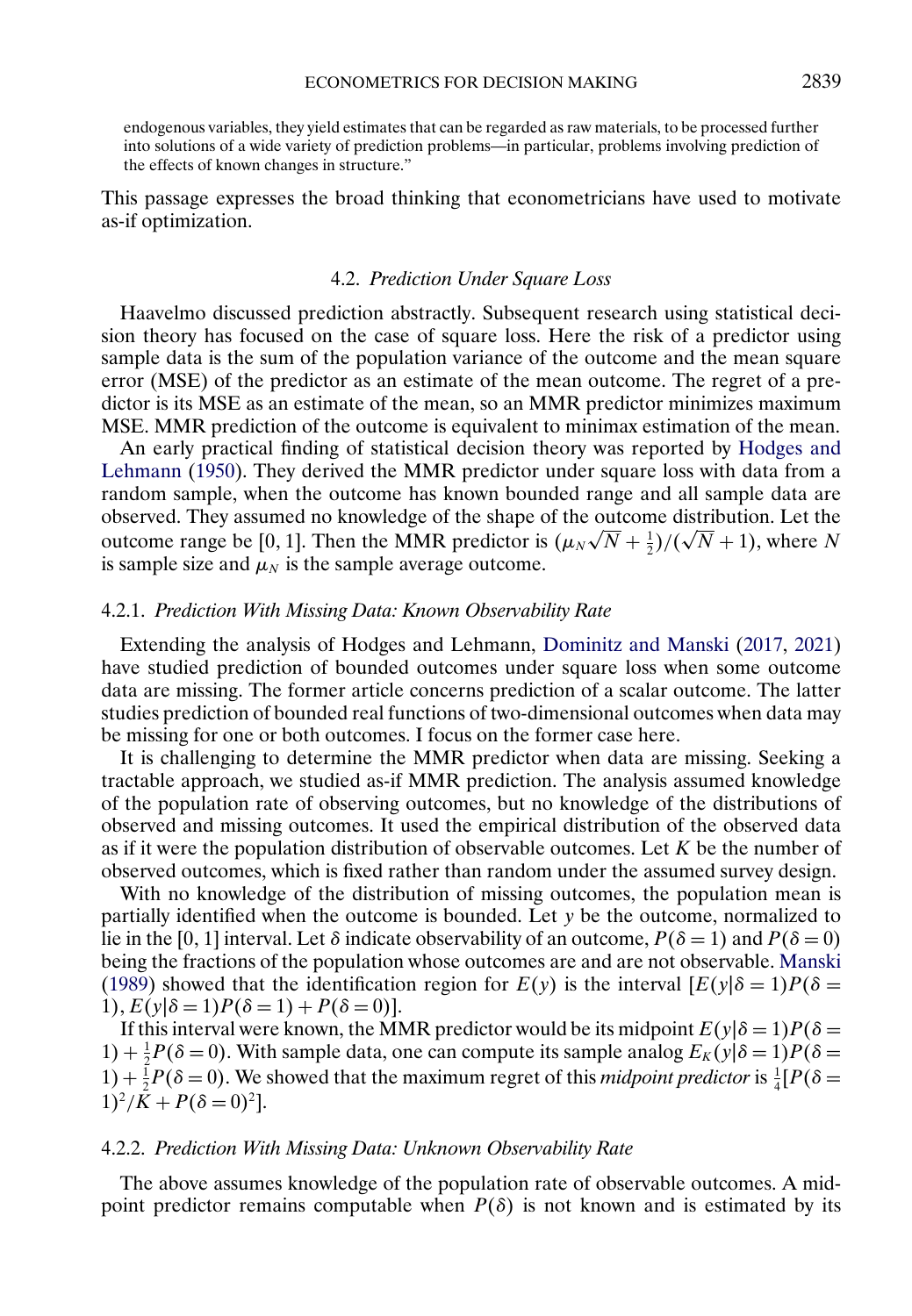<span id="page-12-0"></span>endogenous variables, they yield estimates that can be regarded as raw materials, to be processed further into solutions of a wide variety of prediction problems—in particular, problems involving prediction of the effects of known changes in structure."

This passage expresses the broad thinking that econometricians have used to motivate as-if optimization.

### 4.2. *Prediction Under Square Loss*

Haavelmo discussed prediction abstractly. Subsequent research using statistical decision theory has focused on the case of square loss. Here the risk of a predictor using sample data is the sum of the population variance of the outcome and the mean square error (MSE) of the predictor as an estimate of the mean outcome. The regret of a predictor is its MSE as an estimate of the mean, so an MMR predictor minimizes maximum MSE. MMR prediction of the outcome is equivalent to minimax estimation of the mean.

An early practical finding of statistical decision theory was reported by [Hodges and](#page-25-0) [Lehmann](#page-25-0) [\(1950\)](#page-25-0). They derived the MMR predictor under square loss with data from a random sample, when the outcome has known bounded range and all sample data are observed. They assumed no knowledge of the shape of the outcome distribution. Let the outcome range be [0, 1]. Then the MMR predictor is  $(\mu_N \sqrt{N} + \frac{1}{2})/(\sqrt{N} + 1)$ , where N is sample size and  $\mu_N$  is the sample average outcome.

#### 4.2.1. *Prediction With Missing Data: Known Observability Rate*

Extending the analysis of Hodges and Lehmann, [Dominitz and Manski](#page-25-0) [\(2017,](#page-25-0) [2021\)](#page-25-0) have studied prediction of bounded outcomes under square loss when some outcome data are missing. The former article concerns prediction of a scalar outcome. The latter studies prediction of bounded real functions of two-dimensional outcomes when data may be missing for one or both outcomes. I focus on the former case here.

It is challenging to determine the MMR predictor when data are missing. Seeking a tractable approach, we studied as-if MMR prediction. The analysis assumed knowledge of the population rate of observing outcomes, but no knowledge of the distributions of observed and missing outcomes. It used the empirical distribution of the observed data as if it were the population distribution of observable outcomes. Let  $K$  be the number of observed outcomes, which is fixed rather than random under the assumed survey design.

With no knowledge of the distribution of missing outcomes, the population mean is partially identified when the outcome is bounded. Let y be the outcome, normalized to lie in the [0, 1] interval. Let  $\delta$  indicate observability of an outcome,  $P(\delta = 1)$  and  $P(\delta = 0)$ being the fractions of the population whose outcomes are and are not observable. [Manski](#page-25-0) [\(1989\)](#page-25-0) showed that the identification region for  $E(y)$  is the interval  $[E(y|\delta=1)P(\delta=1)]$ 1),  $E(y|\delta = 1)P(\delta = 1) + P(\delta = 0)$ .

If this interval were known, the MMR predictor would be its midpoint  $E(y|\delta=1)P(\delta=1)$  $1) + \frac{1}{2}P(\delta = 0)$ . With sample data, one can compute its sample analog  $E_K(y|\delta = 1)P(\delta = 1)$ 1) +  $\frac{1}{2}P(\delta = 0)$ . We showed that the maximum regret of this *midpoint predictor* is  $\frac{1}{4}[P(\delta = 1)]$  $1)^2/K + P(\delta = 0)^2$ .

## 4.2.2. *Prediction With Missing Data: Unknown Observability Rate*

The above assumes knowledge of the population rate of observable outcomes. A midpoint predictor remains computable when  $P(\delta)$  is not known and is estimated by its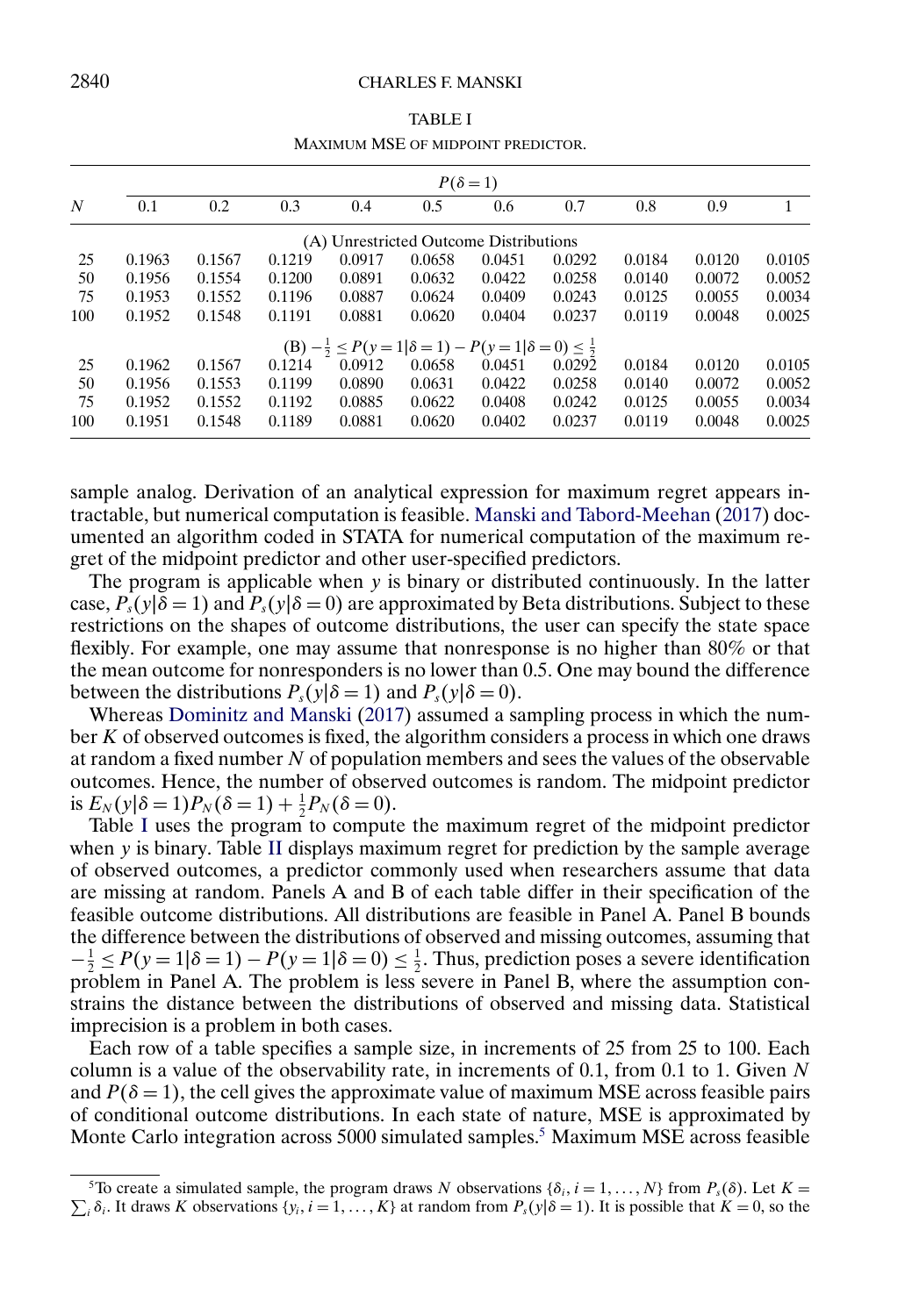#### <span id="page-13-0"></span>2840 CHARLES F. MANSKI

|               | INIAAIMUM INSE OF MIDPOINT FREDICTOR.                                     |        |        |        |        |        |        |        |        |        |
|---------------|---------------------------------------------------------------------------|--------|--------|--------|--------|--------|--------|--------|--------|--------|
| $P(\delta=1)$ |                                                                           |        |        |        |        |        |        |        |        |        |
| N             | 0.1                                                                       | 0.2    | 0.3    | 0.4    | 0.5    | 0.6    | 0.7    | 0.8    | 0.9    | 1      |
|               | (A) Unrestricted Outcome Distributions                                    |        |        |        |        |        |        |        |        |        |
| 25            | 0.1963                                                                    | 0.1567 | 0.1219 | 0.0917 | 0.0658 | 0.0451 | 0.0292 | 0.0184 | 0.0120 | 0.0105 |
| 50            | 0.1956                                                                    | 0.1554 | 0.1200 | 0.0891 | 0.0632 | 0.0422 | 0.0258 | 0.0140 | 0.0072 | 0.0052 |
| 75            | 0.1953                                                                    | 0.1552 | 0.1196 | 0.0887 | 0.0624 | 0.0409 | 0.0243 | 0.0125 | 0.0055 | 0.0034 |
| 100           | 0.1952                                                                    | 0.1548 | 0.1191 | 0.0881 | 0.0620 | 0.0404 | 0.0237 | 0.0119 | 0.0048 | 0.0025 |
|               | $(B) - \frac{1}{2} \le P(y=1 \delta=1) - P(y=1 \delta=0) \le \frac{1}{2}$ |        |        |        |        |        |        |        |        |        |
| 25            | 0.1962                                                                    | 0.1567 | 0.1214 | 0.0912 | 0.0658 | 0.0451 | 0.0292 | 0.0184 | 0.0120 | 0.0105 |
| 50            | 0.1956                                                                    | 0.1553 | 0.1199 | 0.0890 | 0.0631 | 0.0422 | 0.0258 | 0.0140 | 0.0072 | 0.0052 |
| 75            | 0.1952                                                                    | 0.1552 | 0.1192 | 0.0885 | 0.0622 | 0.0408 | 0.0242 | 0.0125 | 0.0055 | 0.0034 |
| 100           | 0.1951                                                                    | 0.1548 | 0.1189 | 0.0881 | 0.0620 | 0.0402 | 0.0237 | 0.0119 | 0.0048 | 0.0025 |

TABLE I MAXIMUM MSE OF MIDPOINT PREDICTOR.

sample analog. Derivation of an analytical expression for maximum regret appears intractable, but numerical computation is feasible. [Manski and Tabord-Meehan](#page-26-0) [\(2017\)](#page-26-0) documented an algorithm coded in STATA for numerical computation of the maximum regret of the midpoint predictor and other user-specified predictors.

The program is applicable when y is binary or distributed continuously. In the latter case,  $P_s(y|\delta = 1)$  and  $P_s(y|\delta = 0)$  are approximated by Beta distributions. Subject to these restrictions on the shapes of outcome distributions, the user can specify the state space flexibly. For example, one may assume that nonresponse is no higher than 80% or that the mean outcome for nonresponders is no lower than 0.5. One may bound the difference between the distributions  $P_s(y|\delta = 1)$  and  $P_s(y|\delta = 0)$ .

Whereas [Dominitz and Manski](#page-25-0) [\(2017\)](#page-25-0) assumed a sampling process in which the number K of observed outcomes is fixed, the algorithm considers a process in which one draws at random a fixed number N of population members and sees the values of the observable outcomes. Hence, the number of observed outcomes is random. The midpoint predictor is  $E_N(y|\delta = 1)P_N(\delta = 1) + \frac{1}{2}P_N(\delta = 0)$ .

Table I uses the program to compute the maximum regret of the midpoint predictor when y is binary. Table [II](#page-14-0) displays maximum regret for prediction by the sample average of observed outcomes, a predictor commonly used when researchers assume that data are missing at random. Panels A and B of each table differ in their specification of the feasible outcome distributions. All distributions are feasible in Panel A. Panel B bounds the difference between the distributions of observed and missing outcomes, assuming that  $-\frac{1}{2} \le P(y=1|\delta=1) - P(y=1|\delta=0) \le \frac{1}{2}$ . Thus, prediction poses a severe identification problem in Panel A. The problem is less severe in Panel B, where the assumption constrains the distance between the distributions of observed and missing data. Statistical imprecision is a problem in both cases.

Each row of a table specifies a sample size, in increments of 25 from 25 to 100. Each column is a value of the observability rate, in increments of 0.1, from 0.1 to 1. Given  $N$ and  $P(\delta = 1)$ , the cell gives the approximate value of maximum MSE across feasible pairs of conditional outcome distributions. In each state of nature, MSE is approximated by Monte Carlo integration across 5000 simulated samples.<sup>5</sup> Maximum MSE across feasible

<sup>&</sup>lt;sup>5</sup>To create a simulated sample, the program draws N observations { $\delta_i$ ,  $i = 1, ..., N$ } from  $P_s(\delta)$ . Let  $K =$  $\sum_i \delta_i$ . It draws K observations  $\{y_i, i = 1, ..., K\}$  at random from  $P_s(y|\delta = 1)$ . It is possible that  $K = 0$ , so the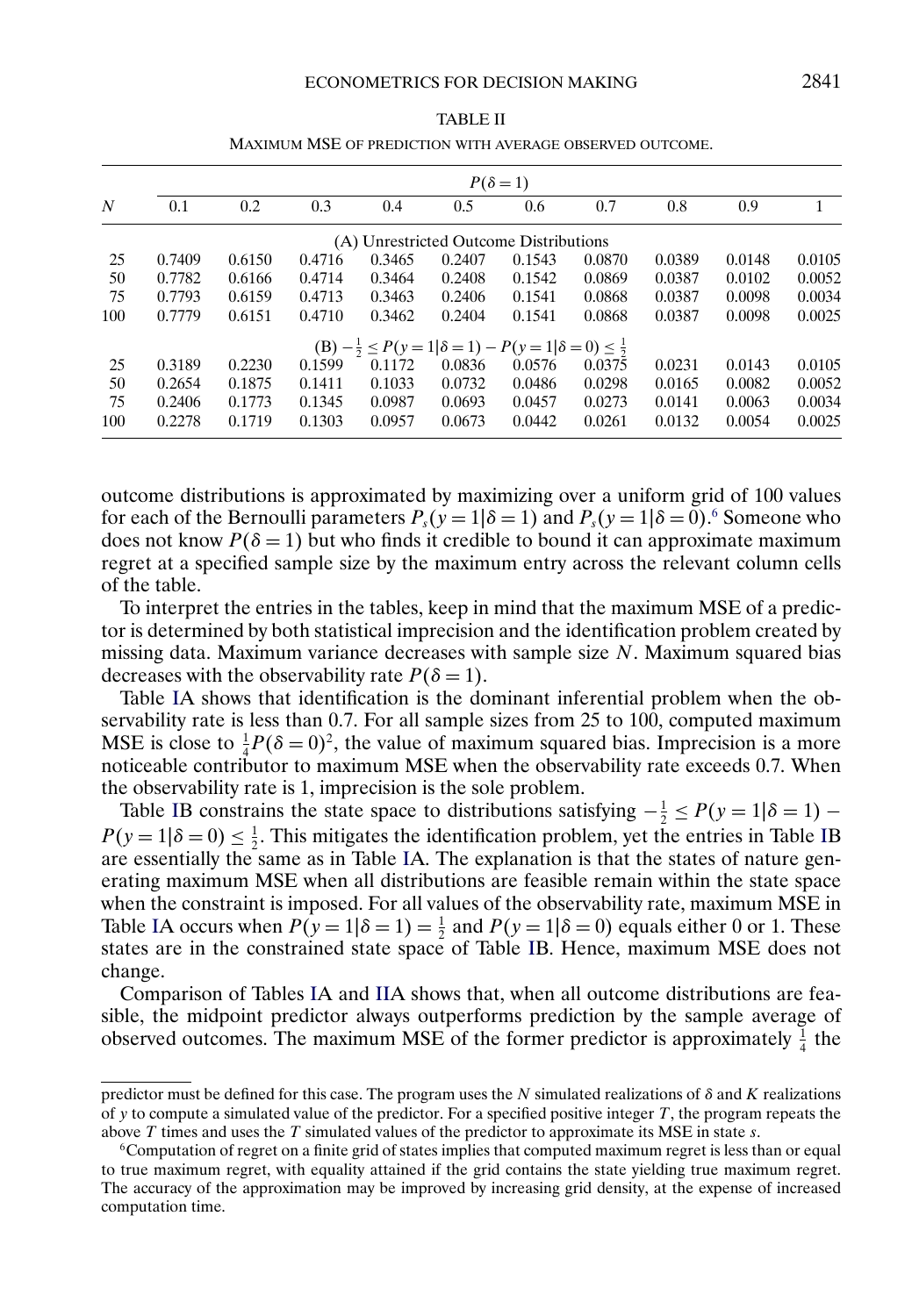<span id="page-14-0"></span>

|                |        | $P(\delta=1)$ |        |        |        |                                                                           |        |        |        |        |  |
|----------------|--------|---------------|--------|--------|--------|---------------------------------------------------------------------------|--------|--------|--------|--------|--|
| $\overline{N}$ | 0.1    | 0.2           | 0.3    | 0.4    | 0.5    | 0.6                                                                       | 0.7    | 0.8    | 0.9    |        |  |
|                |        |               |        |        |        | (A) Unrestricted Outcome Distributions                                    |        |        |        |        |  |
| 25             | 0.7409 | 0.6150        | 0.4716 | 0.3465 | 0.2407 | 0.1543                                                                    | 0.0870 | 0.0389 | 0.0148 | 0.0105 |  |
| 50             | 0.7782 | 0.6166        | 0.4714 | 0.3464 | 0.2408 | 0.1542                                                                    | 0.0869 | 0.0387 | 0.0102 | 0.0052 |  |
| 75             | 0.7793 | 0.6159        | 0.4713 | 0.3463 | 0.2406 | 0.1541                                                                    | 0.0868 | 0.0387 | 0.0098 | 0.0034 |  |
| 100            | 0.7779 | 0.6151        | 0.4710 | 0.3462 | 0.2404 | 0.1541                                                                    | 0.0868 | 0.0387 | 0.0098 | 0.0025 |  |
|                |        |               |        |        |        | $(B) - \frac{1}{2} \le P(y=1 \delta=1) - P(y=1 \delta=0) \le \frac{1}{2}$ |        |        |        |        |  |
| 25             | 0.3189 | 0.2230        | 0.1599 | 0.1172 | 0.0836 | 0.0576                                                                    | 0.0375 | 0.0231 | 0.0143 | 0.0105 |  |
| 50             | 0.2654 | 0.1875        | 0.1411 | 0.1033 | 0.0732 | 0.0486                                                                    | 0.0298 | 0.0165 | 0.0082 | 0.0052 |  |
| 75             | 0.2406 | 0.1773        | 0.1345 | 0.0987 | 0.0693 | 0.0457                                                                    | 0.0273 | 0.0141 | 0.0063 | 0.0034 |  |
| 100            | 0.2278 | 0.1719        | 0.1303 | 0.0957 | 0.0673 | 0.0442                                                                    | 0.0261 | 0.0132 | 0.0054 | 0.0025 |  |

TABLE II MAXIMUM MSE OF PREDICTION WITH AVERAGE OBSERVED OUTCOME.

outcome distributions is approximated by maximizing over a uniform grid of 100 values for each of the Bernoulli parameters  $P_s(y=1|\delta=1)$  and  $P_s(y=1|\delta=0)$ .<sup>6</sup> Someone who does not know  $P(\delta = 1)$  but who finds it credible to bound it can approximate maximum regret at a specified sample size by the maximum entry across the relevant column cells of the table.

To interpret the entries in the tables, keep in mind that the maximum MSE of a predictor is determined by both statistical imprecision and the identification problem created by missing data. Maximum variance decreases with sample size  $N$ . Maximum squared bias decreases with the observability rate  $P(\delta = 1)$ .

Table [IA](#page-13-0) shows that identification is the dominant inferential problem when the observability rate is less than 0.7. For all sample sizes from 25 to 100, computed maximum MSE is close to  $\frac{1}{4}P(\delta = 0)^2$ , the value of maximum squared bias. Imprecision is a more noticeable contributor to maximum MSE when the observability rate exceeds 0.7. When the observability rate is 1, imprecision is the sole problem.

Table [IB](#page-13-0) constrains the state space to distributions satisfying  $-\frac{1}{2} \le P(y=1|\delta=1)$  –  $P(y=1|\delta=0) \le \frac{1}{2}$ . This mitigates the identification problem, yet the entries in Table [IB](#page-13-0) are essentially the same as in Table [IA](#page-13-0). The explanation is that the states of nature generating maximum MSE when all distributions are feasible remain within the state space when the constraint is imposed. For all values of the observability rate, maximum MSE in Table [IA](#page-13-0) occurs when  $P(y=1|\delta=1) = \frac{1}{2}$  and  $P(y=1|\delta=0)$  equals either 0 or 1. These states are in the constrained state space of Table [IB](#page-13-0). Hence, maximum MSE does not change.

Comparison of Tables [IA](#page-13-0) and IIA shows that, when all outcome distributions are feasible, the midpoint predictor always outperforms prediction by the sample average of observed outcomes. The maximum MSE of the former predictor is approximately  $\frac{1}{4}$  the

predictor must be defined for this case. The program uses the N simulated realizations of  $\delta$  and K realizations of y to compute a simulated value of the predictor. For a specified positive integer  $T$ , the program repeats the above  $T$  times and uses the  $T$  simulated values of the predictor to approximate its MSE in state  $s$ .

<sup>6</sup>Computation of regret on a finite grid of states implies that computed maximum regret is less than or equal to true maximum regret, with equality attained if the grid contains the state yielding true maximum regret. The accuracy of the approximation may be improved by increasing grid density, at the expense of increased computation time.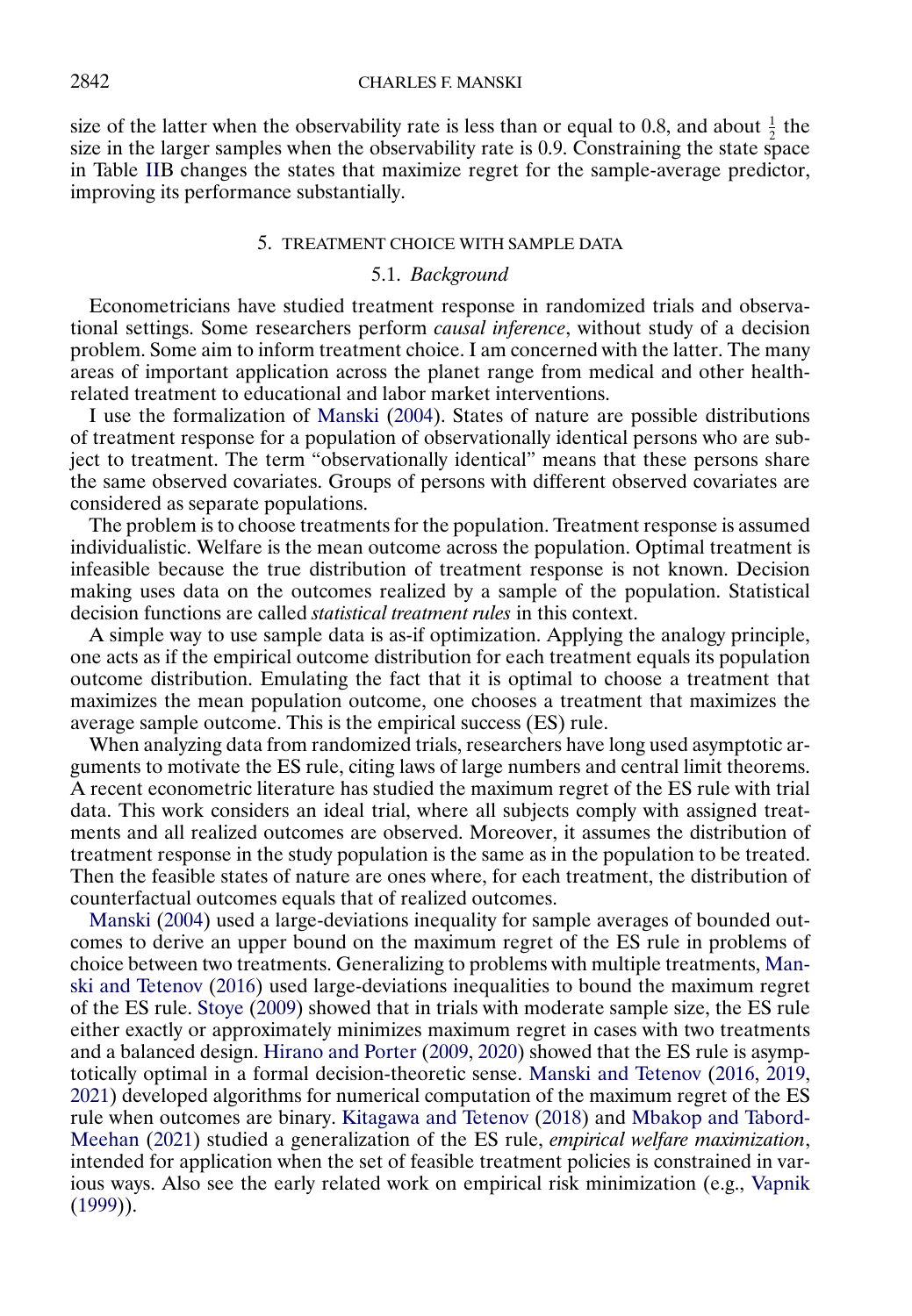<span id="page-15-0"></span>size of the latter when the observability rate is less than or equal to 0.8, and about  $\frac{1}{2}$  the size in the larger samples when the observability rate is 0.9. Constraining the state space in Table [IIB](#page-14-0) changes the states that maximize regret for the sample-average predictor, improving its performance substantially.

### 5. TREATMENT CHOICE WITH SAMPLE DATA

### 5.1. *Background*

Econometricians have studied treatment response in randomized trials and observational settings. Some researchers perform *causal inference*, without study of a decision problem. Some aim to inform treatment choice. I am concerned with the latter. The many areas of important application across the planet range from medical and other healthrelated treatment to educational and labor market interventions.

I use the formalization of [Manski](#page-25-0) [\(2004\)](#page-25-0). States of nature are possible distributions of treatment response for a population of observationally identical persons who are subject to treatment. The term "observationally identical" means that these persons share the same observed covariates. Groups of persons with different observed covariates are considered as separate populations.

The problem is to choose treatments for the population. Treatment response is assumed individualistic. Welfare is the mean outcome across the population. Optimal treatment is infeasible because the true distribution of treatment response is not known. Decision making uses data on the outcomes realized by a sample of the population. Statistical decision functions are called *statistical treatment rules* in this context.

A simple way to use sample data is as-if optimization. Applying the analogy principle, one acts as if the empirical outcome distribution for each treatment equals its population outcome distribution. Emulating the fact that it is optimal to choose a treatment that maximizes the mean population outcome, one chooses a treatment that maximizes the average sample outcome. This is the empirical success (ES) rule.

When analyzing data from randomized trials, researchers have long used asymptotic arguments to motivate the ES rule, citing laws of large numbers and central limit theorems. A recent econometric literature has studied the maximum regret of the ES rule with trial data. This work considers an ideal trial, where all subjects comply with assigned treatments and all realized outcomes are observed. Moreover, it assumes the distribution of treatment response in the study population is the same as in the population to be treated. Then the feasible states of nature are ones where, for each treatment, the distribution of counterfactual outcomes equals that of realized outcomes.

[Manski](#page-25-0) [\(2004\)](#page-25-0) used a large-deviations inequality for sample averages of bounded outcomes to derive an upper bound on the maximum regret of the ES rule in problems of choice between two treatments. Generalizing to problems with multiple treatments, [Man](#page-26-0)[ski and Tetenov](#page-26-0) [\(2016\)](#page-26-0) used large-deviations inequalities to bound the maximum regret of the ES rule. [Stoye](#page-26-0) [\(2009\)](#page-26-0) showed that in trials with moderate sample size, the ES rule either exactly or approximately minimizes maximum regret in cases with two treatments and a balanced design. [Hirano and Porter](#page-25-0) [\(2009,](#page-25-0) [2020\)](#page-25-0) showed that the ES rule is asymptotically optimal in a formal decision-theoretic sense. [Manski and Tetenov](#page-26-0) [\(2016,](#page-26-0) [2019,](#page-26-0) [2021\)](#page-26-0) developed algorithms for numerical computation of the maximum regret of the ES rule when outcomes are binary. [Kitagawa and Tetenov](#page-25-0) [\(2018\)](#page-25-0) and [Mbakop and Tabord-](#page-26-0)[Meehan](#page-26-0) [\(2021\)](#page-26-0) studied a generalization of the ES rule, *empirical welfare maximization*, intended for application when the set of feasible treatment policies is constrained in various ways. Also see the early related work on empirical risk minimization (e.g., [Vapnik](#page-26-0) [\(1999\)](#page-26-0)).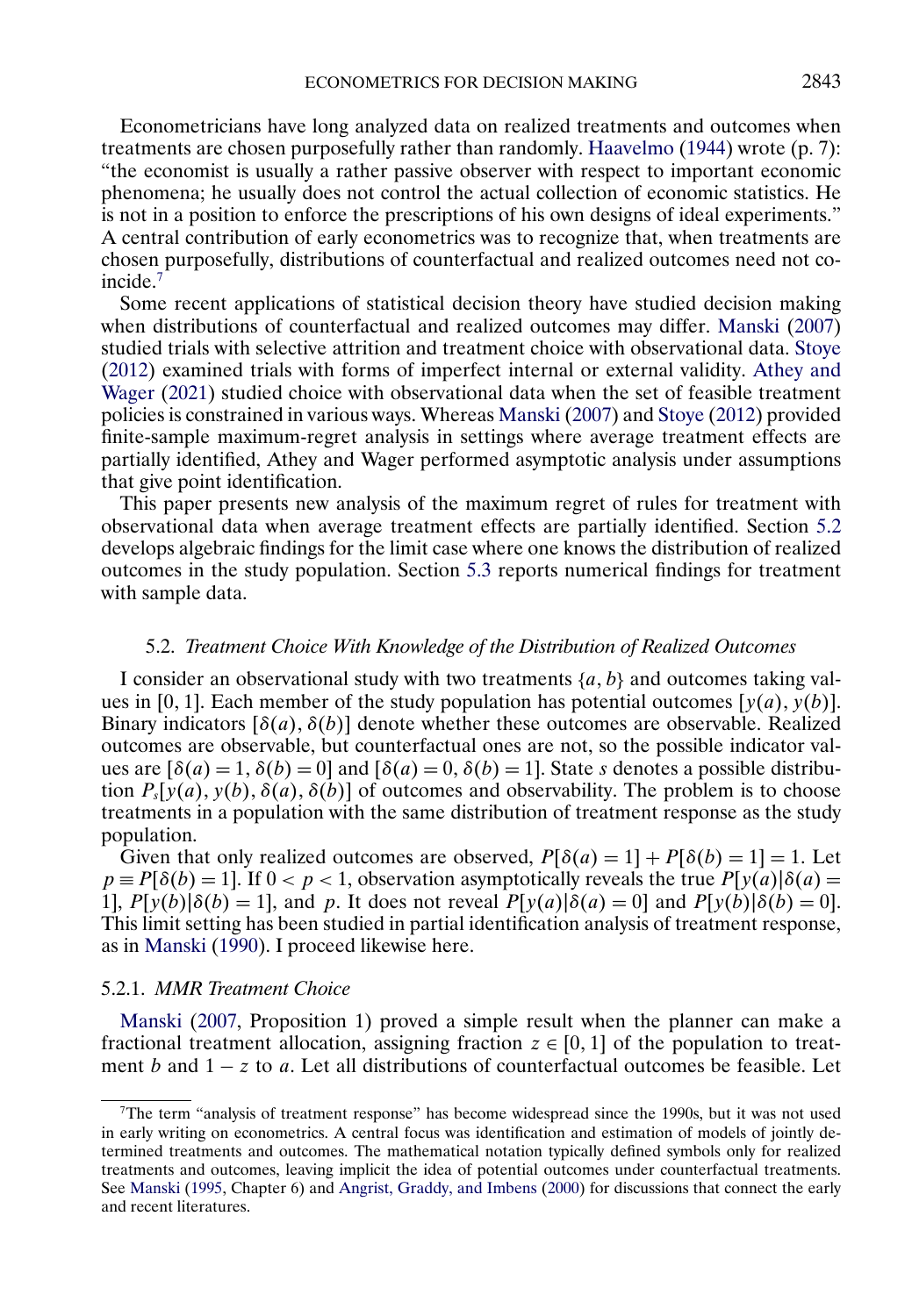<span id="page-16-0"></span>Econometricians have long analyzed data on realized treatments and outcomes when treatments are chosen purposefully rather than randomly. [Haavelmo](#page-25-0) [\(1944\)](#page-25-0) wrote (p. 7): "the economist is usually a rather passive observer with respect to important economic phenomena; he usually does not control the actual collection of economic statistics. He is not in a position to enforce the prescriptions of his own designs of ideal experiments." A central contribution of early econometrics was to recognize that, when treatments are chosen purposefully, distributions of counterfactual and realized outcomes need not coincide.7

Some recent applications of statistical decision theory have studied decision making when distributions of counterfactual and realized outcomes may differ. [Manski](#page-25-0) [\(2007\)](#page-25-0) studied trials with selective attrition and treatment choice with observational data. [Stoye](#page-26-0) [\(2012\)](#page-26-0) examined trials with forms of imperfect internal or external validity. [Athey and](#page-24-0) [Wager](#page-24-0) [\(2021\)](#page-24-0) studied choice with observational data when the set of feasible treatment policies is constrained in various ways. Whereas [Manski](#page-25-0) [\(2007\)](#page-25-0) and [Stoye](#page-26-0) [\(2012\)](#page-26-0) provided finite-sample maximum-regret analysis in settings where average treatment effects are partially identified, Athey and Wager performed asymptotic analysis under assumptions that give point identification.

This paper presents new analysis of the maximum regret of rules for treatment with observational data when average treatment effects are partially identified. Section 5.2 develops algebraic findings for the limit case where one knows the distribution of realized outcomes in the study population. Section [5.3](#page-18-0) reports numerical findings for treatment with sample data.

## 5.2. *Treatment Choice With Knowledge of the Distribution of Realized Outcomes*

I consider an observational study with two treatments  $\{a, b\}$  and outcomes taking values in [0, 1]. Each member of the study population has potential outcomes [ $y(a)$ ,  $y(b)$ ]. Binary indicators  $[\delta(a), \delta(b)]$  denote whether these outcomes are observable. Realized outcomes are observable, but counterfactual ones are not, so the possible indicator values are  $[\delta(a) = 1, \delta(b) = 0]$  and  $[\delta(a) = 0, \delta(b) = 1]$ . State s denotes a possible distribution  $P_s[y(a), y(b), \delta(a), \delta(b)]$  of outcomes and observability. The problem is to choose treatments in a population with the same distribution of treatment response as the study population.

Given that only realized outcomes are observed,  $P[\delta(a) = 1] + P[\delta(b) = 1] = 1$ . Let  $p \equiv P[\delta(b) = 1]$ . If  $0 < p < 1$ , observation asymptotically reveals the true  $P[y(a)|\delta(a) =$ 1],  $P[y(b)|\delta(b) = 1]$ , and p. It does not reveal  $P[y(a)|\delta(a) = 0]$  and  $P[y(b)|\delta(b) = 0]$ . This limit setting has been studied in partial identification analysis of treatment response, as in [Manski](#page-25-0) [\(1990\)](#page-25-0). I proceed likewise here.

### 5.2.1. *MMR Treatment Choice*

[Manski](#page-25-0) [\(2007,](#page-25-0) Proposition 1) proved a simple result when the planner can make a fractional treatment allocation, assigning fraction  $z \in [0, 1]$  of the population to treatment b and  $1 - z$  to a. Let all distributions of counterfactual outcomes be feasible. Let

<sup>7</sup>The term "analysis of treatment response" has become widespread since the 1990s, but it was not used in early writing on econometrics. A central focus was identification and estimation of models of jointly determined treatments and outcomes. The mathematical notation typically defined symbols only for realized treatments and outcomes, leaving implicit the idea of potential outcomes under counterfactual treatments. See [Manski](#page-25-0) [\(1995,](#page-25-0) Chapter 6) and [Angrist, Graddy, and Imbens](#page-24-0) [\(2000\)](#page-24-0) for discussions that connect the early and recent literatures.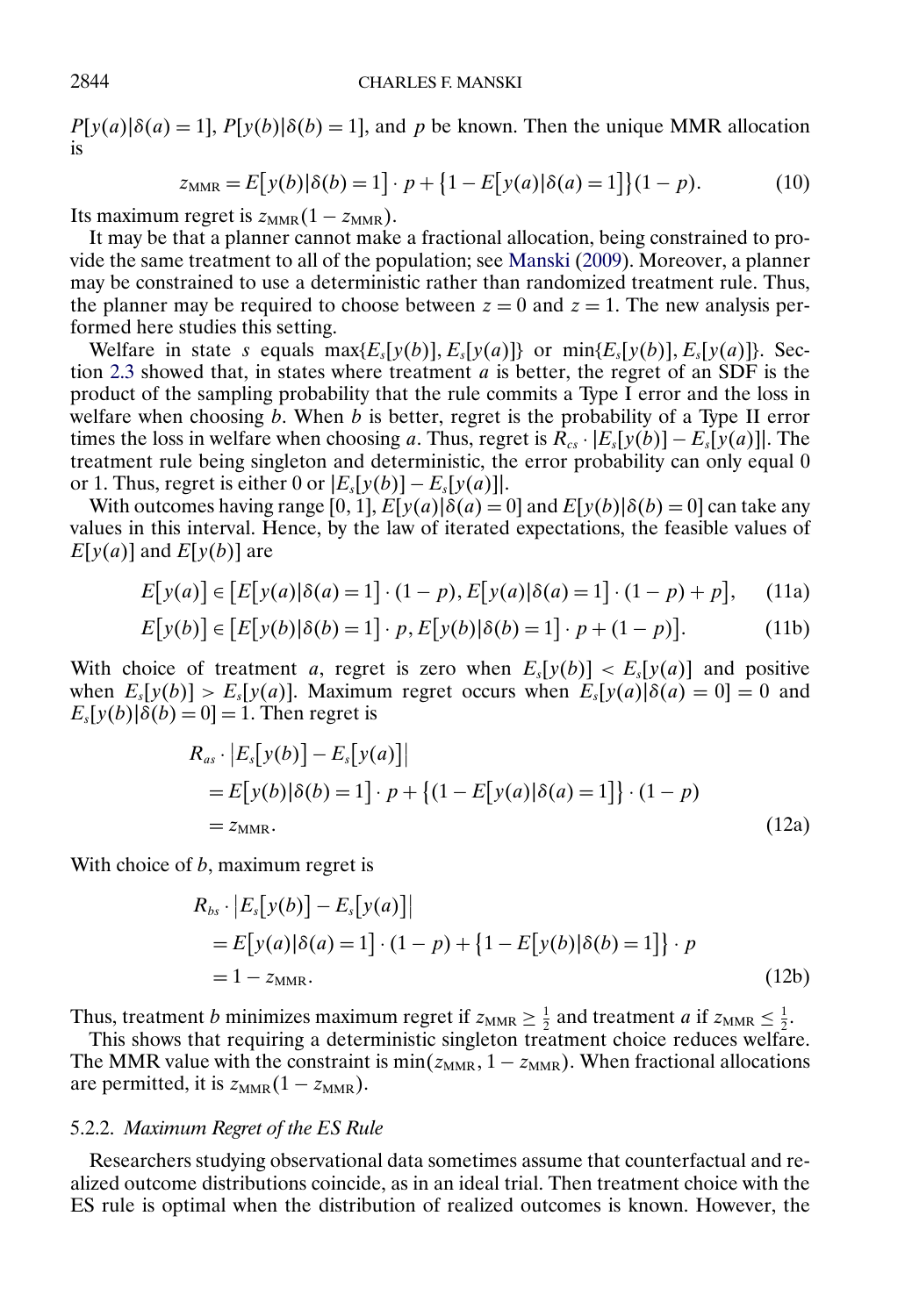# 2844 CHARLES F. MANSKI

 $P[y(a)|\delta(a) = 1]$ ,  $P[y(b)|\delta(b) = 1]$ , and p be known. Then the unique MMR allocation is

$$
z_{\text{MMR}} = E[y(b)|\delta(b) = 1] \cdot p + \{1 - E[y(a)|\delta(a) = 1]\}(1 - p). \tag{10}
$$

Its maximum regret is  $z_{MMR}(1 - z_{MMR})$ .

It may be that a planner cannot make a fractional allocation, being constrained to provide the same treatment to all of the population; see [Manski](#page-26-0) [\(2009\)](#page-26-0). Moreover, a planner may be constrained to use a deterministic rather than randomized treatment rule. Thus, the planner may be required to choose between  $z = 0$  and  $z = 1$ . The new analysis performed here studies this setting.

Welfare in state s equals  $max\{E_s[y(b)], E_s[y(a)]\}$  or  $min\{E_s[y(b)], E_s[y(a)]\}$ . Sec-tion [2.3](#page-5-0) showed that, in states where treatment  $a$  is better, the regret of an SDF is the product of the sampling probability that the rule commits a Type I error and the loss in welfare when choosing  $\vec{b}$ . When  $\vec{b}$  is better, regret is the probability of a Type II error times the loss in welfare when choosing a. Thus, regret is  $\hat{R}_{cs} \cdot |E_s[y(b)] - E_s[y(a)]|$ . The treatment rule being singleton and deterministic, the error probability can only equal 0 or 1. Thus, regret is either 0 or  $|E_s[y(b)] - E_s[y(a)]|$ .

With outcomes having range [0, 1],  $E[y(a)|\delta(a) = 0]$  and  $E[y(b)|\delta(b) = 0]$  can take any values in this interval. Hence, by the law of iterated expectations, the feasible values of  $E[y(a)]$  and  $E[y(b)]$  are

$$
E[y(a)] \in [E[y(a)|\delta(a) = 1] \cdot (1 - p), E[y(a)|\delta(a) = 1] \cdot (1 - p) + p], \quad (11a)
$$

$$
E[y(b)] \in [E[y(b)|\delta(b) = 1] \cdot p, E[y(b)|\delta(b) = 1] \cdot p + (1 - p)].
$$
\n(11b)

With choice of treatment a, regret is zero when  $E_s[y(b)] < E_s[y(a)]$  and positive when  $E_s[y(b)] > E_s[y(a)]$ . Maximum regret occurs when  $E_s[y(a)]\delta(a) = 0 = 0$  and  $E_s[y(b)]\ddot{\delta(b)} = 0$ ] = 1. Then regret is

$$
R_{as} \cdot |E_s[y(b)] - E_s[y(a)]|
$$
  
=  $E[y(b)|\delta(b) = 1] \cdot p + \{(1 - E[y(a)|\delta(a) = 1]\} \cdot (1 - p)$   
=  $z_{\text{MMR}}$ . (12a)

With choice of b, maximum regret is

$$
R_{bs} \cdot |E_s[y(b)] - E_s[y(a)]|
$$
  
=  $E[y(a)|\delta(a) = 1] \cdot (1 - p) + \{1 - E[y(b)|\delta(b) = 1]\} \cdot p$   
=  $1 - z_{MMR}$ . (12b)

Thus, treatment b minimizes maximum regret if  $z_{\text{MMR}} \geq \frac{1}{2}$  and treatment a if  $z_{\text{MMR}} \leq \frac{1}{2}$ .

This shows that requiring a deterministic singleton treatment choice reduces welfare. The MMR value with the constraint is  $min(z_{MMR}, 1 - z_{MMR})$ . When fractional allocations are permitted, it is  $z_{MMR}(1 - z_{MMR})$ .

#### 5.2.2. *Maximum Regret of the ES Rule*

Researchers studying observational data sometimes assume that counterfactual and realized outcome distributions coincide, as in an ideal trial. Then treatment choice with the ES rule is optimal when the distribution of realized outcomes is known. However, the

<span id="page-17-0"></span>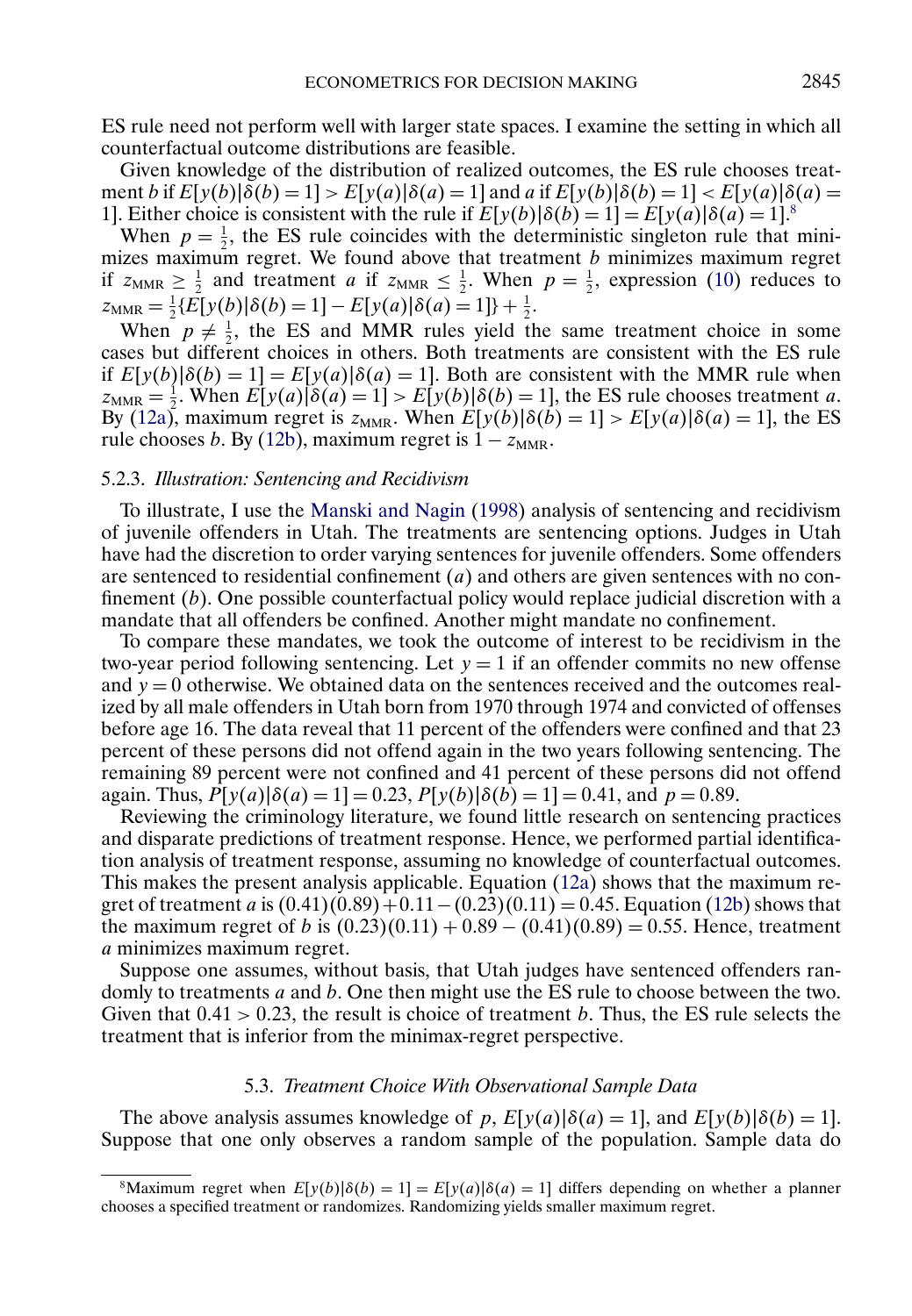<span id="page-18-0"></span>ES rule need not perform well with larger state spaces. I examine the setting in which all counterfactual outcome distributions are feasible.

Given knowledge of the distribution of realized outcomes, the ES rule chooses treatment b if  $E[y(b)|\delta(b) = 1] > E[y(a)|\delta(a) = 1]$  and a if  $E[y(b)|\delta(b) = 1] < E[y(a)|\delta(a) =$ 1]. Either choice is consistent with the rule if  $E[y(b)|\delta(b) = 1] = E[y(a)|\delta(a) = 1]$ .<sup>8</sup>

When  $p = \frac{1}{2}$ , the ES rule coincides with the deterministic singleton rule that minimizes maximum regret. We found above that treatment  $b$  minimizes maximum regret if  $z_{\text{MMR}} \ge \frac{1}{2}$  and treatment *a* if  $z_{\text{MMR}} \le \frac{1}{2}$ . When  $p = \frac{1}{2}$ , expression [\(10\)](#page-17-0) reduces to  $z_{\text{MMR}} = \frac{1}{2} \{ E[y(b) | \delta(b) = 1] - E[y(a) | \delta(a) = 1] \} + \frac{1}{2}.$ 

When  $p \neq \frac{1}{2}$ , the ES and MMR rules yield the same treatment choice in some cases but different choices in others. Both treatments are consistent with the ES rule if  $E[y(b)|\delta(b) = 1] = E[y(a)|\delta(a) = 1]$ . Both are consistent with the MMR rule when  $z_{\text{MMR}} = \frac{1}{2}$ . When  $E[y(a) | \delta(a) = 1] > E[y(b) | \delta(b) = 1]$ , the ES rule chooses treatment a. By [\(12a\)](#page-17-0), maximum regret is  $z_{MMR}$ . When  $E[y(b)|\delta(b) = 1] > E[y(a)|\delta(a) = 1]$ , the ES rule chooses b. By [\(12b\)](#page-17-0), maximum regret is  $1 - z_{MMR}$ .

### 5.2.3. *Illustration: Sentencing and Recidivism*

To illustrate, I use the [Manski and Nagin](#page-26-0) [\(1998\)](#page-26-0) analysis of sentencing and recidivism of juvenile offenders in Utah. The treatments are sentencing options. Judges in Utah have had the discretion to order varying sentences for juvenile offenders. Some offenders are sentenced to residential confinement  $(a)$  and others are given sentences with no confinement (b). One possible counterfactual policy would replace judicial discretion with a mandate that all offenders be confined. Another might mandate no confinement.

To compare these mandates, we took the outcome of interest to be recidivism in the two-year period following sentencing. Let  $y = 1$  if an offender commits no new offense and  $y = 0$  otherwise. We obtained data on the sentences received and the outcomes realized by all male offenders in Utah born from 1970 through 1974 and convicted of offenses before age 16. The data reveal that 11 percent of the offenders were confined and that 23 percent of these persons did not offend again in the two years following sentencing. The remaining 89 percent were not confined and 41 percent of these persons did not offend again. Thus,  $P[y(a)|\delta(a) = 1] = 0.23$ ,  $P[y(b)|\delta(b) = 1] = 0.41$ , and  $p = 0.89$ .

Reviewing the criminology literature, we found little research on sentencing practices and disparate predictions of treatment response. Hence, we performed partial identification analysis of treatment response, assuming no knowledge of counterfactual outcomes. This makes the present analysis applicable. Equation [\(12a\)](#page-17-0) shows that the maximum regret of treatment a is  $(0.41)(0.89) + 0.11 - (0.23)(0.11) = 0.45$ . Equation [\(12b\)](#page-17-0) shows that the maximum regret of b is  $(0.23)(0.11) + 0.89 - (0.41)(0.89) = 0.55$ . Hence, treatment a minimizes maximum regret.

Suppose one assumes, without basis, that Utah judges have sentenced offenders randomly to treatments a and b. One then might use the ES rule to choose between the two. Given that  $0.41 > 0.23$ , the result is choice of treatment b. Thus, the ES rule selects the treatment that is inferior from the minimax-regret perspective.

#### 5.3. *Treatment Choice With Observational Sample Data*

The above analysis assumes knowledge of p,  $E[y(a)|\delta(a) = 1]$ , and  $E[y(b)|\delta(b) = 1]$ . Suppose that one only observes a random sample of the population. Sample data do

<sup>&</sup>lt;sup>8</sup>Maximum regret when  $E[y(b)]\delta(b) = 1] = E[y(a)]\delta(a) = 1$  differs depending on whether a planner chooses a specified treatment or randomizes. Randomizing yields smaller maximum regret.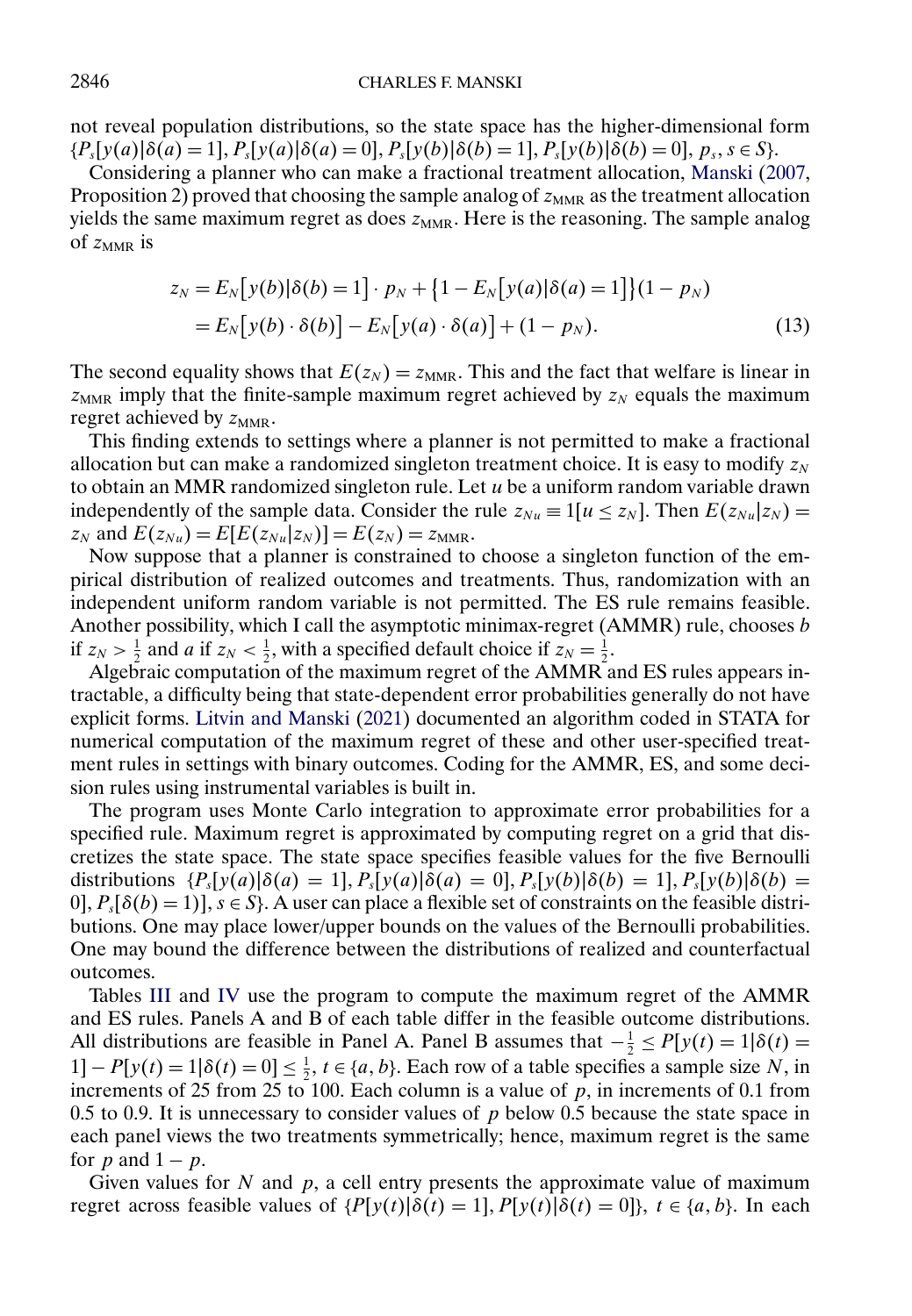<span id="page-19-0"></span>not reveal population distributions, so the state space has the higher-dimensional form  ${P_s[y(a)|\delta(a) = 1], P_s[y(a)|\delta(a) = 0], P_s[y(b)|\delta(b) = 1], P_s[y(b)|\delta(b) = 0], p_s, s \in S}.$ 

Considering a planner who can make a fractional treatment allocation, [Manski](#page-25-0) [\(2007,](#page-25-0) Proposition 2) proved that choosing the sample analog of  $z<sub>MMR</sub>$  as the treatment allocation yields the same maximum regret as does  $z_{MMR}$ . Here is the reasoning. The sample analog of  $z_{MMR}$  is

$$
z_N = E_N[y(b)|\delta(b) = 1] \cdot p_N + \{1 - E_N[y(a)|\delta(a) = 1]\}(1 - p_N)
$$
  
= 
$$
E_N[y(b) \cdot \delta(b)] - E_N[y(a) \cdot \delta(a)] + (1 - p_N).
$$
 (13)

The second equality shows that  $E(z_N) = z_{MMR}$ . This and the fact that welfare is linear in  $z<sub>MMR</sub>$  imply that the finite-sample maximum regret achieved by  $z<sub>N</sub>$  equals the maximum regret achieved by  $z_{MMR}$ .

This finding extends to settings where a planner is not permitted to make a fractional allocation but can make a randomized singleton treatment choice. It is easy to modify  $z_N$ to obtain an MMR randomized singleton rule. Let  $u$  be a uniform random variable drawn independently of the sample data. Consider the rule  $z_{Nu} \equiv 1[u \le z_N]$ . Then  $E(z_{Nu} | z_N) =$  $z_N$  and  $E(z_{Nu}) = E[E(z_{Nu}|z_N)] = E(z_N) = z_{MMR}$ .

Now suppose that a planner is constrained to choose a singleton function of the empirical distribution of realized outcomes and treatments. Thus, randomization with an independent uniform random variable is not permitted. The ES rule remains feasible. Another possibility, which I call the asymptotic minimax-regret ( $AMMR$ ) rule, chooses b if  $z_N > \frac{1}{2}$  and a if  $z_N < \frac{1}{2}$ , with a specified default choice if  $z_N = \frac{1}{2}$ .

Algebraic computation of the maximum regret of the AMMR and ES rules appears intractable, a difficulty being that state-dependent error probabilities generally do not have explicit forms. [Litvin and Manski](#page-25-0) [\(2021\)](#page-25-0) documented an algorithm coded in STATA for numerical computation of the maximum regret of these and other user-specified treatment rules in settings with binary outcomes. Coding for the AMMR, ES, and some decision rules using instrumental variables is built in.

The program uses Monte Carlo integration to approximate error probabilities for a specified rule. Maximum regret is approximated by computing regret on a grid that discretizes the state space. The state space specifies feasible values for the five Bernoulli distributions  $\{P_s[y(a)|\delta(a) = 1], P_s[y(a)|\delta(a) = 0], P_s[y(b)|\delta(b) = 1], P_s[y(b)|\delta(b) = 0\}$ 0],  $P_s[\delta(b) = 1]$ ,  $s \in S$ . A user can place a flexible set of constraints on the feasible distributions. One may place lower/upper bounds on the values of the Bernoulli probabilities. One may bound the difference between the distributions of realized and counterfactual outcomes.

Tables [III](#page-20-0) and [IV](#page-20-0) use the program to compute the maximum regret of the AMMR and ES rules. Panels A and B of each table differ in the feasible outcome distributions. All distributions are feasible in Panel A. Panel B assumes that  $-\frac{1}{2} \le P[y(t) = 1|\delta(t)]$ 1] –  $P[y(t) = 1 | \delta(t) = 0] \le \frac{1}{2}$ ,  $t \in \{a, b\}$ . Each row of a table specifies a sample size N, in increments of 25 from 25 to 100. Each column is a value of  $p$ , in increments of 0.1 from 0.5 to 0.9. It is unnecessary to consider values of  $p$  below 0.5 because the state space in each panel views the two treatments symmetrically; hence, maximum regret is the same for *p* and  $1 - p$ .

Given values for  $N$  and  $p$ , a cell entry presents the approximate value of maximum regret across feasible values of  $\{P[y(t)|\delta(t) = 1], P[y(t)|\delta(t) = 0]\}, t \in \{a, b\}.$  In each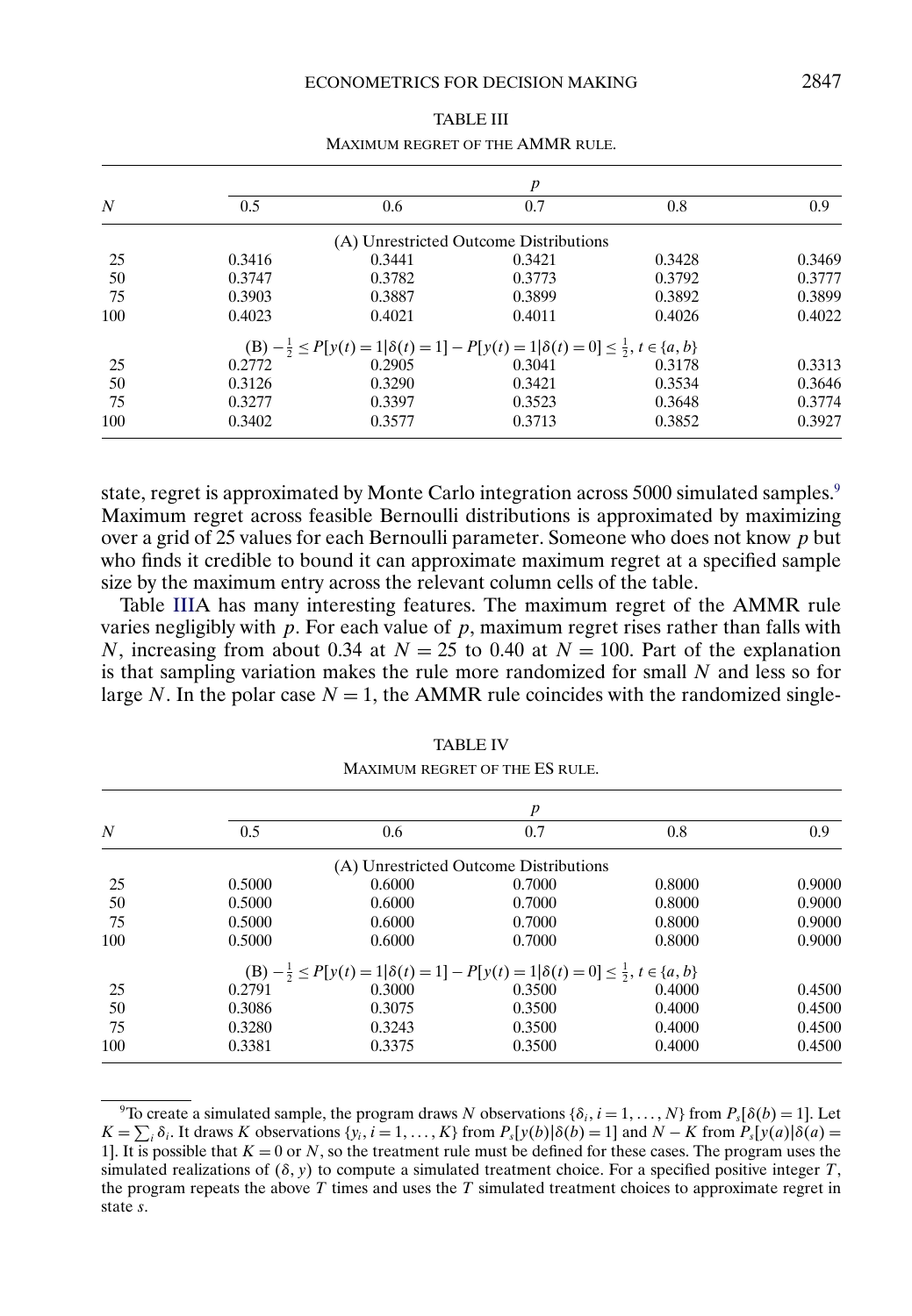<span id="page-20-0"></span>

|     | $\boldsymbol{p}$ |                                                                                                              |                                        |        |        |  |  |  |
|-----|------------------|--------------------------------------------------------------------------------------------------------------|----------------------------------------|--------|--------|--|--|--|
| N   | 0.5              | 0.6                                                                                                          | 0.7                                    | 0.8    | 0.9    |  |  |  |
|     |                  |                                                                                                              | (A) Unrestricted Outcome Distributions |        |        |  |  |  |
| 25  | 0.3416           | 0.3441                                                                                                       | 0.3421                                 | 0.3428 | 0.3469 |  |  |  |
| 50  | 0.3747           | 0.3782                                                                                                       | 0.3773                                 | 0.3792 | 0.3777 |  |  |  |
| 75  | 0.3903           | 0.3887                                                                                                       | 0.3899                                 | 0.3892 | 0.3899 |  |  |  |
| 100 | 0.4023           | 0.4021                                                                                                       | 0.4011                                 | 0.4026 | 0.4022 |  |  |  |
|     |                  | (B) $-\frac{1}{2} \le P[y(t) = 1 \delta(t) = 1] - P[y(t) = 1 \delta(t) = 0] \le \frac{1}{2}, t \in \{a, b\}$ |                                        |        |        |  |  |  |
| 25  | 0.2772           | 0.2905                                                                                                       | 0.3041                                 | 0.3178 | 0.3313 |  |  |  |
| 50  | 0.3126           | 0.3290                                                                                                       | 0.3421                                 | 0.3534 | 0.3646 |  |  |  |
| 75  | 0.3277           | 0.3397                                                                                                       | 0.3523                                 | 0.3648 | 0.3774 |  |  |  |
| 100 | 0.3402           | 0.3577                                                                                                       | 0.3713                                 | 0.3852 | 0.3927 |  |  |  |

TABLE III MAXIMUM REGRET OF THE AMMR RULE.

state, regret is approximated by Monte Carlo integration across 5000 simulated samples.<sup>9</sup> Maximum regret across feasible Bernoulli distributions is approximated by maximizing over a grid of 25 values for each Bernoulli parameter. Someone who does not know p but who finds it credible to bound it can approximate maximum regret at a specified sample size by the maximum entry across the relevant column cells of the table.

Table IIIA has many interesting features. The maximum regret of the AMMR rule varies negligibly with  $p$ . For each value of  $p$ , maximum regret rises rather than falls with N, increasing from about 0.34 at  $N = 25$  to 0.40 at  $N = 100$ . Part of the explanation is that sampling variation makes the rule more randomized for small  $N$  and less so for large N. In the polar case  $N = 1$ , the AMMR rule coincides with the randomized single-

|     | p      |                                                                                                              |                                        |        |        |  |  |  |
|-----|--------|--------------------------------------------------------------------------------------------------------------|----------------------------------------|--------|--------|--|--|--|
| N   | 0.5    | 0.6                                                                                                          | 0.7                                    | 0.8    | 0.9    |  |  |  |
|     |        |                                                                                                              | (A) Unrestricted Outcome Distributions |        |        |  |  |  |
| 25  | 0.5000 | 0.6000                                                                                                       | 0.7000                                 | 0.8000 | 0.9000 |  |  |  |
| 50  | 0.5000 | 0.6000                                                                                                       | 0.7000                                 | 0.8000 | 0.9000 |  |  |  |
| 75  | 0.5000 | 0.6000                                                                                                       | 0.7000                                 | 0.8000 | 0.9000 |  |  |  |
| 100 | 0.5000 | 0.6000                                                                                                       | 0.7000                                 | 0.8000 | 0.9000 |  |  |  |
|     |        | (B) $-\frac{1}{2} \le P[y(t) = 1 \delta(t) = 1] - P[y(t) = 1 \delta(t) = 0] \le \frac{1}{2}, t \in \{a, b\}$ |                                        |        |        |  |  |  |
| 25  | 0.2791 | 0.3000                                                                                                       | 0.3500                                 | 0.4000 | 0.4500 |  |  |  |
| 50  | 0.3086 | 0.3075                                                                                                       | 0.3500                                 | 0.4000 | 0.4500 |  |  |  |
| 75  | 0.3280 | 0.3243                                                                                                       | 0.3500                                 | 0.4000 | 0.4500 |  |  |  |
| 100 | 0.3381 | 0.3375                                                                                                       | 0.3500                                 | 0.4000 | 0.4500 |  |  |  |

TABLE IV MAXIMUM REGRET OF THE ES RULE.

<sup>&</sup>lt;sup>9</sup>To create a simulated sample, the program draws N observations { $\delta_i$ ,  $i = 1, ..., N$ } from  $P_s[\delta(b) = 1]$ . Let  $K = \sum_i \delta_i$ . It draws K observations  $\{y_i, i = 1, ..., K\}$  from  $P_s[y(b)]\delta(b) = 1$  and  $N - K$  from  $P_s[y(a)]\delta(a) =$ 1]. It is possible that  $K = 0$  or N, so the treatment rule must be defined for these cases. The program uses the simulated realizations of  $(\delta, y)$  to compute a simulated treatment choice. For a specified positive integer T, the program repeats the above  $T$  times and uses the  $T$  simulated treatment choices to approximate regret in state s.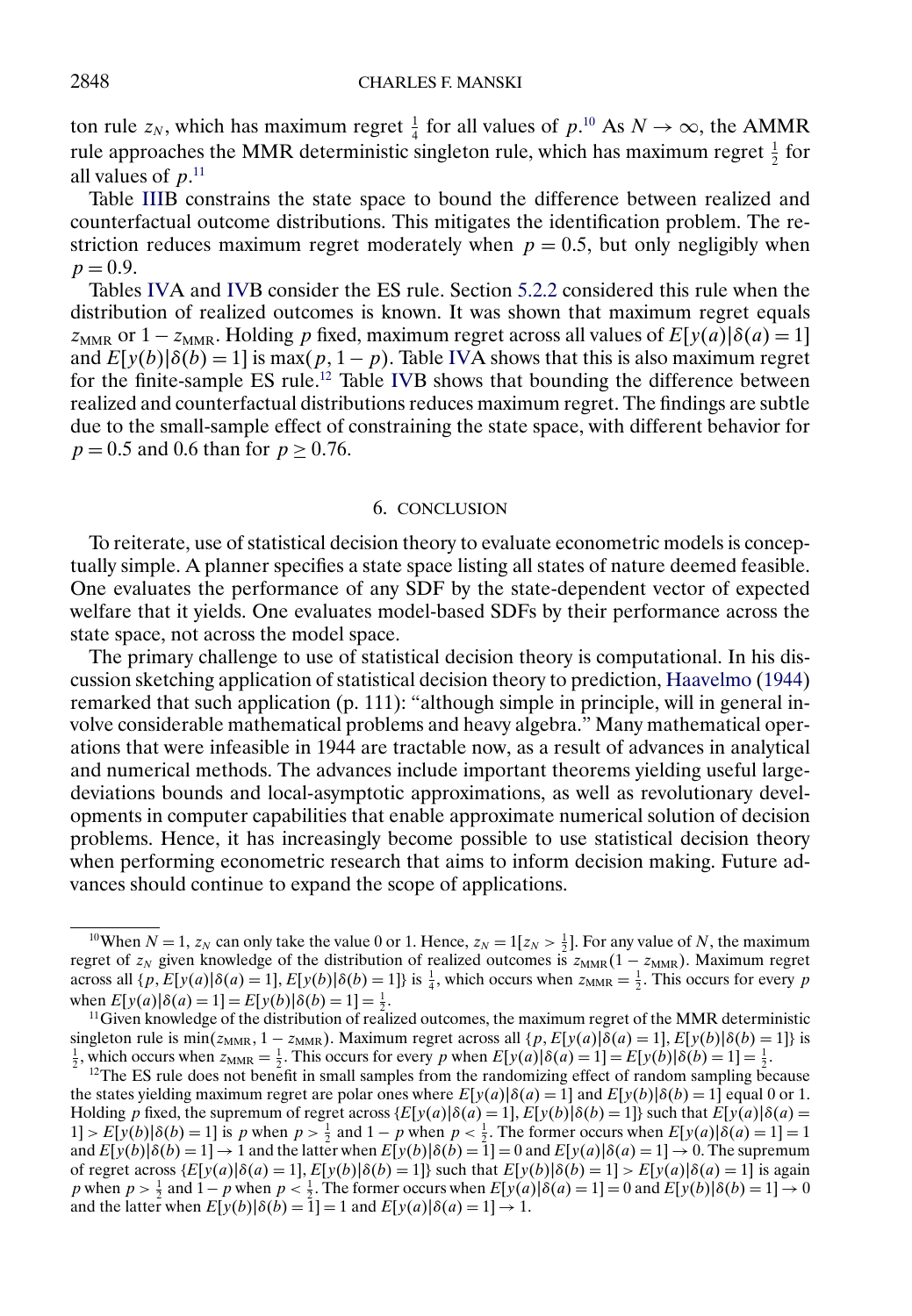<span id="page-21-0"></span>ton rule  $z_N$ , which has maximum regret  $\frac{1}{4}$  for all values of  $p^{10}$  As  $N \to \infty$ , the AMMR rule approaches the MMR deterministic singleton rule, which has maximum regret  $\frac{1}{2}$  for all values of  $p^{11}$ .

Table [IIIB](#page-20-0) constrains the state space to bound the difference between realized and counterfactual outcome distributions. This mitigates the identification problem. The restriction reduces maximum regret moderately when  $p = 0.5$ , but only negligibly when  $p = 0.9$ .

Tables [IVA](#page-20-0) and [IVB](#page-20-0) consider the ES rule. Section [5.2.2](#page-17-0) considered this rule when the distribution of realized outcomes is known. It was shown that maximum regret equals  $z<sub>MMR</sub>$  or  $1 - z<sub>MMR</sub>$ . Holding p fixed, maximum regret across all values of  $E[y(a)]\delta(a) = 1$ and  $E[y(b)|\delta(b) = 1]$  is max $(p, 1-p)$ . Table [IVA](#page-20-0) shows that this is also maximum regret for the finite-sample ES rule.<sup>12</sup> Table [IVB](#page-20-0) shows that bounding the difference between realized and counterfactual distributions reduces maximum regret. The findings are subtle due to the small-sample effect of constraining the state space, with different behavior for  $p = 0.5$  and 0.6 than for  $p \ge 0.76$ .

#### 6. CONCLUSION

To reiterate, use of statistical decision theory to evaluate econometric models is conceptually simple. A planner specifies a state space listing all states of nature deemed feasible. One evaluates the performance of any SDF by the state-dependent vector of expected welfare that it yields. One evaluates model-based SDFs by their performance across the state space, not across the model space.

The primary challenge to use of statistical decision theory is computational. In his discussion sketching application of statistical decision theory to prediction, [Haavelmo](#page-25-0) [\(1944\)](#page-25-0) remarked that such application (p. 111): "although simple in principle, will in general involve considerable mathematical problems and heavy algebra." Many mathematical operations that were infeasible in 1944 are tractable now, as a result of advances in analytical and numerical methods. The advances include important theorems yielding useful largedeviations bounds and local-asymptotic approximations, as well as revolutionary developments in computer capabilities that enable approximate numerical solution of decision problems. Hence, it has increasingly become possible to use statistical decision theory when performing econometric research that aims to inform decision making. Future advances should continue to expand the scope of applications.

<sup>&</sup>lt;sup>10</sup>When  $N = 1$ ,  $z_N$  can only take the value 0 or 1. Hence,  $z_N = 1[z_N > \frac{1}{2}]$ . For any value of N, the maximum regret of  $z_N$  given knowledge of the distribution of realized outcomes is  $z_{MMR}(1 - z_{MMR})$ . Maximum regret across all  $\{p, E[y(a)|\delta(a) = 1], E[y(b)|\delta(b) = 1]\}$  is  $\frac{1}{4}$ , which occurs when  $z_{MMR} = \frac{1}{2}$ . This occurs for every p when  $E[y(a)|\delta(a) = 1] = E[y(b)|\delta(b) = 1] = \frac{1}{2}$ .

 $11$  Given knowledge of the distribution of realized outcomes, the maximum regret of the MMR deterministic singleton rule is min( $z_{\text{MMR}}, 1 - z_{\text{MMR}}$ ). Maximum regret across all { $p$ ,  $E[y(a)|\delta(a) = 1]$ ,  $E[y(b)|\delta(b) = 1]$ } is  $\frac{1}{2}$  which occurs when  $z_{\text{MMR}} = \frac{1}{2}$ . This occurs for every n when  $E[y(a)|\delta(a) = 1] - E[y(b)|\delta(b) = 1] - \frac{1$  $\frac{1}{2}$ , which occurs when  $z_{\text{MMR}} = \frac{1}{2}$ . This occurs for every p when  $E[y(a)|\delta(a) = 1] = E[y(b)|\delta(b) = 1] = \frac{1}{2}$ 

 $12$ The ES rule does not benefit in small samples from the randomizing effect of random sampling because the states yielding maximum regret are polar ones where  $E[y(a)|\delta(a) = 1]$  and  $E[y(b)|\delta(b) = 1]$  equal 0 or 1. Holding p fixed, the supremum of regret across  $\{E[y(a)|\delta(a) = 1], E[y(b)|\delta(b) = 1]\}$  such that  $E[y(a)|\delta(a) = 1]$  $1] > E[y(b)|\delta(b) = 1]$  is p when  $p > \frac{1}{2}$  and  $1 - p$  when  $p < \frac{1}{2}$ . The former occurs when  $E[y(a)|\delta(a) = 1] = 1$ and  $E[y(b)|\delta(b) = 1] \rightarrow 1$  and the latter when  $E[y(b)|\delta(b) = 1] = 0$  and  $E[y(a)|\delta(a) = 1] \rightarrow 0$ . The supremum of regret across  $\{E[y(a)|\delta(a) = 1], E[y(b)|\delta(b) = 1]\}$  such that  $E[y(b)|\delta(b) = 1] > E[y(a)|\delta(a) = 1]$  is again p when  $p > \frac{1}{2}$  and  $1-p$  when  $p < \frac{1}{2}$ . The former occurs when  $E[y(a)|\delta(a) = 1] = 0$  and  $E[y(b)|\delta(b) = 1] \to 0$ and the latter when  $E[y(b)|\delta(b) = 1] = 1$  and  $E[y(a)|\delta(a) = 1] \rightarrow 1$ .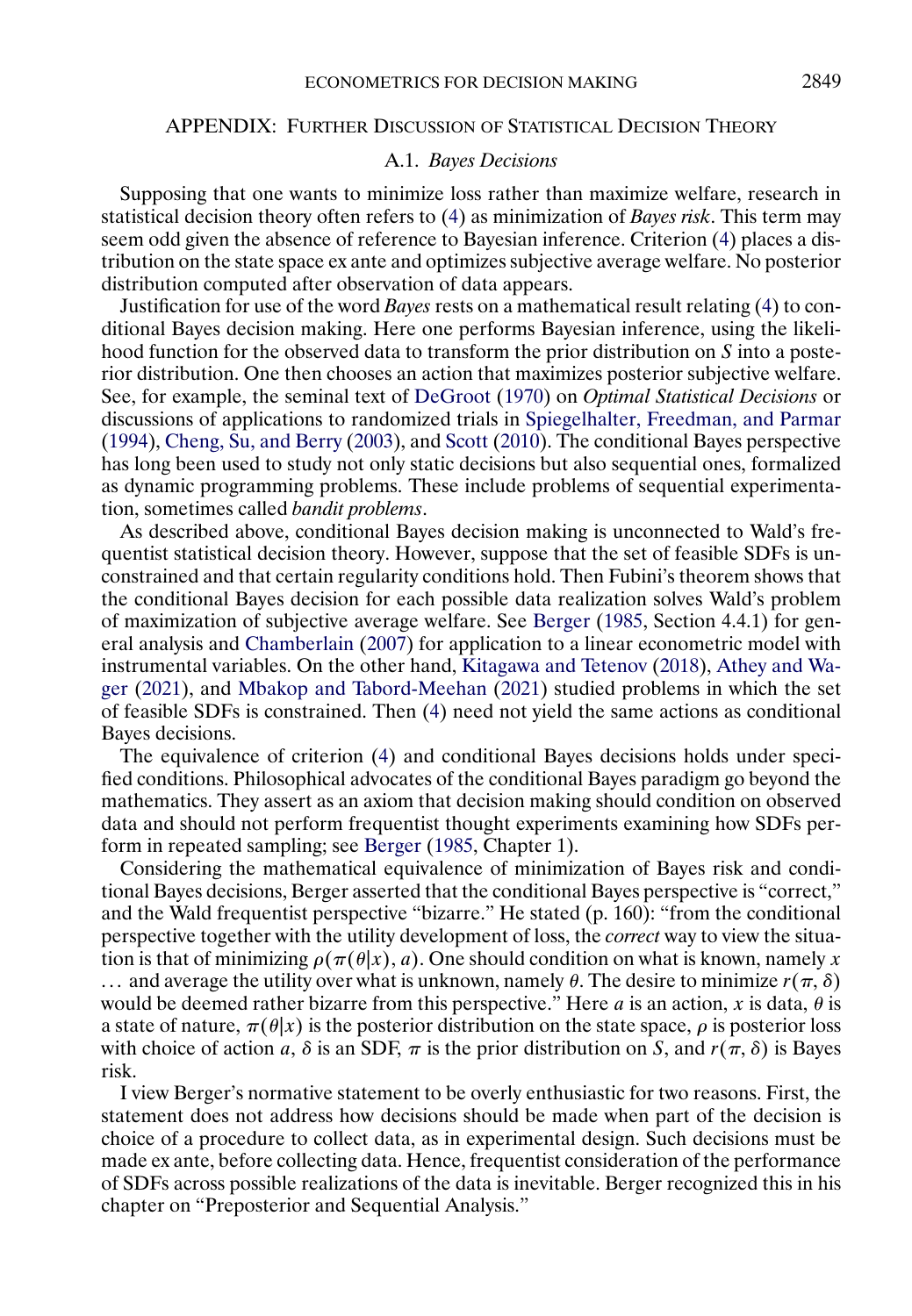#### <span id="page-22-0"></span>APPENDIX: FURTHER DISCUSSION OF STATISTICAL DECISION THEORY

## A.1. *Bayes Decisions*

Supposing that one wants to minimize loss rather than maximize welfare, research in statistical decision theory often refers to [\(4\)](#page-4-0) as minimization of *Bayes risk*. This term may seem odd given the absence of reference to Bayesian inference. Criterion [\(4\)](#page-4-0) places a distribution on the state space ex ante and optimizes subjective average welfare. No posterior distribution computed after observation of data appears.

Justification for use of the word *Bayes* rests on a mathematical result relating [\(4\)](#page-4-0) to conditional Bayes decision making. Here one performs Bayesian inference, using the likelihood function for the observed data to transform the prior distribution on S into a posterior distribution. One then chooses an action that maximizes posterior subjective welfare. See, for example, the seminal text of [DeGroot](#page-24-0) [\(1970\)](#page-24-0) on *Optimal Statistical Decisions* or discussions of applications to randomized trials in [Spiegelhalter, Freedman, and Parmar](#page-26-0) [\(1994\)](#page-26-0), [Cheng, Su, and Berry](#page-24-0) [\(2003\)](#page-24-0), and [Scott](#page-26-0) [\(2010\)](#page-26-0). The conditional Bayes perspective has long been used to study not only static decisions but also sequential ones, formalized as dynamic programming problems. These include problems of sequential experimentation, sometimes called *bandit problems*.

As described above, conditional Bayes decision making is unconnected to Wald's frequentist statistical decision theory. However, suppose that the set of feasible SDFs is unconstrained and that certain regularity conditions hold. Then Fubini's theorem shows that the conditional Bayes decision for each possible data realization solves Wald's problem of maximization of subjective average welfare. See [Berger](#page-24-0) [\(1985,](#page-24-0) Section 4.4.1) for general analysis and [Chamberlain](#page-24-0) [\(2007\)](#page-24-0) for application to a linear econometric model with instrumental variables. On the other hand, [Kitagawa and Tetenov](#page-25-0) [\(2018\)](#page-25-0), [Athey and Wa](#page-24-0)[ger](#page-24-0) [\(2021\)](#page-24-0), and [Mbakop and Tabord-Meehan](#page-26-0) [\(2021\)](#page-26-0) studied problems in which the set of feasible SDFs is constrained. Then [\(4\)](#page-4-0) need not yield the same actions as conditional Bayes decisions.

The equivalence of criterion [\(4\)](#page-4-0) and conditional Bayes decisions holds under specified conditions. Philosophical advocates of the conditional Bayes paradigm go beyond the mathematics. They assert as an axiom that decision making should condition on observed data and should not perform frequentist thought experiments examining how SDFs perform in repeated sampling; see [Berger](#page-24-0) [\(1985,](#page-24-0) Chapter 1).

Considering the mathematical equivalence of minimization of Bayes risk and conditional Bayes decisions, Berger asserted that the conditional Bayes perspective is "correct," and the Wald frequentist perspective "bizarre." He stated (p. 160): "from the conditional perspective together with the utility development of loss, the *correct* way to view the situation is that of minimizing  $\rho(\pi(\theta|x), a)$ . One should condition on what is known, namely x ... and average the utility over what is unknown, namely  $\theta$ . The desire to minimize  $r(\pi, \delta)$ would be deemed rather bizarre from this perspective." Here a is an action, x is data,  $\theta$  is a state of nature,  $\pi(\theta|x)$  is the posterior distribution on the state space,  $\rho$  is posterior loss with choice of action a,  $\delta$  is an SDF,  $\pi$  is the prior distribution on S, and  $r(\pi, \delta)$  is Bayes risk.

I view Berger's normative statement to be overly enthusiastic for two reasons. First, the statement does not address how decisions should be made when part of the decision is choice of a procedure to collect data, as in experimental design. Such decisions must be made ex ante, before collecting data. Hence, frequentist consideration of the performance of SDFs across possible realizations of the data is inevitable. Berger recognized this in his chapter on "Preposterior and Sequential Analysis."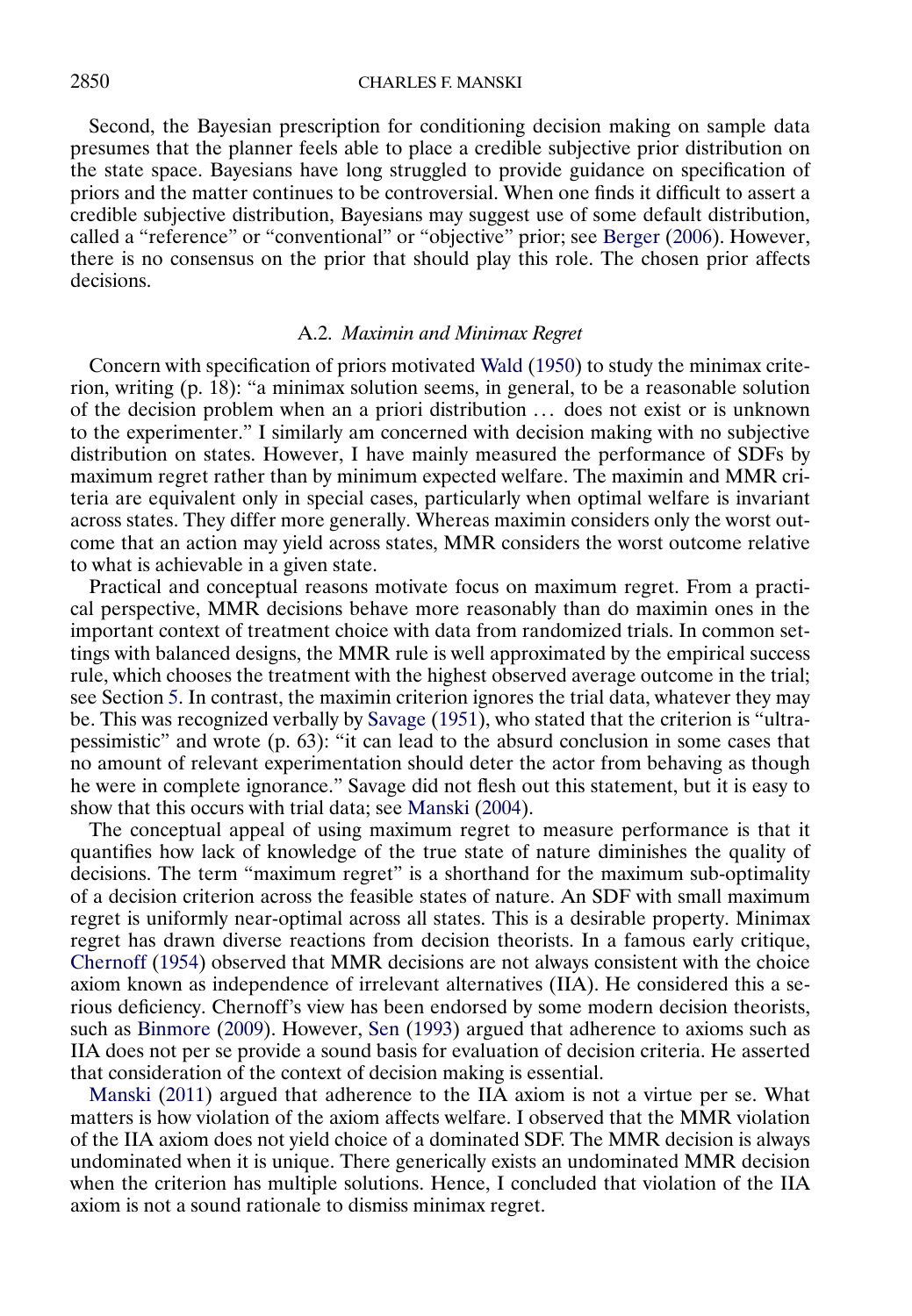<span id="page-23-0"></span>Second, the Bayesian prescription for conditioning decision making on sample data presumes that the planner feels able to place a credible subjective prior distribution on the state space. Bayesians have long struggled to provide guidance on specification of priors and the matter continues to be controversial. When one finds it difficult to assert a credible subjective distribution, Bayesians may suggest use of some default distribution, called a "reference" or "conventional" or "objective" prior; see [Berger](#page-24-0) [\(2006\)](#page-24-0). However, there is no consensus on the prior that should play this role. The chosen prior affects decisions.

## A.2. *Maximin and Minimax Regret*

Concern with specification of priors motivated [Wald](#page-26-0) [\(1950\)](#page-26-0) to study the minimax criterion, writing (p. 18): "a minimax solution seems, in general, to be a reasonable solution of the decision problem when an a priori distribution . . . does not exist or is unknown to the experimenter." I similarly am concerned with decision making with no subjective distribution on states. However, I have mainly measured the performance of SDFs by maximum regret rather than by minimum expected welfare. The maximin and MMR criteria are equivalent only in special cases, particularly when optimal welfare is invariant across states. They differ more generally. Whereas maximin considers only the worst outcome that an action may yield across states, MMR considers the worst outcome relative to what is achievable in a given state.

Practical and conceptual reasons motivate focus on maximum regret. From a practical perspective, MMR decisions behave more reasonably than do maximin ones in the important context of treatment choice with data from randomized trials. In common settings with balanced designs, the MMR rule is well approximated by the empirical success rule, which chooses the treatment with the highest observed average outcome in the trial; see Section [5.](#page-15-0) In contrast, the maximin criterion ignores the trial data, whatever they may be. This was recognized verbally by [Savage](#page-26-0) [\(1951\)](#page-26-0), who stated that the criterion is "ultrapessimistic" and wrote (p. 63): "it can lead to the absurd conclusion in some cases that no amount of relevant experimentation should deter the actor from behaving as though he were in complete ignorance." Savage did not flesh out this statement, but it is easy to show that this occurs with trial data; see [Manski](#page-25-0) [\(2004\)](#page-25-0).

The conceptual appeal of using maximum regret to measure performance is that it quantifies how lack of knowledge of the true state of nature diminishes the quality of decisions. The term "maximum regret" is a shorthand for the maximum sub-optimality of a decision criterion across the feasible states of nature. An SDF with small maximum regret is uniformly near-optimal across all states. This is a desirable property. Minimax regret has drawn diverse reactions from decision theorists. In a famous early critique, [Chernoff](#page-24-0) [\(1954\)](#page-24-0) observed that MMR decisions are not always consistent with the choice axiom known as independence of irrelevant alternatives (IIA). He considered this a serious deficiency. Chernoff's view has been endorsed by some modern decision theorists, such as [Binmore](#page-24-0) [\(2009\)](#page-24-0). However, [Sen](#page-26-0) [\(1993\)](#page-26-0) argued that adherence to axioms such as IIA does not per se provide a sound basis for evaluation of decision criteria. He asserted that consideration of the context of decision making is essential.

[Manski](#page-26-0) [\(2011\)](#page-26-0) argued that adherence to the IIA axiom is not a virtue per se. What matters is how violation of the axiom affects welfare. I observed that the MMR violation of the IIA axiom does not yield choice of a dominated SDF. The MMR decision is always undominated when it is unique. There generically exists an undominated MMR decision when the criterion has multiple solutions. Hence, I concluded that violation of the IIA axiom is not a sound rationale to dismiss minimax regret.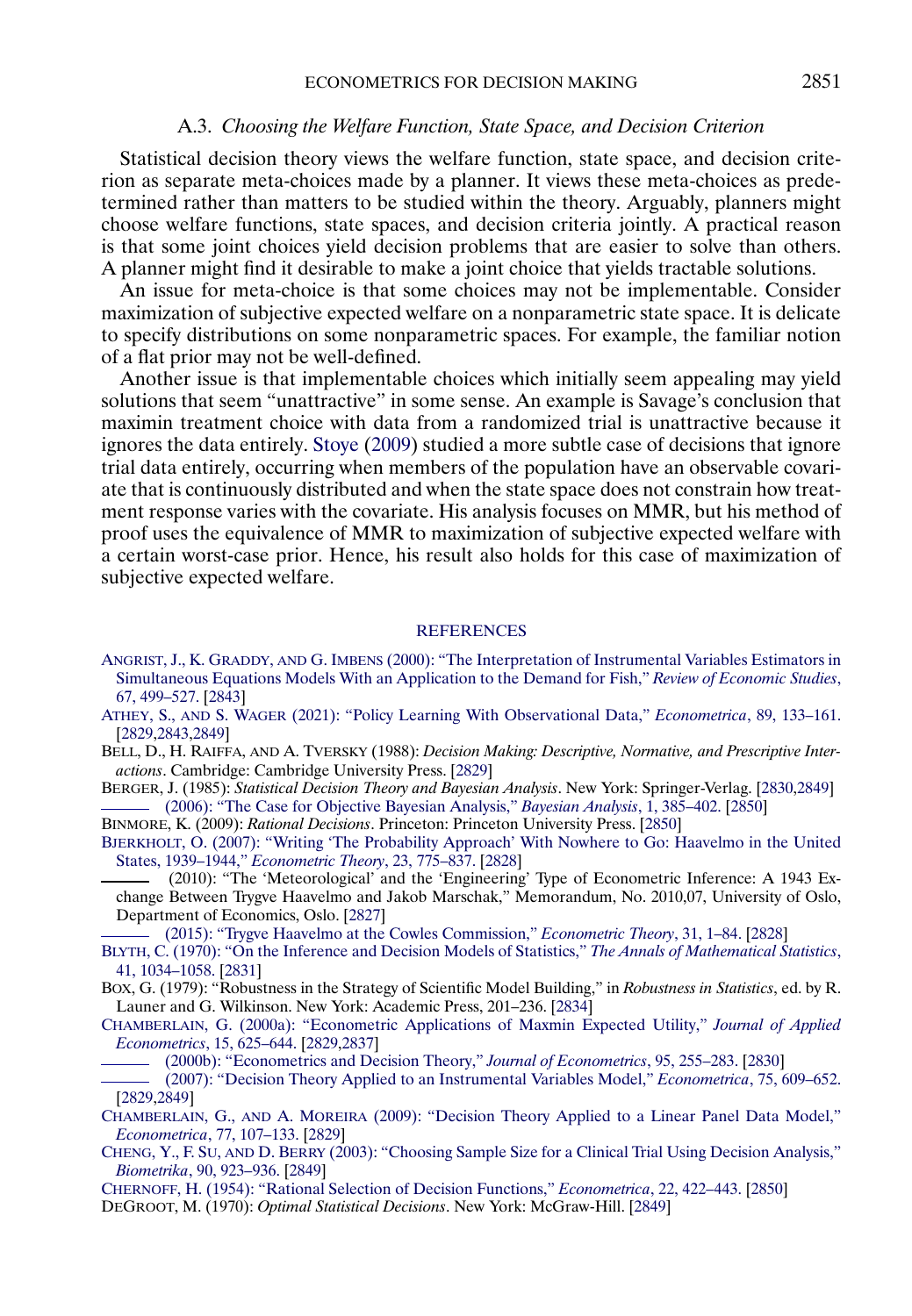#### A.3. *Choosing the Welfare Function, State Space, and Decision Criterion*

<span id="page-24-0"></span>Statistical decision theory views the welfare function, state space, and decision criterion as separate meta-choices made by a planner. It views these meta-choices as predetermined rather than matters to be studied within the theory. Arguably, planners might choose welfare functions, state spaces, and decision criteria jointly. A practical reason is that some joint choices yield decision problems that are easier to solve than others. A planner might find it desirable to make a joint choice that yields tractable solutions.

An issue for meta-choice is that some choices may not be implementable. Consider maximization of subjective expected welfare on a nonparametric state space. It is delicate to specify distributions on some nonparametric spaces. For example, the familiar notion of a flat prior may not be well-defined.

Another issue is that implementable choices which initially seem appealing may yield solutions that seem "unattractive" in some sense. An example is Savage's conclusion that maximin treatment choice with data from a randomized trial is unattractive because it ignores the data entirely. [Stoye](#page-26-0) [\(2009\)](#page-26-0) studied a more subtle case of decisions that ignore trial data entirely, occurring when members of the population have an observable covariate that is continuously distributed and when the state space does not constrain how treatment response varies with the covariate. His analysis focuses on MMR, but his method of proof uses the equivalence of MMR to maximization of subjective expected welfare with a certain worst-case prior. Hence, his result also holds for this case of maximization of subjective expected welfare.

#### **[REFERENCES](http://www.e-publications.org/srv/ecta/linkserver/setprefs?rfe_id=urn:sici%2F0012-9682%282021%2989%3A6%3C2827%3AEFDMBF%3E2.0.CO%3B2-R)**

- ANGRIST, J., K. GRADDY, AND G. IMBENS [\(2000\): "The Interpretation of Instrumental Variables Estimators in](http://www.e-publications.org/srv/ecta/linkserver/openurl?rft_dat=bib:1/Angetal2000&rfe_id=urn:sici%2F0012-9682%282021%2989%3A6%3C2827%3AEFDMBF%3E2.0.CO%3B2-R) [Simultaneous Equations Models With an Application to the Demand for Fish,"](http://www.e-publications.org/srv/ecta/linkserver/openurl?rft_dat=bib:1/Angetal2000&rfe_id=urn:sici%2F0012-9682%282021%2989%3A6%3C2827%3AEFDMBF%3E2.0.CO%3B2-R) *Review of Economic Studies*, [67, 499–527.](http://www.e-publications.org/srv/ecta/linkserver/openurl?rft_dat=bib:1/Angetal2000&rfe_id=urn:sici%2F0012-9682%282021%2989%3A6%3C2827%3AEFDMBF%3E2.0.CO%3B2-R) [\[2843\]](#page-16-0)
- ATHEY, S., AND S. WAGER [\(2021\): "Policy Learning With Observational Data,"](http://www.e-publications.org/srv/ecta/linkserver/openurl?rft_dat=bib:2/AthWag2021&rfe_id=urn:sici%2F0012-9682%282021%2989%3A6%3C2827%3AEFDMBF%3E2.0.CO%3B2-R) *Econometrica*, 89, 133–161. [\[2829,](#page-2-0)[2843,](#page-16-0)[2849\]](#page-22-0)
- BELL, D., H. RAIFFA, AND A. TVERSKY (1988): *Decision Making: Descriptive, Normative, and Prescriptive Interactions*. Cambridge: Cambridge University Press. [\[2829\]](#page-2-0)
- BERGER, J. (1985): *Statistical Decision Theory and Bayesian Analysis*. New York: Springer-Verlag. [\[2830,](#page-3-0)[2849\]](#page-22-0) [\(2006\): "The Case for Objective Bayesian Analysis,"](http://www.e-publications.org/srv/ecta/linkserver/openurl?rft_dat=bib:5/Ber2006&rfe_id=urn:sici%2F0012-9682%282021%2989%3A6%3C2827%3AEFDMBF%3E2.0.CO%3B2-R) *Bayesian Analysis*, 1, 385–402. [\[2850\]](#page-23-0)

BINMORE, K. (2009): *Rational Decisions*. Princeton: Princeton University Press. [\[2850\]](#page-23-0)

[BJERKHOLT, O. \(2007\): "Writing 'The Probability Approach' With Nowhere to Go: Haavelmo in the United](http://www.e-publications.org/srv/ecta/linkserver/openurl?rft_dat=bib:7/Bje2007&rfe_id=urn:sici%2F0012-9682%282021%2989%3A6%3C2827%3AEFDMBF%3E2.0.CO%3B2-R) States, 1939–1944," *[Econometric Theory](http://www.e-publications.org/srv/ecta/linkserver/openurl?rft_dat=bib:7/Bje2007&rfe_id=urn:sici%2F0012-9682%282021%2989%3A6%3C2827%3AEFDMBF%3E2.0.CO%3B2-R)*, 23, 775–837. [\[2828\]](#page-1-0)

(2010): "The 'Meteorological' and the 'Engineering' Type of Econometric Inference: A 1943 Exchange Between Trygve Haavelmo and Jakob Marschak," Memorandum, No. 2010,07, University of Oslo, Department of Economics, Oslo. [\[2827\]](#page-0-0)

[\(2015\): "Trygve Haavelmo at the Cowles Commission,"](http://www.e-publications.org/srv/ecta/linkserver/openurl?rft_dat=bib:9/Bje2015&rfe_id=urn:sici%2F0012-9682%282021%2989%3A6%3C2827%3AEFDMBF%3E2.0.CO%3B2-R) *Econometric Theory*, 31, 1–84. [\[2828\]](#page-1-0)

- [BLYTH, C. \(1970\): "On the Inference and Decision Models of Statistics,"](http://www.e-publications.org/srv/ecta/linkserver/openurl?rft_dat=bib:10/Bly1970&rfe_id=urn:sici%2F0012-9682%282021%2989%3A6%3C2827%3AEFDMBF%3E2.0.CO%3B2-R) *The Annals of Mathematical Statistics*, [41, 1034–1058.](http://www.e-publications.org/srv/ecta/linkserver/openurl?rft_dat=bib:10/Bly1970&rfe_id=urn:sici%2F0012-9682%282021%2989%3A6%3C2827%3AEFDMBF%3E2.0.CO%3B2-R) [\[2831\]](#page-4-0)
- BOX, G. (1979): "Robustness in the Strategy of Scientific Model Building," in *Robustness in Statistics*, ed. by R. Launer and G. Wilkinson. New York: Academic Press, 201–236. [\[2834\]](#page-7-0)
- [CHAMBERLAIN, G. \(2000a\): "Econometric Applications of Maxmin Expected Utility,"](http://www.e-publications.org/srv/ecta/linkserver/openurl?rft_dat=bib:12/Cha2000a&rfe_id=urn:sici%2F0012-9682%282021%2989%3A6%3C2827%3AEFDMBF%3E2.0.CO%3B2-R) *Journal of Applied Econometrics*[, 15, 625–644.](http://www.e-publications.org/srv/ecta/linkserver/openurl?rft_dat=bib:12/Cha2000a&rfe_id=urn:sici%2F0012-9682%282021%2989%3A6%3C2827%3AEFDMBF%3E2.0.CO%3B2-R) [\[2829](#page-2-0)[,2837\]](#page-10-0)
	- [\(2000b\): "Econometrics and Decision Theory,"](http://www.e-publications.org/srv/ecta/linkserver/openurl?rft_dat=bib:13/Cha2000b&rfe_id=urn:sici%2F0012-9682%282021%2989%3A6%3C2827%3AEFDMBF%3E2.0.CO%3B2-R) *Journal of Econometrics*, 95, 255–283. [\[2830\]](#page-3-0)
	- [\(2007\): "Decision Theory Applied to an Instrumental Variables Model,"](http://www.e-publications.org/srv/ecta/linkserver/openurl?rft_dat=bib:14/Cha2007&rfe_id=urn:sici%2F0012-9682%282021%2989%3A6%3C2827%3AEFDMBF%3E2.0.CO%3B2-R) *Econometrica*, 75, 609–652. [\[2829,](#page-2-0)[2849\]](#page-22-0)
- CHAMBERLAIN, G., AND A. MOREIRA [\(2009\): "Decision Theory Applied to a Linear Panel Data Model,"](http://www.e-publications.org/srv/ecta/linkserver/openurl?rft_dat=bib:15/ChaMor2009&rfe_id=urn:sici%2F0012-9682%282021%2989%3A6%3C2827%3AEFDMBF%3E2.0.CO%3B2-R) *[Econometrica](http://www.e-publications.org/srv/ecta/linkserver/openurl?rft_dat=bib:15/ChaMor2009&rfe_id=urn:sici%2F0012-9682%282021%2989%3A6%3C2827%3AEFDMBF%3E2.0.CO%3B2-R)*, 77, 107–133. [\[2829\]](#page-2-0)
- CHENG, Y., F. SU, AND D. BERRY [\(2003\): "Choosing Sample Size for a Clinical Trial Using Decision Analysis,"](http://www.e-publications.org/srv/ecta/linkserver/openurl?rft_dat=bib:16/Cheetal2003&rfe_id=urn:sici%2F0012-9682%282021%2989%3A6%3C2827%3AEFDMBF%3E2.0.CO%3B2-R) *Biometrika*[, 90, 923–936.](http://www.e-publications.org/srv/ecta/linkserver/openurl?rft_dat=bib:16/Cheetal2003&rfe_id=urn:sici%2F0012-9682%282021%2989%3A6%3C2827%3AEFDMBF%3E2.0.CO%3B2-R) [\[2849\]](#page-22-0)

[CHERNOFF, H. \(1954\): "Rational Selection of Decision Functions,"](http://www.e-publications.org/srv/ecta/linkserver/openurl?rft_dat=bib:17/Che1954&rfe_id=urn:sici%2F0012-9682%282021%2989%3A6%3C2827%3AEFDMBF%3E2.0.CO%3B2-R) *Econometrica*, 22, 422–443. [\[2850\]](#page-23-0)

DEGROOT, M. (1970): *Optimal Statistical Decisions*. New York: McGraw-Hill. [\[2849\]](#page-22-0)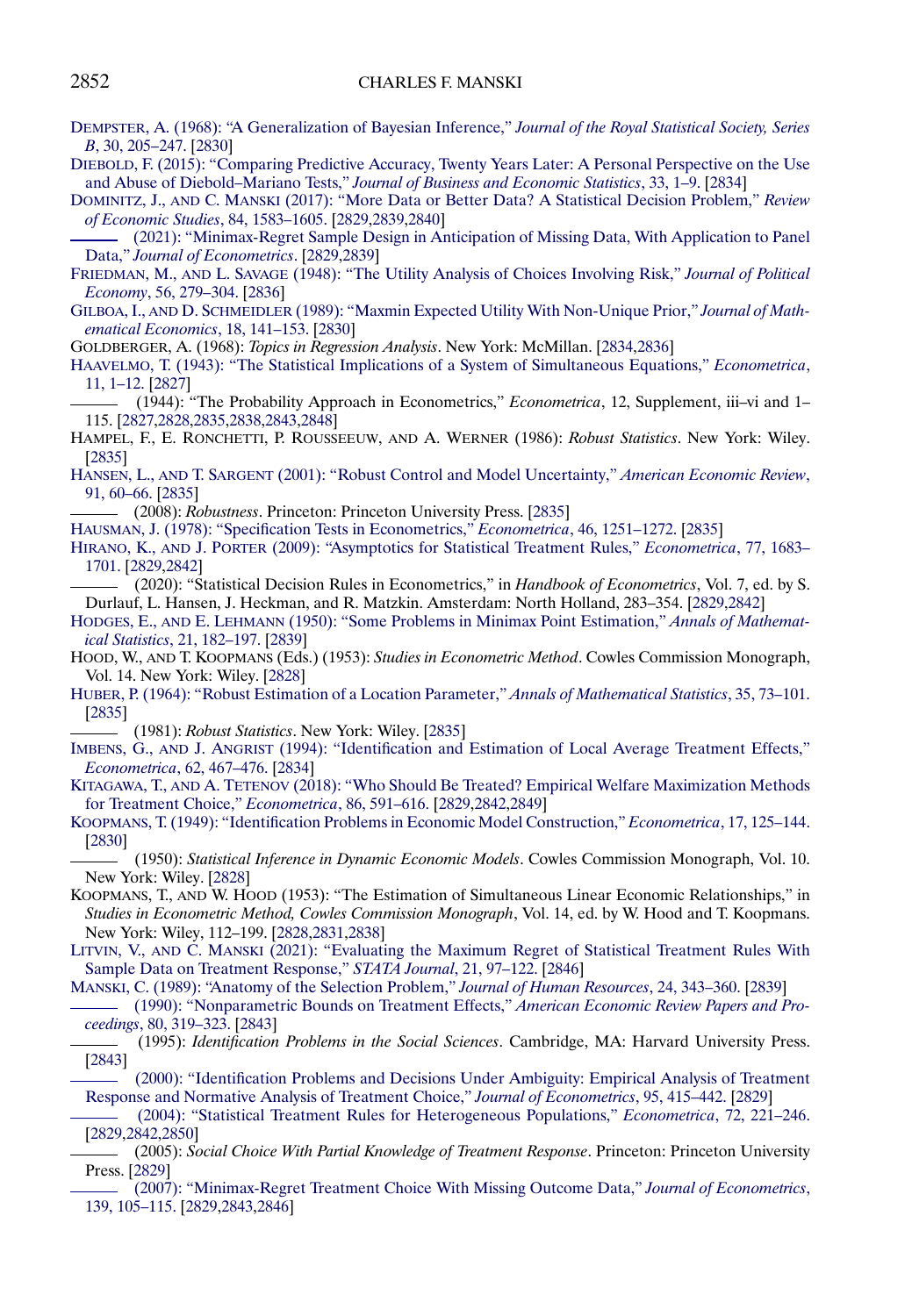<span id="page-25-0"></span>[DEMPSTER, A. \(1968\): "A Generalization of Bayesian Inference,"](http://www.e-publications.org/srv/ecta/linkserver/openurl?rft_dat=bib:19/Dem1968&rfe_id=urn:sici%2F0012-9682%282021%2989%3A6%3C2827%3AEFDMBF%3E2.0.CO%3B2-R) *Journal of the Royal Statistical Society, Series B*[, 30, 205–247.](http://www.e-publications.org/srv/ecta/linkserver/openurl?rft_dat=bib:19/Dem1968&rfe_id=urn:sici%2F0012-9682%282021%2989%3A6%3C2827%3AEFDMBF%3E2.0.CO%3B2-R) [\[2830\]](#page-3-0)

[DIEBOLD, F. \(2015\): "Comparing Predictive Accuracy, Twenty Years Later: A Personal Perspective on the Use](http://www.e-publications.org/srv/ecta/linkserver/openurl?rft_dat=bib:20/Die2015&rfe_id=urn:sici%2F0012-9682%282021%2989%3A6%3C2827%3AEFDMBF%3E2.0.CO%3B2-R) and Abuse of Diebold–Mariano Tests," *[Journal of Business and Economic Statistics](http://www.e-publications.org/srv/ecta/linkserver/openurl?rft_dat=bib:20/Die2015&rfe_id=urn:sici%2F0012-9682%282021%2989%3A6%3C2827%3AEFDMBF%3E2.0.CO%3B2-R)*, 33, 1–9. [\[2834\]](#page-7-0)

DOMINITZ, J., AND C. MANSKI [\(2017\): "More Data or Better Data? A Statistical Decision Problem,"](http://www.e-publications.org/srv/ecta/linkserver/openurl?rft_dat=bib:21/DomMan2017&rfe_id=urn:sici%2F0012-9682%282021%2989%3A6%3C2827%3AEFDMBF%3E2.0.CO%3B2-R) *Review [of Economic Studies](http://www.e-publications.org/srv/ecta/linkserver/openurl?rft_dat=bib:21/DomMan2017&rfe_id=urn:sici%2F0012-9682%282021%2989%3A6%3C2827%3AEFDMBF%3E2.0.CO%3B2-R)*, 84, 1583–1605. [\[2829](#page-2-0)[,2839,](#page-12-0)[2840\]](#page-13-0)

[\(2021\): "Minimax-Regret Sample Design in Anticipation of Missing Data, With Application to Panel](http://www.e-publications.org/srv/ecta/linkserver/openurl?rft_dat=bib:22/DomMan2021&rfe_id=urn:sici%2F0012-9682%282021%2989%3A6%3C2827%3AEFDMBF%3E2.0.CO%3B2-R) Data," *[Journal of Econometrics](http://www.e-publications.org/srv/ecta/linkserver/openurl?rft_dat=bib:22/DomMan2021&rfe_id=urn:sici%2F0012-9682%282021%2989%3A6%3C2827%3AEFDMBF%3E2.0.CO%3B2-R)*. [\[2829,](#page-2-0)[2839\]](#page-12-0)

FRIEDMAN, M., AND L. SAVAGE [\(1948\): "The Utility Analysis of Choices Involving Risk,"](http://www.e-publications.org/srv/ecta/linkserver/openurl?rft_dat=bib:23/FriSav1948&rfe_id=urn:sici%2F0012-9682%282021%2989%3A6%3C2827%3AEFDMBF%3E2.0.CO%3B2-R) *Journal of Political Economy*[, 56, 279–304.](http://www.e-publications.org/srv/ecta/linkserver/openurl?rft_dat=bib:23/FriSav1948&rfe_id=urn:sici%2F0012-9682%282021%2989%3A6%3C2827%3AEFDMBF%3E2.0.CO%3B2-R) [\[2836\]](#page-9-0)

GILBOA, I., AND D. SCHMEIDLER [\(1989\): "Maxmin Expected Utility With Non-Unique Prior,"](http://www.e-publications.org/srv/ecta/linkserver/openurl?rft_dat=bib:24/GilSch1989&rfe_id=urn:sici%2F0012-9682%282021%2989%3A6%3C2827%3AEFDMBF%3E2.0.CO%3B2-R) *Journal of Math[ematical Economics](http://www.e-publications.org/srv/ecta/linkserver/openurl?rft_dat=bib:24/GilSch1989&rfe_id=urn:sici%2F0012-9682%282021%2989%3A6%3C2827%3AEFDMBF%3E2.0.CO%3B2-R)*, 18, 141–153. [\[2830\]](#page-3-0)

GOLDBERGER, A. (1968): *Topics in Regression Analysis*. New York: McMillan. [\[2834,](#page-7-0)[2836\]](#page-9-0)

[HAAVELMO, T. \(1943\): "The Statistical Implications of a System of Simultaneous Equations,"](http://www.e-publications.org/srv/ecta/linkserver/openurl?rft_dat=bib:26/Haa1943&rfe_id=urn:sici%2F0012-9682%282021%2989%3A6%3C2827%3AEFDMBF%3E2.0.CO%3B2-R) *Econometrica*, [11, 1–12.](http://www.e-publications.org/srv/ecta/linkserver/openurl?rft_dat=bib:26/Haa1943&rfe_id=urn:sici%2F0012-9682%282021%2989%3A6%3C2827%3AEFDMBF%3E2.0.CO%3B2-R) [\[2827\]](#page-0-0)

(1944): "The Probability Approach in Econometrics," *Econometrica*, 12, Supplement, iii–vi and 1– 115. [\[2827](#page-0-0)[,2828](#page-1-0)[,2835](#page-8-0)[,2838](#page-11-0)[,2843](#page-16-0)[,2848\]](#page-21-0)

HAMPEL, F., E. RONCHETTI, P. ROUSSEEUW, AND A. WERNER (1986): *Robust Statistics*. New York: Wiley. [\[2835\]](#page-8-0)

HANSEN, L., AND T. SARGENT [\(2001\): "Robust Control and Model Uncertainty,"](http://www.e-publications.org/srv/ecta/linkserver/openurl?rft_dat=bib:29/HanSar2001&rfe_id=urn:sici%2F0012-9682%282021%2989%3A6%3C2827%3AEFDMBF%3E2.0.CO%3B2-R) *American Economic Review*, [91, 60–66.](http://www.e-publications.org/srv/ecta/linkserver/openurl?rft_dat=bib:29/HanSar2001&rfe_id=urn:sici%2F0012-9682%282021%2989%3A6%3C2827%3AEFDMBF%3E2.0.CO%3B2-R) [\[2835\]](#page-8-0)

(2008): *Robustness*. Princeton: Princeton University Press. [\[2835\]](#page-8-0)

[HAUSMAN, J. \(1978\): "Specification Tests in Econometrics,"](http://www.e-publications.org/srv/ecta/linkserver/openurl?rft_dat=bib:31/Hau1978&rfe_id=urn:sici%2F0012-9682%282021%2989%3A6%3C2827%3AEFDMBF%3E2.0.CO%3B2-R) *Econometrica*, 46, 1251–1272. [\[2835\]](#page-8-0)

HIRANO, K., AND J. PORTER [\(2009\): "Asymptotics for Statistical Treatment Rules,"](http://www.e-publications.org/srv/ecta/linkserver/openurl?rft_dat=bib:32/HirPor2009&rfe_id=urn:sici%2F0012-9682%282021%2989%3A6%3C2827%3AEFDMBF%3E2.0.CO%3B2-R) *Econometrica*, 77, 1683– [1701.](http://www.e-publications.org/srv/ecta/linkserver/openurl?rft_dat=bib:32/HirPor2009&rfe_id=urn:sici%2F0012-9682%282021%2989%3A6%3C2827%3AEFDMBF%3E2.0.CO%3B2-R) [\[2829](#page-2-0)[,2842\]](#page-15-0)

(2020): "Statistical Decision Rules in Econometrics," in *Handbook of Econometrics*, Vol. 7, ed. by S. Durlauf, L. Hansen, J. Heckman, and R. Matzkin. Amsterdam: North Holland, 283–354. [\[2829](#page-2-0)[,2842\]](#page-15-0)

HODGES, E., AND E. LEHMANN [\(1950\): "Some Problems in Minimax Point Estimation,"](http://www.e-publications.org/srv/ecta/linkserver/openurl?rft_dat=bib:34/HodLeh1950&rfe_id=urn:sici%2F0012-9682%282021%2989%3A6%3C2827%3AEFDMBF%3E2.0.CO%3B2-R) *Annals of Mathematical Statistics*[, 21, 182–197.](http://www.e-publications.org/srv/ecta/linkserver/openurl?rft_dat=bib:34/HodLeh1950&rfe_id=urn:sici%2F0012-9682%282021%2989%3A6%3C2827%3AEFDMBF%3E2.0.CO%3B2-R) [\[2839\]](#page-12-0)

HOOD, W., AND T. KOOPMANS (Eds.) (1953): *Studies in Econometric Method*. Cowles Commission Monograph, Vol. 14. New York: Wiley. [\[2828\]](#page-1-0)

[HUBER, P. \(1964\): "Robust Estimation of a Location Parameter,"](http://www.e-publications.org/srv/ecta/linkserver/openurl?rft_dat=bib:36/Hub1964&rfe_id=urn:sici%2F0012-9682%282021%2989%3A6%3C2827%3AEFDMBF%3E2.0.CO%3B2-R) *Annals of Mathematical Statistics*, 35, 73–101. [\[2835\]](#page-8-0)

(1981): *Robust Statistics*. New York: Wiley. [\[2835\]](#page-8-0)

IMBENS, G., AND J. ANGRIST [\(1994\): "Identification and Estimation of Local Average Treatment Effects,"](http://www.e-publications.org/srv/ecta/linkserver/openurl?rft_dat=bib:38/ImbAng1994&rfe_id=urn:sici%2F0012-9682%282021%2989%3A6%3C2827%3AEFDMBF%3E2.0.CO%3B2-R) *[Econometrica](http://www.e-publications.org/srv/ecta/linkserver/openurl?rft_dat=bib:38/ImbAng1994&rfe_id=urn:sici%2F0012-9682%282021%2989%3A6%3C2827%3AEFDMBF%3E2.0.CO%3B2-R)*, 62, 467–476. [\[2834\]](#page-7-0)

KITAGAWA, T., AND A. TETENOV [\(2018\): "Who Should Be Treated? Empirical Welfare Maximization Methods](http://www.e-publications.org/srv/ecta/linkserver/openurl?rft_dat=bib:39/KitTet2018&rfe_id=urn:sici%2F0012-9682%282021%2989%3A6%3C2827%3AEFDMBF%3E2.0.CO%3B2-R) [for Treatment Choice,"](http://www.e-publications.org/srv/ecta/linkserver/openurl?rft_dat=bib:39/KitTet2018&rfe_id=urn:sici%2F0012-9682%282021%2989%3A6%3C2827%3AEFDMBF%3E2.0.CO%3B2-R) *Econometrica*, 86, 591–616. [\[2829,](#page-2-0)[2842,](#page-15-0)[2849\]](#page-22-0)

[KOOPMANS, T. \(1949\): "Identification Problems in Economic Model Construction,"](http://www.e-publications.org/srv/ecta/linkserver/openurl?rft_dat=bib:40/Koo1949&rfe_id=urn:sici%2F0012-9682%282021%2989%3A6%3C2827%3AEFDMBF%3E2.0.CO%3B2-R) *Econometrica*, 17, 125–144. [\[2830\]](#page-3-0)

(1950): *Statistical Inference in Dynamic Economic Models*. Cowles Commission Monograph, Vol. 10. New York: Wiley. [\[2828\]](#page-1-0)

KOOPMANS, T., AND W. HOOD (1953): "The Estimation of Simultaneous Linear Economic Relationships," in *Studies in Econometric Method, Cowles Commission Monograph*, Vol. 14, ed. by W. Hood and T. Koopmans. New York: Wiley, 112–199. [\[2828,](#page-1-0)[2831,](#page-4-0)[2838\]](#page-11-0)

LITVIN, V., AND C. MANSKI [\(2021\): "Evaluating the Maximum Regret of Statistical Treatment Rules With](http://www.e-publications.org/srv/ecta/linkserver/openurl?rft_dat=bib:43/LitMan2021&rfe_id=urn:sici%2F0012-9682%282021%2989%3A6%3C2827%3AEFDMBF%3E2.0.CO%3B2-R) [Sample Data on Treatment Response,"](http://www.e-publications.org/srv/ecta/linkserver/openurl?rft_dat=bib:43/LitMan2021&rfe_id=urn:sici%2F0012-9682%282021%2989%3A6%3C2827%3AEFDMBF%3E2.0.CO%3B2-R) *STATA Journal*, 21, 97–122. [\[2846\]](#page-19-0)

[MANSKI, C. \(1989\): "Anatomy of the Selection Problem,"](http://www.e-publications.org/srv/ecta/linkserver/openurl?rft_dat=bib:44/Man1989&rfe_id=urn:sici%2F0012-9682%282021%2989%3A6%3C2827%3AEFDMBF%3E2.0.CO%3B2-R) *Journal of Human Resources*, 24, 343–360. [\[2839\]](#page-12-0) [\(1990\): "Nonparametric Bounds on Treatment Effects,"](http://www.e-publications.org/srv/ecta/linkserver/openurl?rft_dat=bib:45/Man1990&rfe_id=urn:sici%2F0012-9682%282021%2989%3A6%3C2827%3AEFDMBF%3E2.0.CO%3B2-R) *American Economic Review Papers and Proceedings*[, 80, 319–323.](http://www.e-publications.org/srv/ecta/linkserver/openurl?rft_dat=bib:45/Man1990&rfe_id=urn:sici%2F0012-9682%282021%2989%3A6%3C2827%3AEFDMBF%3E2.0.CO%3B2-R) [\[2843\]](#page-16-0)

(1995): *Identification Problems in the Social Sciences*. Cambridge, MA: Harvard University Press. [\[2843\]](#page-16-0)

[\(2000\): "Identification Problems and Decisions Under Ambiguity: Empirical Analysis of Treatment](http://www.e-publications.org/srv/ecta/linkserver/openurl?rft_dat=bib:47/Man2000&rfe_id=urn:sici%2F0012-9682%282021%2989%3A6%3C2827%3AEFDMBF%3E2.0.CO%3B2-R) [Response and Normative Analysis of Treatment Choice,"](http://www.e-publications.org/srv/ecta/linkserver/openurl?rft_dat=bib:47/Man2000&rfe_id=urn:sici%2F0012-9682%282021%2989%3A6%3C2827%3AEFDMBF%3E2.0.CO%3B2-R) *Journal of Econometrics*, 95, 415–442. [\[2829\]](#page-2-0)

[\(2004\): "Statistical Treatment Rules for Heterogeneous Populations,"](http://www.e-publications.org/srv/ecta/linkserver/openurl?rft_dat=bib:48/Man2004&rfe_id=urn:sici%2F0012-9682%282021%2989%3A6%3C2827%3AEFDMBF%3E2.0.CO%3B2-R) *Econometrica*, 72, 221–246. [\[2829](#page-2-0)[,2842](#page-15-0)[,2850\]](#page-23-0)

(2005): *Social Choice With Partial Knowledge of Treatment Response*. Princeton: Princeton University Press. [\[2829\]](#page-2-0)

[\(2007\): "Minimax-Regret Treatment Choice With Missing Outcome Data,"](http://www.e-publications.org/srv/ecta/linkserver/openurl?rft_dat=bib:50/Man2007&rfe_id=urn:sici%2F0012-9682%282021%2989%3A6%3C2827%3AEFDMBF%3E2.0.CO%3B2-R) *Journal of Econometrics*, [139, 105–115.](http://www.e-publications.org/srv/ecta/linkserver/openurl?rft_dat=bib:50/Man2007&rfe_id=urn:sici%2F0012-9682%282021%2989%3A6%3C2827%3AEFDMBF%3E2.0.CO%3B2-R) [\[2829](#page-2-0)[,2843](#page-16-0)[,2846\]](#page-19-0)